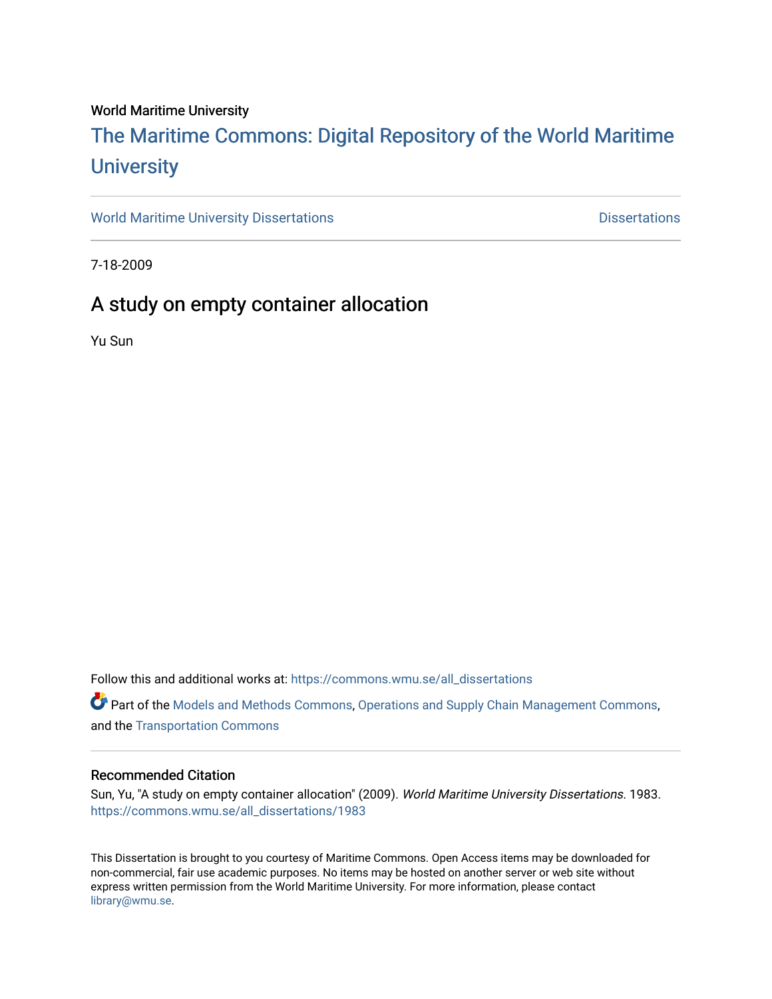### World Maritime University

# [The Maritime Commons: Digital Repository of the World Maritime](https://commons.wmu.se/)  **University**

[World Maritime University Dissertations](https://commons.wmu.se/all_dissertations) **Example 20 and Taracceretic Contracts** Dissertations

7-18-2009

## A study on empty container allocation

Yu Sun

Follow this and additional works at: [https://commons.wmu.se/all\\_dissertations](https://commons.wmu.se/all_dissertations?utm_source=commons.wmu.se%2Fall_dissertations%2F1983&utm_medium=PDF&utm_campaign=PDFCoverPages) 

Part of the [Models and Methods Commons,](http://network.bepress.com/hgg/discipline/390?utm_source=commons.wmu.se%2Fall_dissertations%2F1983&utm_medium=PDF&utm_campaign=PDFCoverPages) [Operations and Supply Chain Management Commons,](http://network.bepress.com/hgg/discipline/1229?utm_source=commons.wmu.se%2Fall_dissertations%2F1983&utm_medium=PDF&utm_campaign=PDFCoverPages) and the [Transportation Commons](http://network.bepress.com/hgg/discipline/1068?utm_source=commons.wmu.se%2Fall_dissertations%2F1983&utm_medium=PDF&utm_campaign=PDFCoverPages) 

#### Recommended Citation

Sun, Yu, "A study on empty container allocation" (2009). World Maritime University Dissertations. 1983. [https://commons.wmu.se/all\\_dissertations/1983](https://commons.wmu.se/all_dissertations/1983?utm_source=commons.wmu.se%2Fall_dissertations%2F1983&utm_medium=PDF&utm_campaign=PDFCoverPages)

This Dissertation is brought to you courtesy of Maritime Commons. Open Access items may be downloaded for non-commercial, fair use academic purposes. No items may be hosted on another server or web site without express written permission from the World Maritime University. For more information, please contact [library@wmu.se](mailto:library@wmu.edu).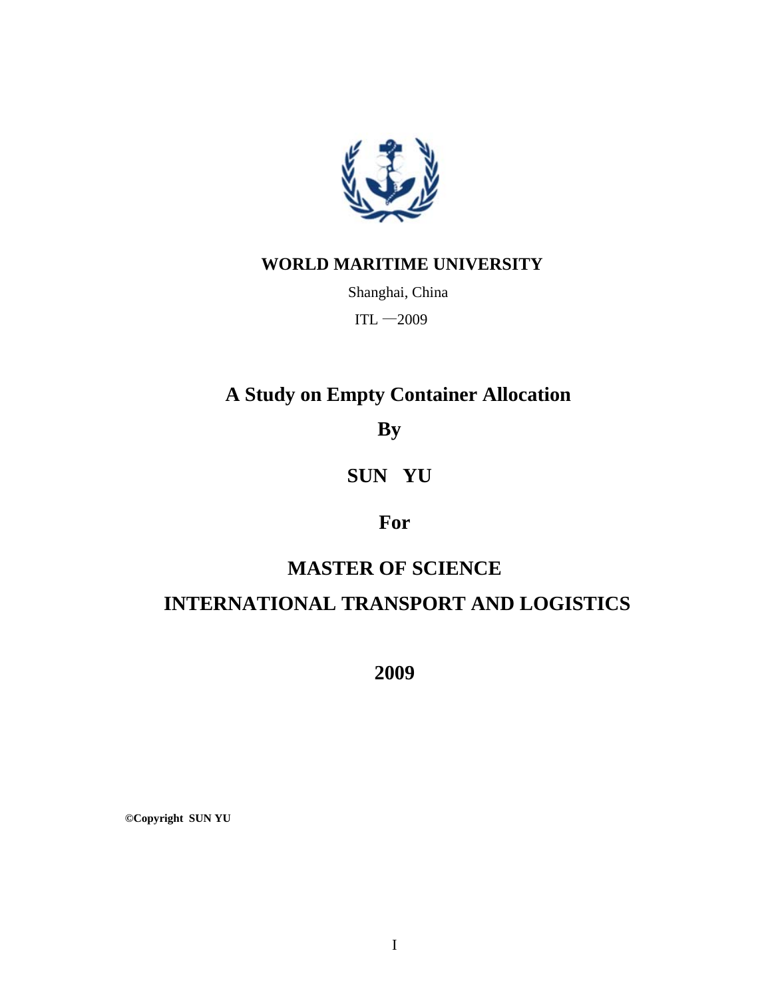

## **WORLD MARITIME UNIVERSITY**

Shanghai, China

 $ITL - 2009$ 

# **A Study on Empty Container Allocation**

**By** 

# **SUN YU**

## **For**

## **MASTER OF SCIENCE**

# **INTERNATIONAL TRANSPORT AND LOGISTICS**

**2009** 

**©Copyright SUN YU**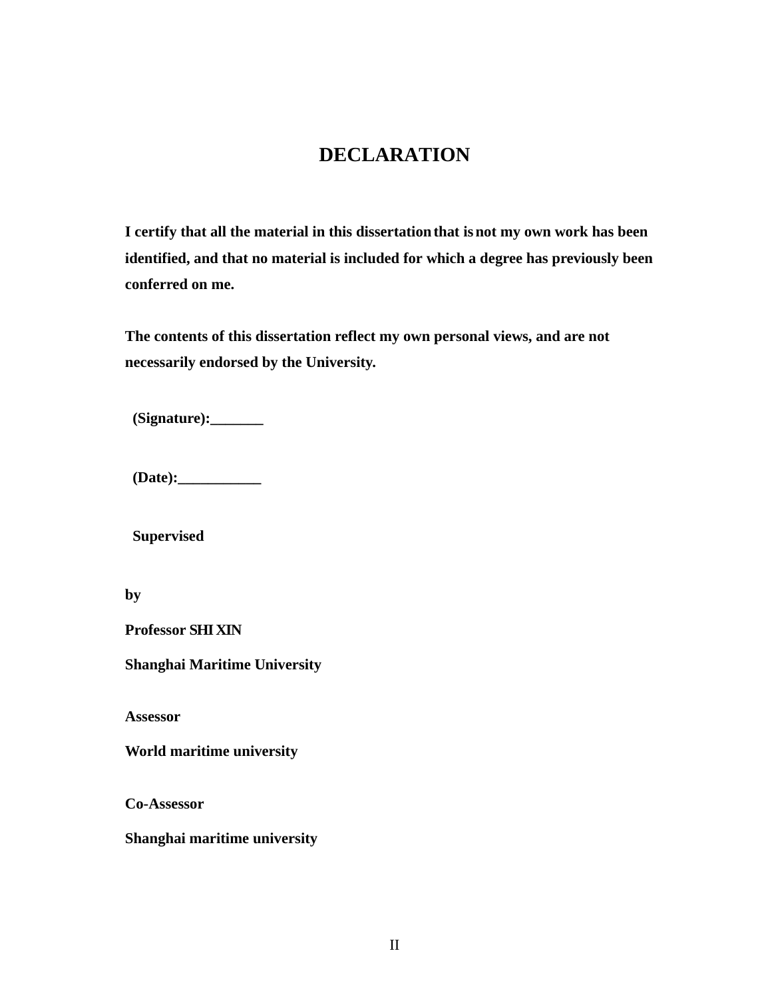## **DECLARATION**

<span id="page-2-0"></span>**I certify that all the material in this dissertation that is not my own work has been identified, and that no material is included for which a degree has previously been conferred on me.**

**The contents of this dissertation reflect my own personal views, and are not necessarily endorsed by the University.**

**(Signature):\_\_\_\_\_\_\_**

**(Date):\_\_\_\_\_\_\_\_\_\_\_** 

**Supervised** 

**by**

**Professor SHI XIN**

**Shanghai Maritime University**

**Assessor**

**World maritime university**

**Co-Assessor**

**Shanghai maritime university**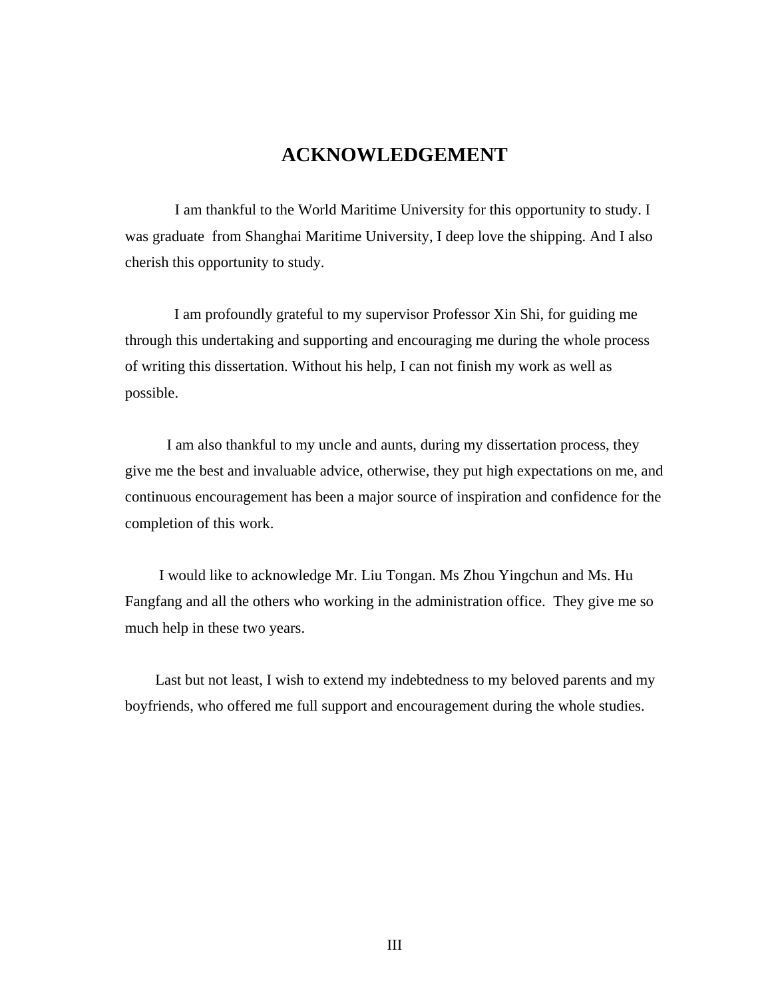## **ACKNOWLEDGEMENT**

<span id="page-3-0"></span> I am thankful to the World Maritime University for this opportunity to study. I was graduate from Shanghai Maritime University, I deep love the shipping. And I also cherish this opportunity to study.

 I am profoundly grateful to my supervisor Professor Xin Shi, for guiding me through this undertaking and supporting and encouraging me during the whole process of writing this dissertation. Without his help, I can not finish my work as well as possible.

 I am also thankful to my uncle and aunts, during my dissertation process, they give me the best and invaluable advice, otherwise, they put high expectations on me, and continuous encouragement has been a major source of inspiration and confidence for the completion of this work.

 I would like to acknowledge Mr. Liu Tongan. Ms Zhou Yingchun and Ms. Hu Fangfang and all the others who working in the administration office. They give me so much help in these two years.

 Last but not least, I wish to extend my indebtedness to my beloved parents and my boyfriends, who offered me full support and encouragement during the whole studies.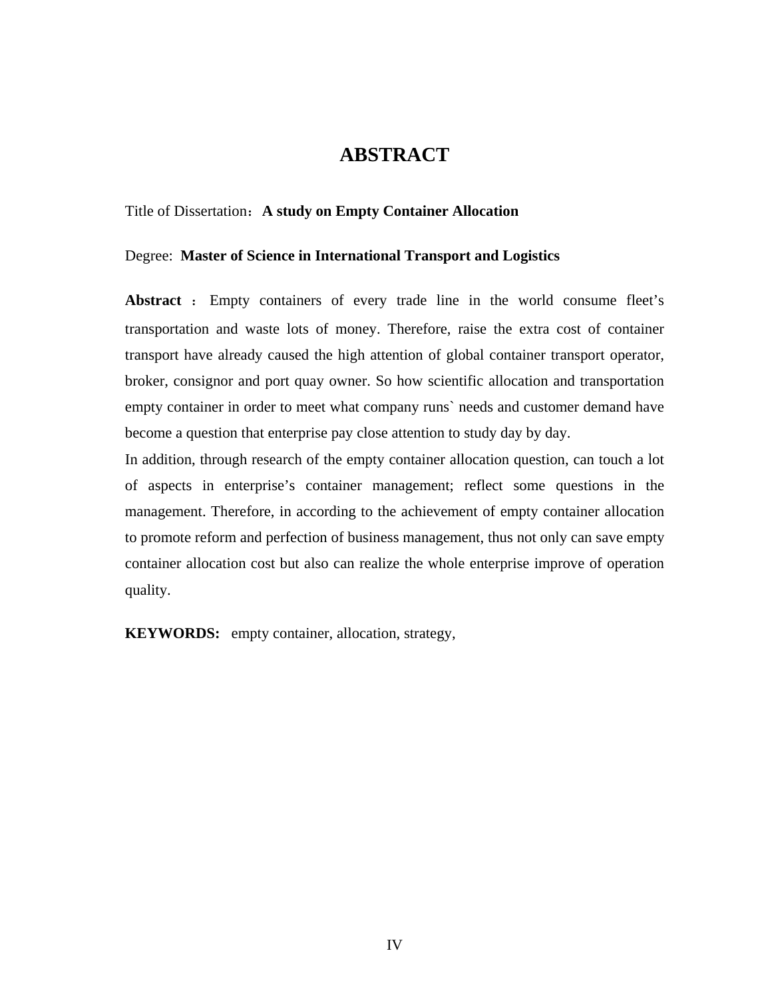## **ABSTRACT**

#### <span id="page-4-0"></span>Title of Dissertation:**A study on Empty Container Allocation**

#### Degree: **Master of Science in International Transport and Logistics**

**Abstract** : Empty containers of every trade line in the world consume fleet's transportation and waste lots of money. Therefore, raise the extra cost of container transport have already caused the high attention of global container transport operator, broker, consignor and port quay owner. So how scientific allocation and transportation empty container in order to meet what company runs` needs and customer demand have become a question that enterprise pay close attention to study day by day.

In addition, through research of the empty container allocation question, can touch a lot of aspects in enterprise's container management; reflect some questions in the management. Therefore, in according to the achievement of empty container allocation to promote reform and perfection of business management, thus not only can save empty container allocation cost but also can realize the whole enterprise improve of operation quality.

**KEYWORDS:** empty container, allocation, strategy,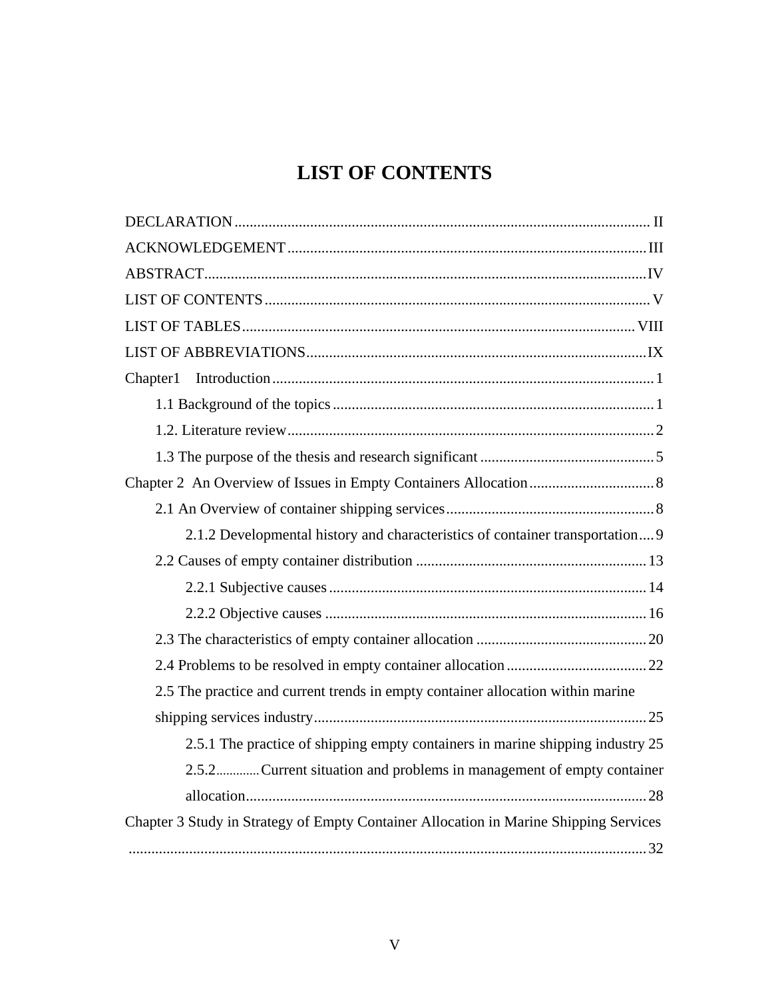# **LIST OF CONTENTS**

<span id="page-5-0"></span>

| Chapter1                                                                              |
|---------------------------------------------------------------------------------------|
|                                                                                       |
|                                                                                       |
|                                                                                       |
|                                                                                       |
|                                                                                       |
| 2.1.2 Developmental history and characteristics of container transportation 9         |
|                                                                                       |
|                                                                                       |
|                                                                                       |
|                                                                                       |
|                                                                                       |
| 2.5 The practice and current trends in empty container allocation within marine       |
|                                                                                       |
| 2.5.1 The practice of shipping empty containers in marine shipping industry 25        |
| 2.5.2Current situation and problems in management of empty container                  |
|                                                                                       |
| Chapter 3 Study in Strategy of Empty Container Allocation in Marine Shipping Services |
|                                                                                       |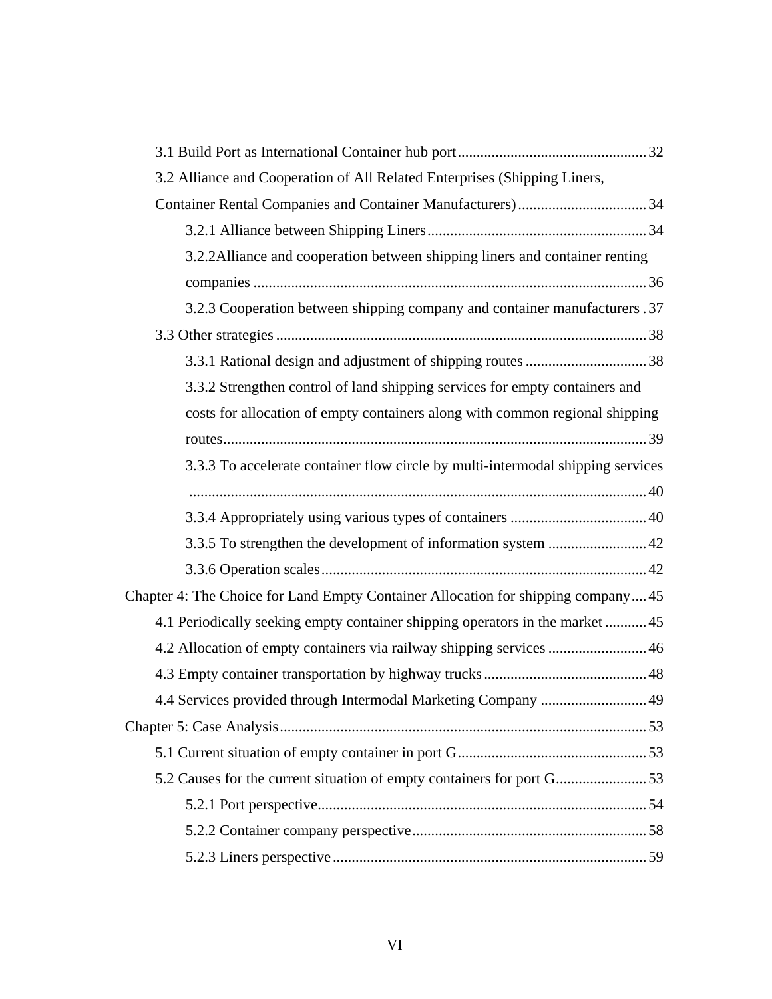| 3.2 Alliance and Cooperation of All Related Enterprises (Shipping Liners,         |  |
|-----------------------------------------------------------------------------------|--|
|                                                                                   |  |
|                                                                                   |  |
| 3.2.2 Alliance and cooperation between shipping liners and container renting      |  |
|                                                                                   |  |
| 3.2.3 Cooperation between shipping company and container manufacturers .37        |  |
|                                                                                   |  |
|                                                                                   |  |
| 3.3.2 Strengthen control of land shipping services for empty containers and       |  |
| costs for allocation of empty containers along with common regional shipping      |  |
|                                                                                   |  |
| 3.3.3 To accelerate container flow circle by multi-intermodal shipping services   |  |
|                                                                                   |  |
|                                                                                   |  |
|                                                                                   |  |
|                                                                                   |  |
| Chapter 4: The Choice for Land Empty Container Allocation for shipping company 45 |  |
| 4.1 Periodically seeking empty container shipping operators in the market  45     |  |
| 4.2 Allocation of empty containers via railway shipping services  46              |  |
|                                                                                   |  |
| 4.4 Services provided through Intermodal Marketing Company  49                    |  |
|                                                                                   |  |
|                                                                                   |  |
|                                                                                   |  |
|                                                                                   |  |
|                                                                                   |  |
|                                                                                   |  |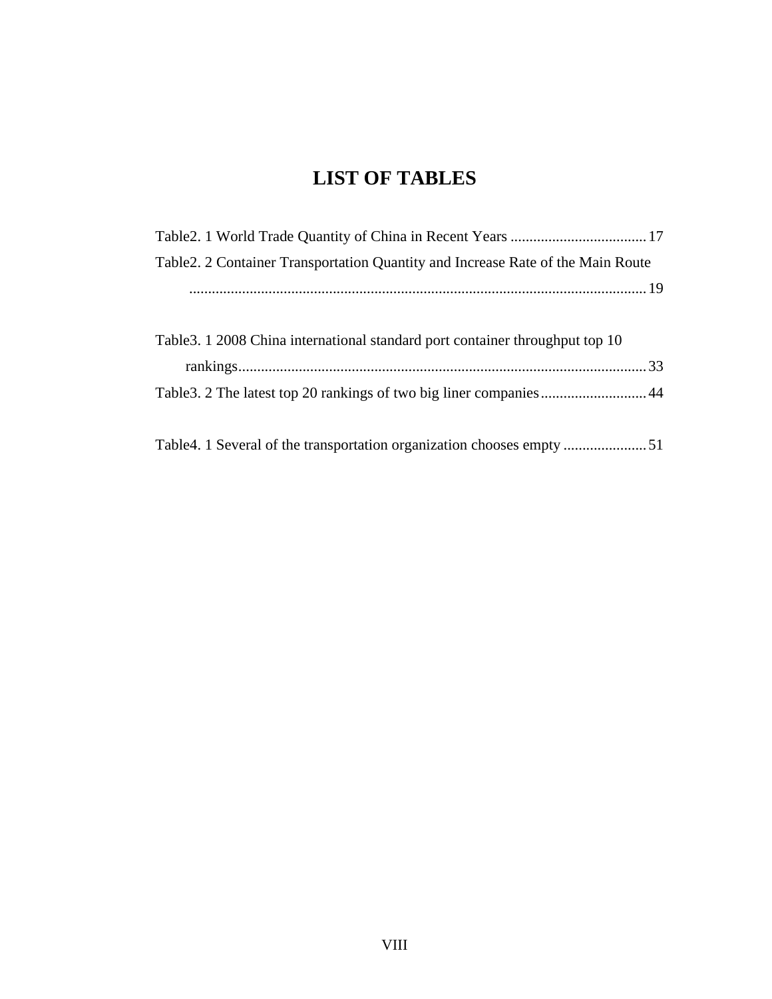# **LIST OF TABLES**

<span id="page-8-0"></span>

| Table 2. 2 Container Transportation Quantity and Increase Rate of the Main Route |  |
|----------------------------------------------------------------------------------|--|
|                                                                                  |  |
|                                                                                  |  |
| Table 3. 1 2008 China international standard port container throughput top 10    |  |
|                                                                                  |  |
|                                                                                  |  |
|                                                                                  |  |
|                                                                                  |  |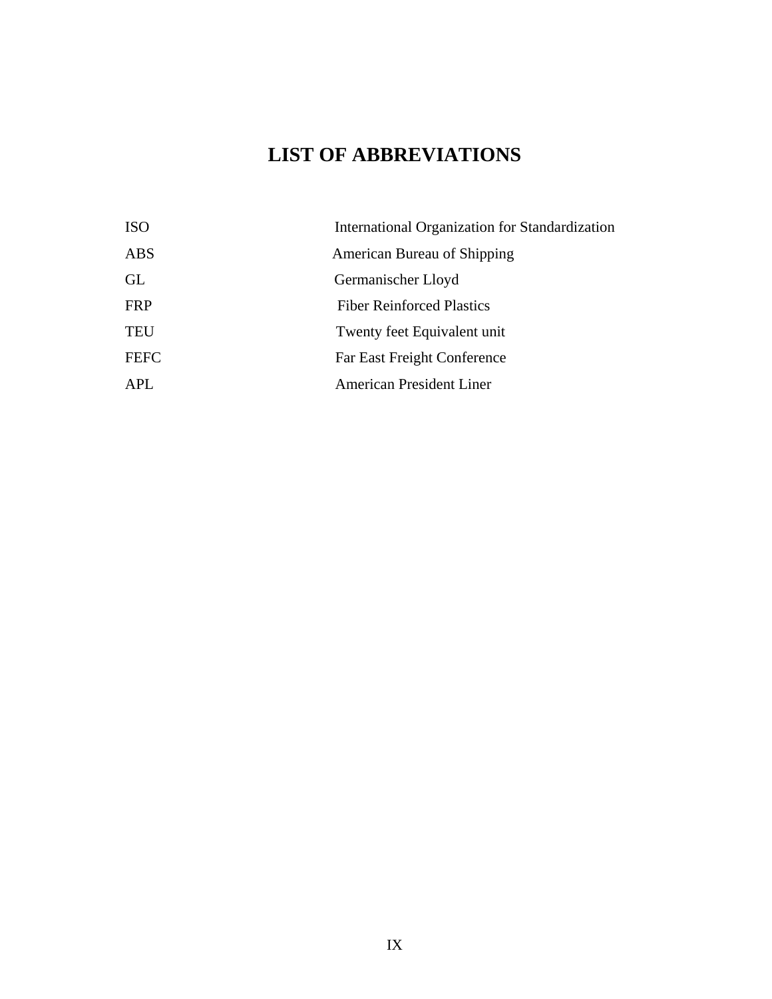# **LIST OF ABBREVIATIONS**

<span id="page-9-0"></span>

| <b>ISO</b>  | International Organization for Standardization |
|-------------|------------------------------------------------|
| ABS         | American Bureau of Shipping                    |
| GL          | Germanischer Lloyd                             |
| <b>FRP</b>  | <b>Fiber Reinforced Plastics</b>               |
| <b>TEU</b>  | Twenty feet Equivalent unit                    |
| <b>FEFC</b> | Far East Freight Conference                    |
| APL         | <b>American President Liner</b>                |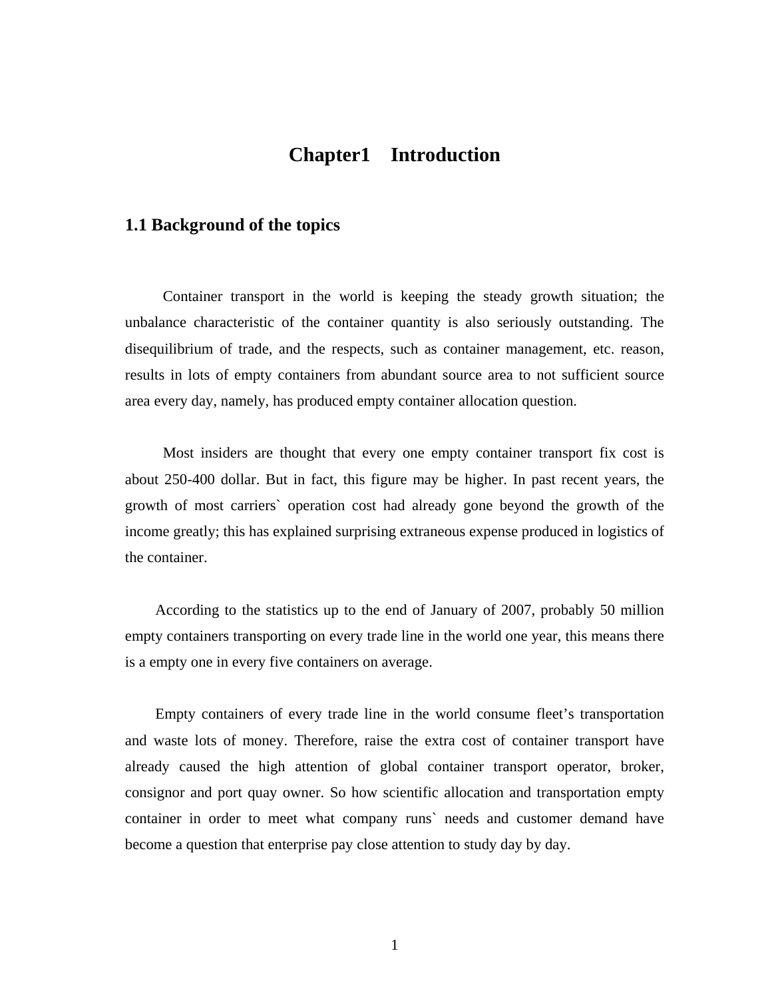## **Chapter1 Introduction**

### <span id="page-10-0"></span>**1.1 Background of the topics**

Container transport in the world is keeping the steady growth situation; the unbalance characteristic of the container quantity is also seriously outstanding. The disequilibrium of trade, and the respects, such as container management, etc. reason, results in lots of empty containers from abundant source area to not sufficient source area every day, namely, has produced empty container allocation question.

Most insiders are thought that every one empty container transport fix cost is about 250-400 dollar. But in fact, this figure may be higher. In past recent years, the growth of most carriers` operation cost had already gone beyond the growth of the income greatly; this has explained surprising extraneous expense produced in logistics of the container.

According to the statistics up to the end of January of 2007, probably 50 million empty containers transporting on every trade line in the world one year, this means there is a empty one in every five containers on average.

Empty containers of every trade line in the world consume fleet's transportation and waste lots of money. Therefore, raise the extra cost of container transport have already caused the high attention of global container transport operator, broker, consignor and port quay owner. So how scientific allocation and transportation empty container in order to meet what company runs` needs and customer demand have become a question that enterprise pay close attention to study day by day.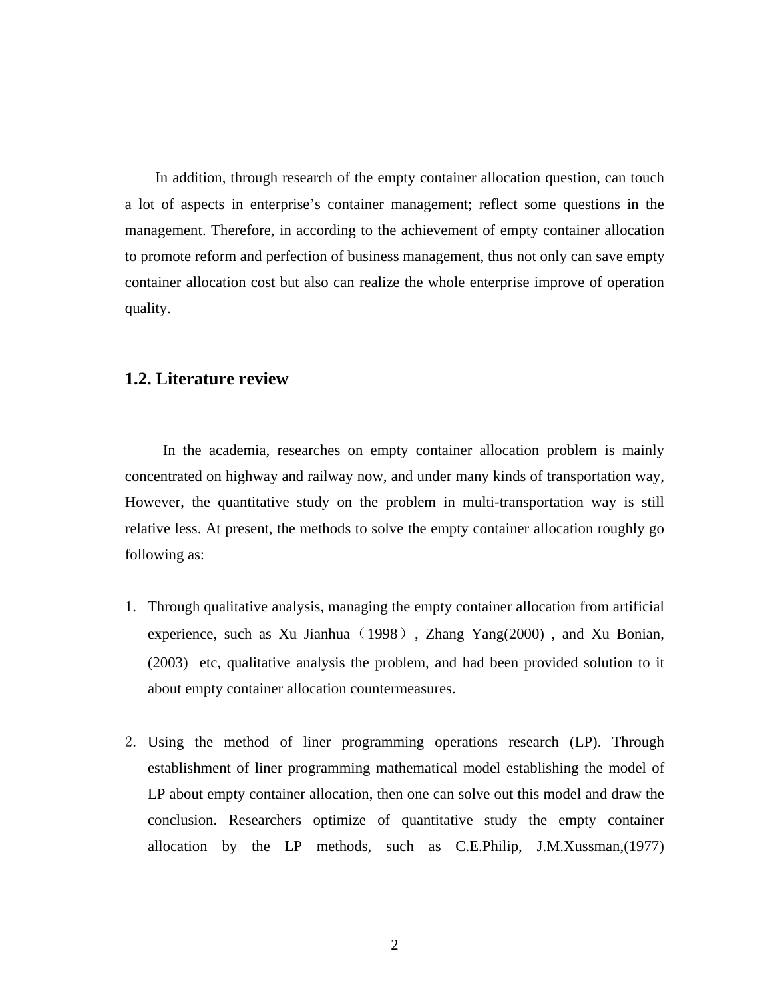<span id="page-11-0"></span>In addition, through research of the empty container allocation question, can touch a lot of aspects in enterprise's container management; reflect some questions in the management. Therefore, in according to the achievement of empty container allocation to promote reform and perfection of business management, thus not only can save empty container allocation cost but also can realize the whole enterprise improve of operation quality.

### **1.2. Literature review**

In the academia, researches on empty container allocation problem is mainly concentrated on highway and railway now, and under many kinds of transportation way, However, the quantitative study on the problem in multi-transportation way is still relative less. At present, the methods to solve the empty container allocation roughly go following as:

- 1. Through qualitative analysis, managing the empty container allocation from artificial experience, such as Xu Jianhua (1998), Zhang Yang $(2000)$ , and Xu Bonian, (2003) etc, qualitative analysis the problem, and had been provided solution to it about empty container allocation countermeasures.
- 2. Using the method of liner programming operations research (LP). Through establishment of liner programming mathematical model establishing the model of LP about empty container allocation, then one can solve out this model and draw the conclusion. Researchers optimize of quantitative study the empty container allocation by the LP methods, such as C.E.Philip, J.M.Xussman,(1977)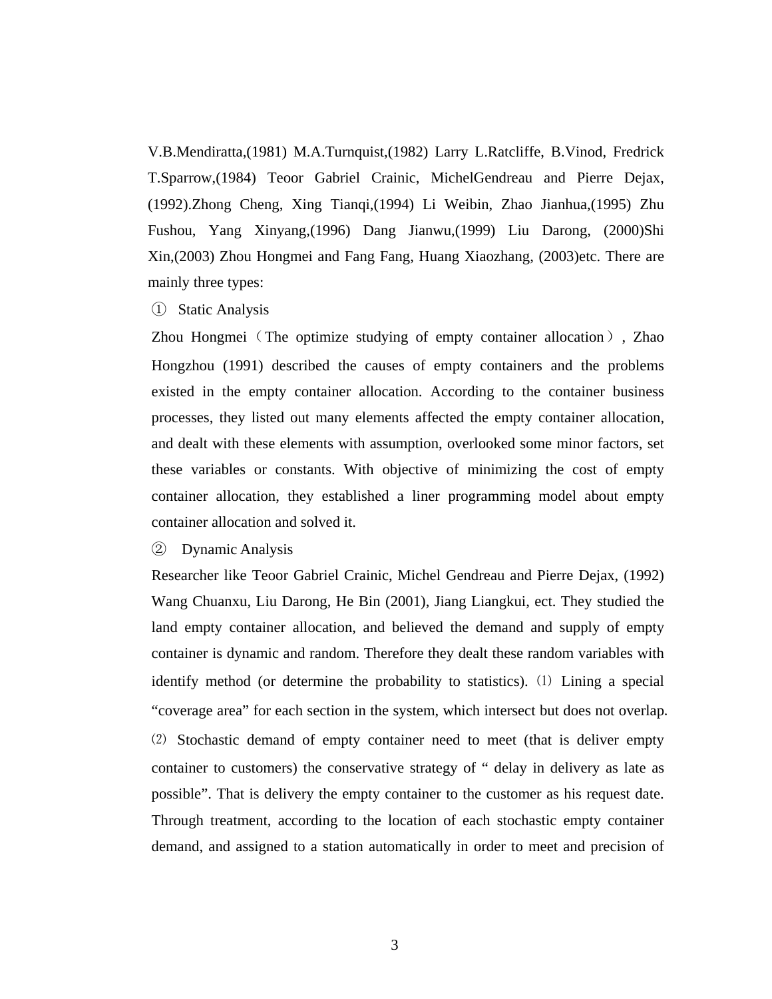V.B.Mendiratta,(1981) M.A.Turnquist,(1982) Larry L.Ratcliffe, B.Vinod, Fredrick T.Sparrow,(1984) Teoor Gabriel Crainic, MichelGendreau and Pierre Dejax, (1992).Zhong Cheng, Xing Tianqi,(1994) Li Weibin, Zhao Jianhua,(1995) Zhu Fushou, Yang Xinyang,(1996) Dang Jianwu,(1999) Liu Darong, (2000)Shi Xin,(2003) Zhou Hongmei and Fang Fang, Huang Xiaozhang, (2003)etc. There are mainly three types:

① Static Analysis

Zhou Hongmei (The optimize studying of empty container allocation), Zhao Hongzhou (1991) described the causes of empty containers and the problems existed in the empty container allocation. According to the container business processes, they listed out many elements affected the empty container allocation, and dealt with these elements with assumption, overlooked some minor factors, set these variables or constants. With objective of minimizing the cost of empty container allocation, they established a liner programming model about empty container allocation and solved it.

② Dynamic Analysis

Researcher like Teoor Gabriel Crainic, Michel Gendreau and Pierre Dejax, (1992) Wang Chuanxu, Liu Darong, He Bin (2001), Jiang Liangkui, ect. They studied the land empty container allocation, and believed the demand and supply of empty container is dynamic and random. Therefore they dealt these random variables with identify method (or determine the probability to statistics). ⑴ Lining a special "coverage area" for each section in the system, which intersect but does not overlap. ⑵ Stochastic demand of empty container need to meet (that is deliver empty container to customers) the conservative strategy of " delay in delivery as late as possible". That is delivery the empty container to the customer as his request date. Through treatment, according to the location of each stochastic empty container demand, and assigned to a station automatically in order to meet and precision of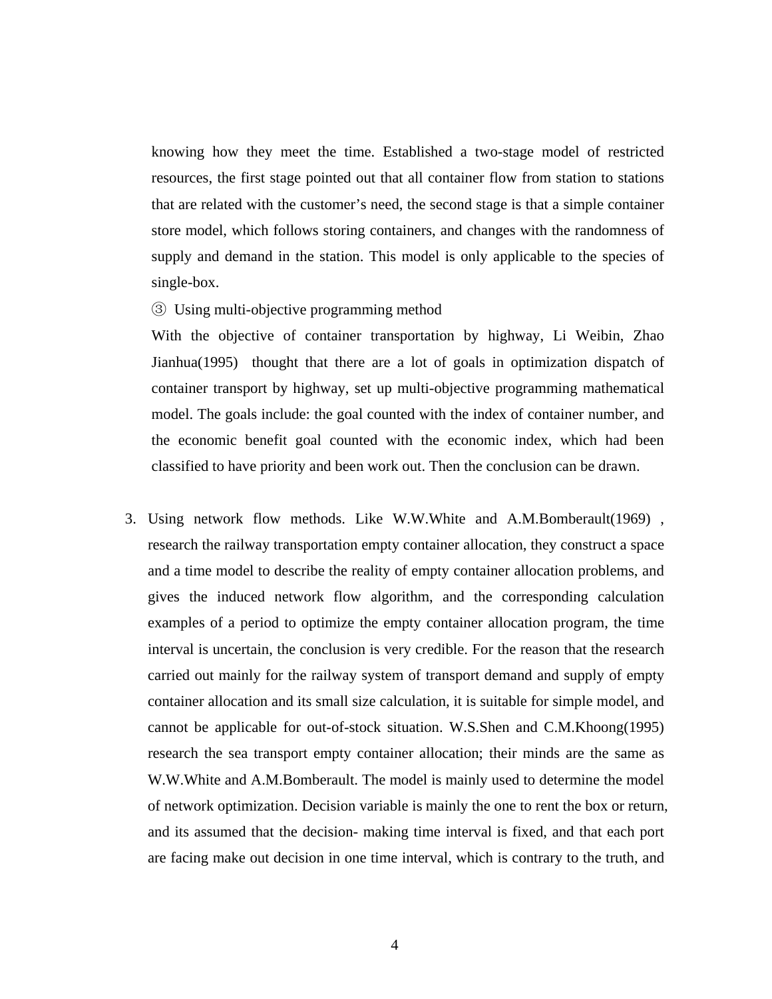knowing how they meet the time. Established a two-stage model of restricted resources, the first stage pointed out that all container flow from station to stations that are related with the customer's need, the second stage is that a simple container store model, which follows storing containers, and changes with the randomness of supply and demand in the station. This model is only applicable to the species of single-box.

#### ③ Using multi-objective programming method

With the objective of container transportation by highway, Li Weibin, Zhao Jianhua(1995) thought that there are a lot of goals in optimization dispatch of container transport by highway, set up multi-objective programming mathematical model. The goals include: the goal counted with the index of container number, and the economic benefit goal counted with the economic index, which had been classified to have priority and been work out. Then the conclusion can be drawn.

3. Using network flow methods. Like W.W.White and A.M.Bomberault(1969) , research the railway transportation empty container allocation, they construct a space and a time model to describe the reality of empty container allocation problems, and gives the induced network flow algorithm, and the corresponding calculation examples of a period to optimize the empty container allocation program, the time interval is uncertain, the conclusion is very credible. For the reason that the research carried out mainly for the railway system of transport demand and supply of empty container allocation and its small size calculation, it is suitable for simple model, and cannot be applicable for out-of-stock situation. W.S.Shen and C.M.Khoong(1995) research the sea transport empty container allocation; their minds are the same as W.W.White and A.M.Bomberault. The model is mainly used to determine the model of network optimization. Decision variable is mainly the one to rent the box or return, and its assumed that the decision- making time interval is fixed, and that each port are facing make out decision in one time interval, which is contrary to the truth, and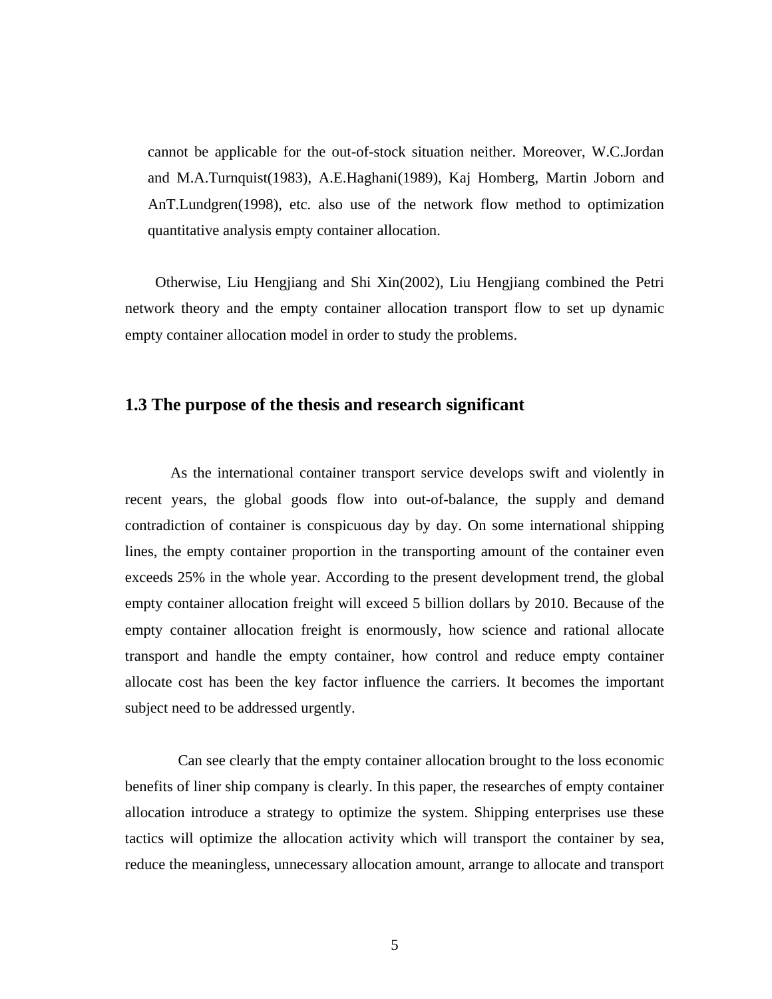<span id="page-14-0"></span>cannot be applicable for the out-of-stock situation neither. Moreover, W.C.Jordan and M.A.Turnquist(1983), A.E.Haghani(1989), Kaj Homberg, Martin Joborn and AnT.Lundgren(1998), etc. also use of the network flow method to optimization quantitative analysis empty container allocation.

Otherwise, Liu Hengjiang and Shi Xin(2002), Liu Hengjiang combined the Petri network theory and the empty container allocation transport flow to set up dynamic empty container allocation model in order to study the problems.

### **1.3 The purpose of the thesis and research significant**

As the international container transport service develops swift and violently in recent years, the global goods flow into out-of-balance, the supply and demand contradiction of container is conspicuous day by day. On some international shipping lines, the empty container proportion in the transporting amount of the container even exceeds 25% in the whole year. According to the present development trend, the global empty container allocation freight will exceed 5 billion dollars by 2010. Because of the empty container allocation freight is enormously, how science and rational allocate transport and handle the empty container, how control and reduce empty container allocate cost has been the key factor influence the carriers. It becomes the important subject need to be addressed urgently.

Can see clearly that the empty container allocation brought to the loss economic benefits of liner ship company is clearly. In this paper, the researches of empty container allocation introduce a strategy to optimize the system. Shipping enterprises use these tactics will optimize the allocation activity which will transport the container by sea, reduce the meaningless, unnecessary allocation amount, arrange to allocate and transport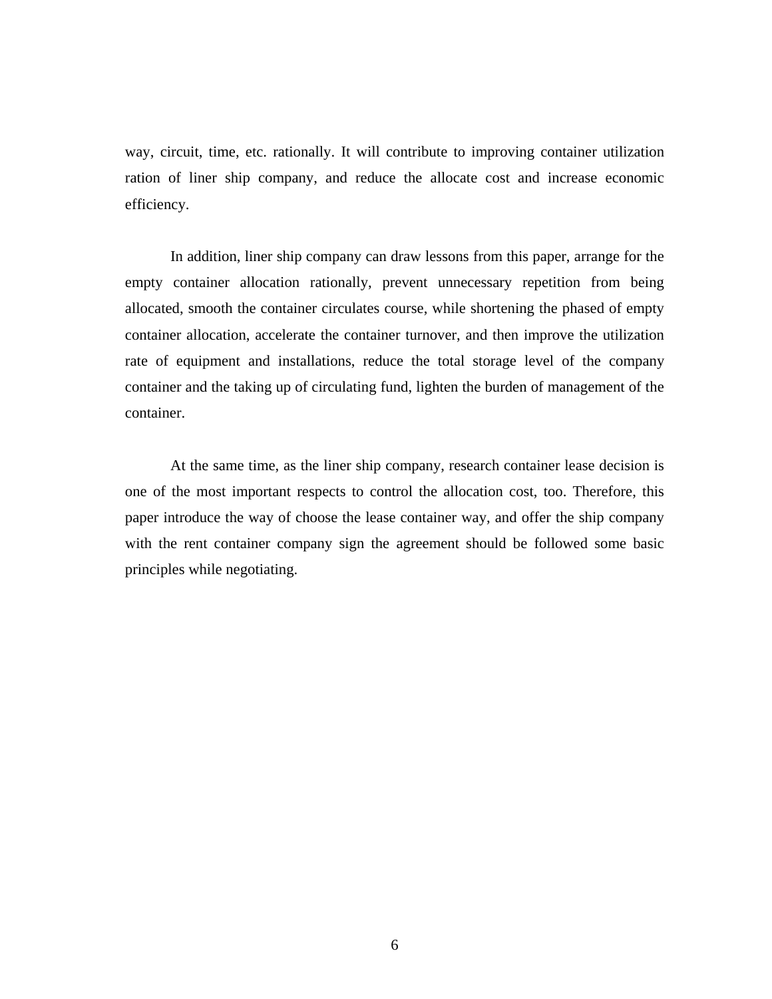way, circuit, time, etc. rationally. It will contribute to improving container utilization ration of liner ship company, and reduce the allocate cost and increase economic efficiency.

In addition, liner ship company can draw lessons from this paper, arrange for the empty container allocation rationally, prevent unnecessary repetition from being allocated, smooth the container circulates course, while shortening the phased of empty container allocation, accelerate the container turnover, and then improve the utilization rate of equipment and installations, reduce the total storage level of the company container and the taking up of circulating fund, lighten the burden of management of the container.

At the same time, as the liner ship company, research container lease decision is one of the most important respects to control the allocation cost, too. Therefore, this paper introduce the way of choose the lease container way, and offer the ship company with the rent container company sign the agreement should be followed some basic principles while negotiating.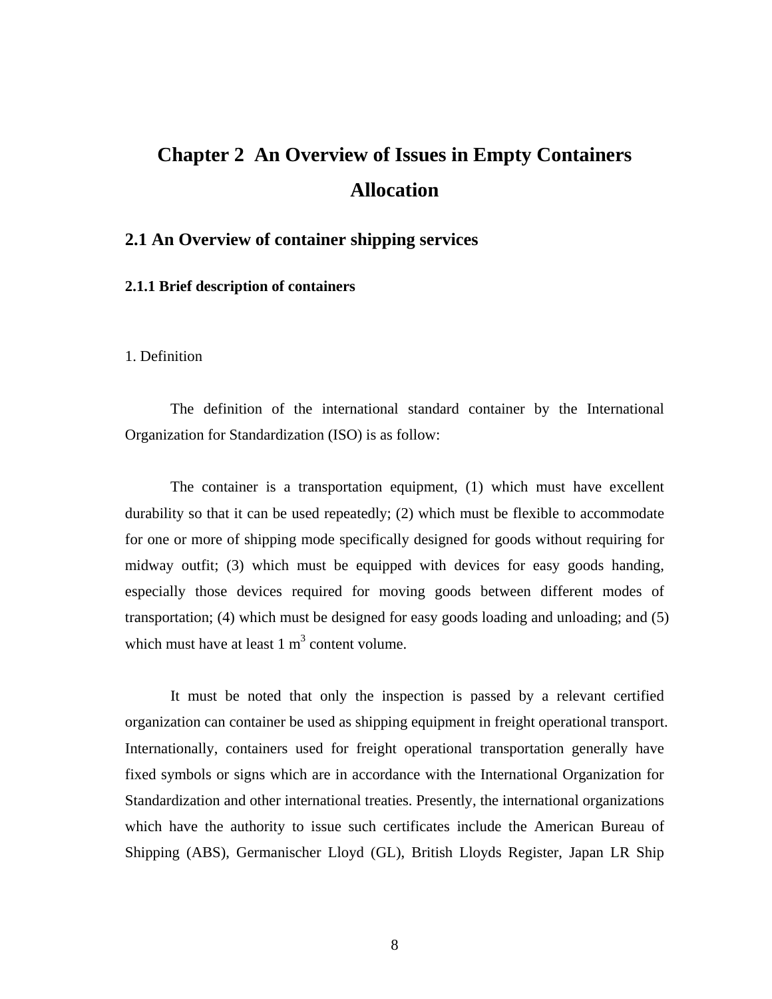# <span id="page-16-0"></span>**Chapter 2 An Overview of Issues in Empty Containers Allocation**

### **2.1 An Overview of container shipping services**

#### **2.1.1 Brief description of containers**

#### 1. Definition

The definition of the international standard container by the International Organization for Standardization (ISO) is as follow:

The container is a transportation equipment, (1) which must have excellent durability so that it can be used repeatedly; (2) which must be flexible to accommodate for one or more of shipping mode specifically designed for goods without requiring for midway outfit; (3) which must be equipped with devices for easy goods handing, especially those devices required for moving goods between different modes of transportation; (4) which must be designed for easy goods loading and unloading; and (5) which must have at least  $1 \text{ m}^3$  content volume.

It must be noted that only the inspection is passed by a relevant certified organization can container be used as shipping equipment in freight operational transport. Internationally, containers used for freight operational transportation generally have fixed symbols or signs which are in accordance with the International Organization for Standardization and other international treaties. Presently, the international organizations which have the authority to issue such certificates include the American Bureau of Shipping (ABS), Germanischer Lloyd (GL), British Lloyds Register, Japan LR Ship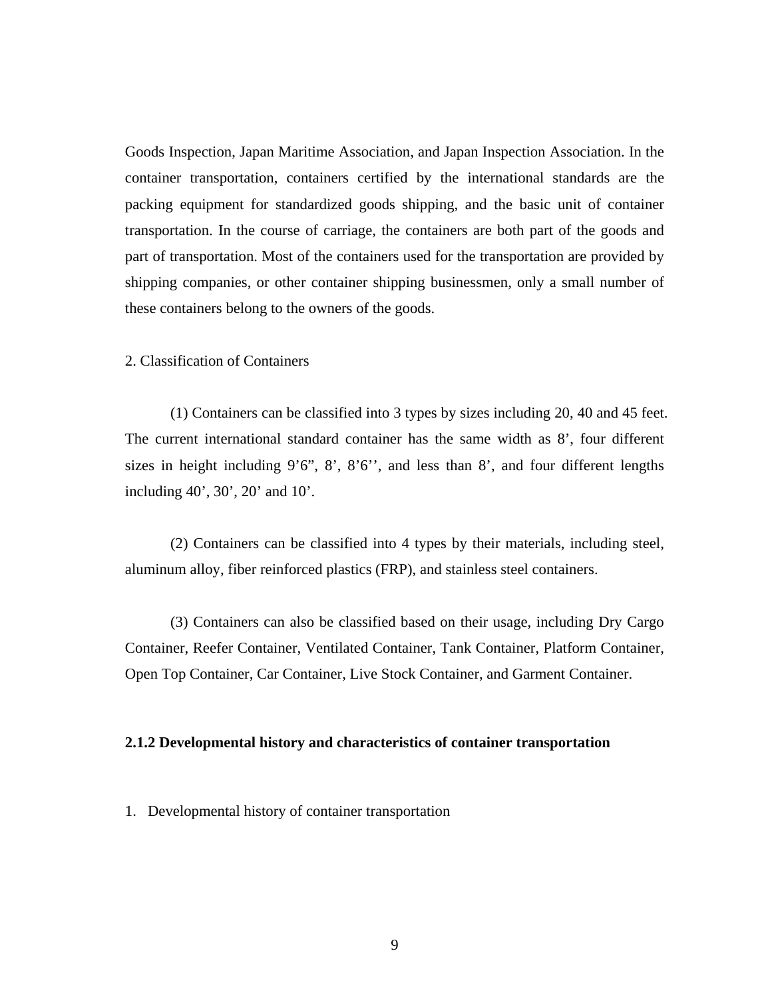<span id="page-17-0"></span>Goods Inspection, Japan Maritime Association, and Japan Inspection Association. In the container transportation, containers certified by the international standards are the packing equipment for standardized goods shipping, and the basic unit of container transportation. In the course of carriage, the containers are both part of the goods and part of transportation. Most of the containers used for the transportation are provided by shipping companies, or other container shipping businessmen, only a small number of these containers belong to the owners of the goods.

### 2. Classification of Containers

(1) Containers can be classified into 3 types by sizes including 20, 40 and 45 feet. The current international standard container has the same width as 8', four different sizes in height including  $9'6''$ ,  $8'$ ,  $8'6''$ , and less than  $8'$ , and four different lengths including 40', 30', 20' and 10'.

(2) Containers can be classified into 4 types by their materials, including steel, aluminum alloy, fiber reinforced plastics (FRP), and stainless steel containers.

(3) Containers can also be classified based on their usage, including Dry Cargo Container, Reefer Container, Ventilated Container, Tank Container, Platform Container, Open Top Container, Car Container, Live Stock Container, and Garment Container.

#### **2.1.2 Developmental history and characteristics of container transportation**

1. Developmental history of container transportation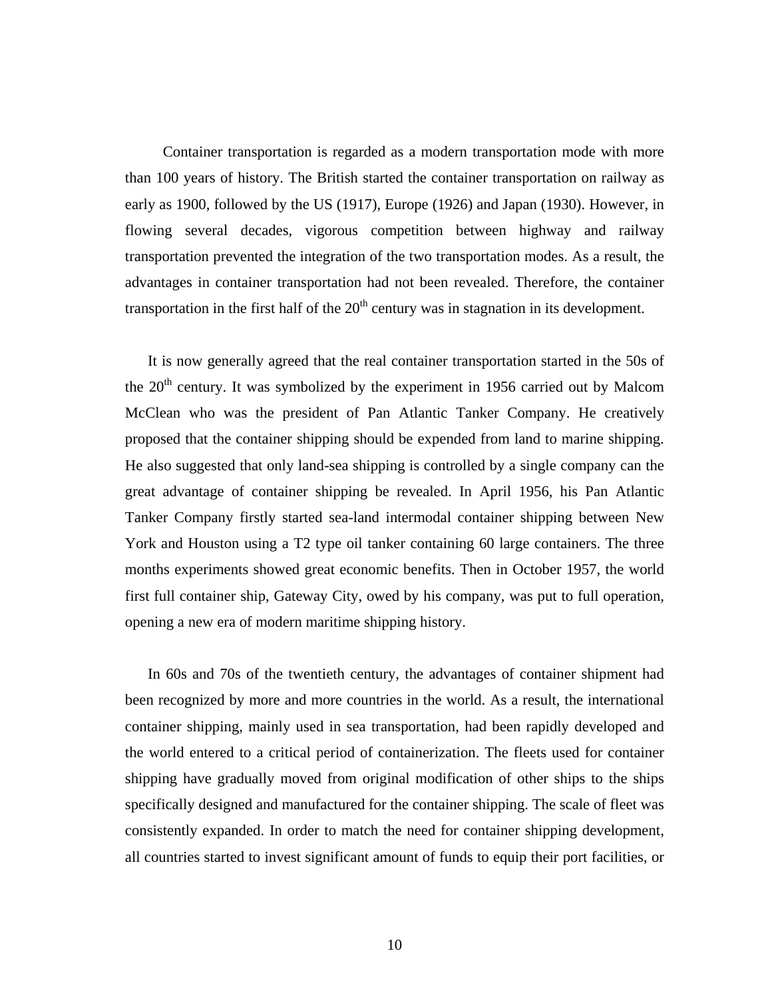Container transportation is regarded as a modern transportation mode with more than 100 years of history. The British started the container transportation on railway as early as 1900, followed by the US (1917), Europe (1926) and Japan (1930). However, in flowing several decades, vigorous competition between highway and railway transportation prevented the integration of the two transportation modes. As a result, the advantages in container transportation had not been revealed. Therefore, the container transportation in the first half of the  $20<sup>th</sup>$  century was in stagnation in its development.

It is now generally agreed that the real container transportation started in the 50s of the  $20<sup>th</sup>$  century. It was symbolized by the experiment in 1956 carried out by Malcom McClean who was the president of Pan Atlantic Tanker Company. He creatively proposed that the container shipping should be expended from land to marine shipping. He also suggested that only land-sea shipping is controlled by a single company can the great advantage of container shipping be revealed. In April 1956, his Pan Atlantic Tanker Company firstly started sea-land intermodal container shipping between New York and Houston using a T2 type oil tanker containing 60 large containers. The three months experiments showed great economic benefits. Then in October 1957, the world first full container ship, Gateway City, owed by his company, was put to full operation, opening a new era of modern maritime shipping history.

In 60s and 70s of the twentieth century, the advantages of container shipment had been recognized by more and more countries in the world. As a result, the international container shipping, mainly used in sea transportation, had been rapidly developed and the world entered to a critical period of containerization. The fleets used for container shipping have gradually moved from original modification of other ships to the ships specifically designed and manufactured for the container shipping. The scale of fleet was consistently expanded. In order to match the need for container shipping development, all countries started to invest significant amount of funds to equip their port facilities, or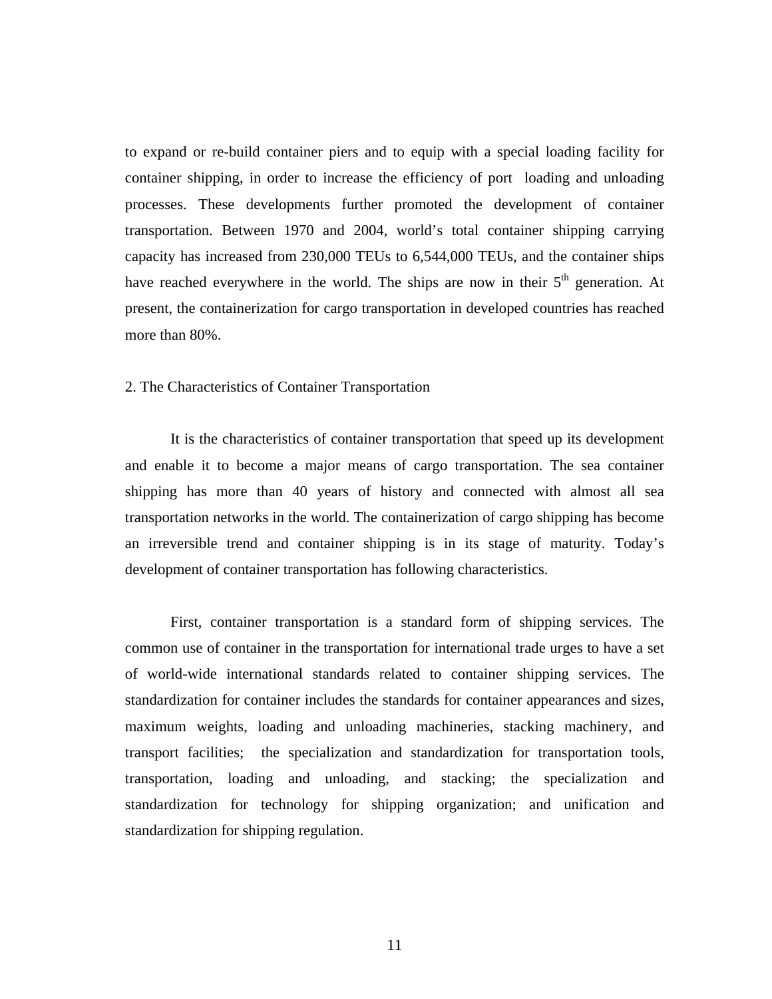to expand or re-build container piers and to equip with a special loading facility for container shipping, in order to increase the efficiency of port loading and unloading processes. These developments further promoted the development of container transportation. Between 1970 and 2004, world's total container shipping carrying capacity has increased from 230,000 TEUs to 6,544,000 TEUs, and the container ships have reached everywhere in the world. The ships are now in their 5<sup>th</sup> generation. At present, the containerization for cargo transportation in developed countries has reached more than 80%.

#### 2. The Characteristics of Container Transportation

It is the characteristics of container transportation that speed up its development and enable it to become a major means of cargo transportation. The sea container shipping has more than 40 years of history and connected with almost all sea transportation networks in the world. The containerization of cargo shipping has become an irreversible trend and container shipping is in its stage of maturity. Today's development of container transportation has following characteristics.

First, container transportation is a standard form of shipping services. The common use of container in the transportation for international trade urges to have a set of world-wide international standards related to container shipping services. The standardization for container includes the standards for container appearances and sizes, maximum weights, loading and unloading machineries, stacking machinery, and transport facilities; the specialization and standardization for transportation tools, transportation, loading and unloading, and stacking; the specialization and standardization for technology for shipping organization; and unification and standardization for shipping regulation.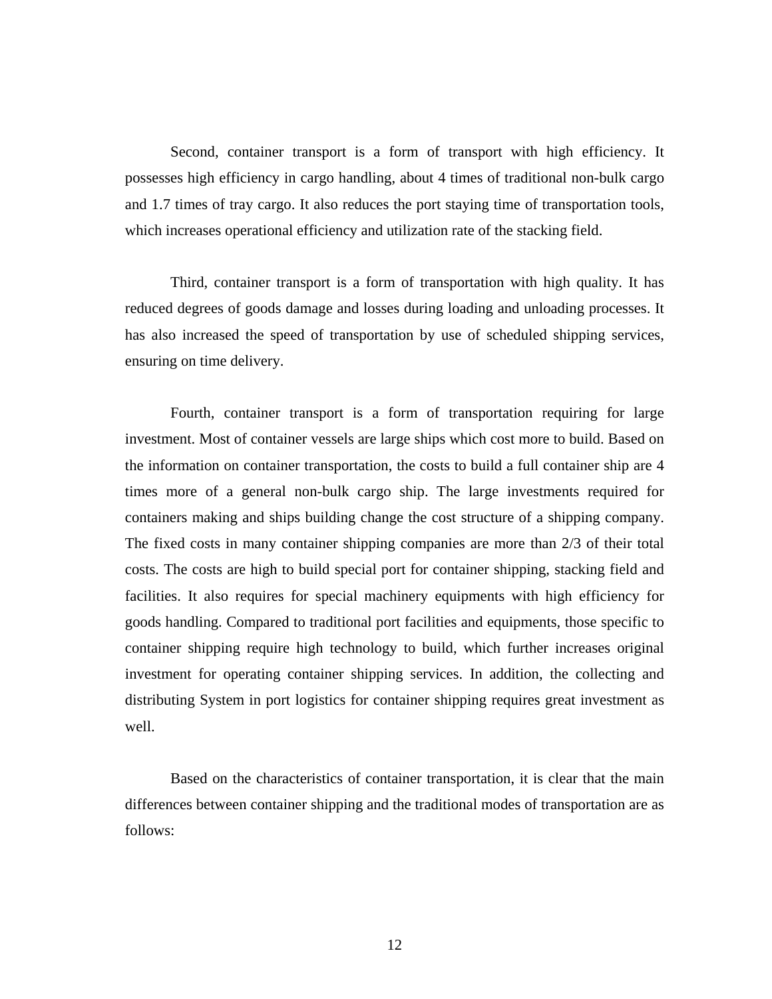Second, container transport is a form of transport with high efficiency. It possesses high efficiency in cargo handling, about 4 times of traditional non-bulk cargo and 1.7 times of tray cargo. It also reduces the port staying time of transportation tools, which increases operational efficiency and utilization rate of the stacking field.

Third, container transport is a form of transportation with high quality. It has reduced degrees of goods damage and losses during loading and unloading processes. It has also increased the speed of transportation by use of scheduled shipping services, ensuring on time delivery.

Fourth, container transport is a form of transportation requiring for large investment. Most of container vessels are large ships which cost more to build. Based on the information on container transportation, the costs to build a full container ship are 4 times more of a general non-bulk cargo ship. The large investments required for containers making and ships building change the cost structure of a shipping company. The fixed costs in many container shipping companies are more than 2/3 of their total costs. The costs are high to build special port for container shipping, stacking field and facilities. It also requires for special machinery equipments with high efficiency for goods handling. Compared to traditional port facilities and equipments, those specific to container shipping require high technology to build, which further increases original investment for operating container shipping services. In addition, the collecting and distributing System in port logistics for container shipping requires great investment as well.

Based on the characteristics of container transportation, it is clear that the main differences between container shipping and the traditional modes of transportation are as follows: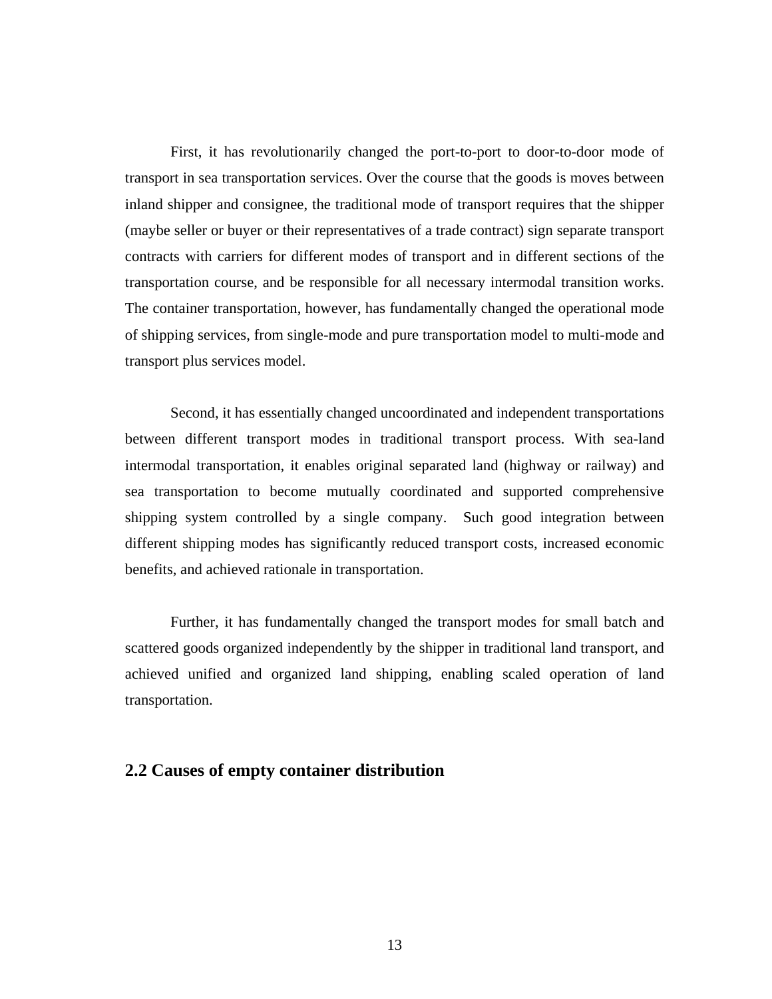<span id="page-21-0"></span>First, it has revolutionarily changed the port-to-port to door-to-door mode of transport in sea transportation services. Over the course that the goods is moves between inland shipper and consignee, the traditional mode of transport requires that the shipper (maybe seller or buyer or their representatives of a trade contract) sign separate transport contracts with carriers for different modes of transport and in different sections of the transportation course, and be responsible for all necessary intermodal transition works. The container transportation, however, has fundamentally changed the operational mode of shipping services, from single-mode and pure transportation model to multi-mode and transport plus services model.

Second, it has essentially changed uncoordinated and independent transportations between different transport modes in traditional transport process. With sea-land intermodal transportation, it enables original separated land (highway or railway) and sea transportation to become mutually coordinated and supported comprehensive shipping system controlled by a single company. Such good integration between different shipping modes has significantly reduced transport costs, increased economic benefits, and achieved rationale in transportation.

Further, it has fundamentally changed the transport modes for small batch and scattered goods organized independently by the shipper in traditional land transport, and achieved unified and organized land shipping, enabling scaled operation of land transportation.

### **2.2 Causes of empty container distribution**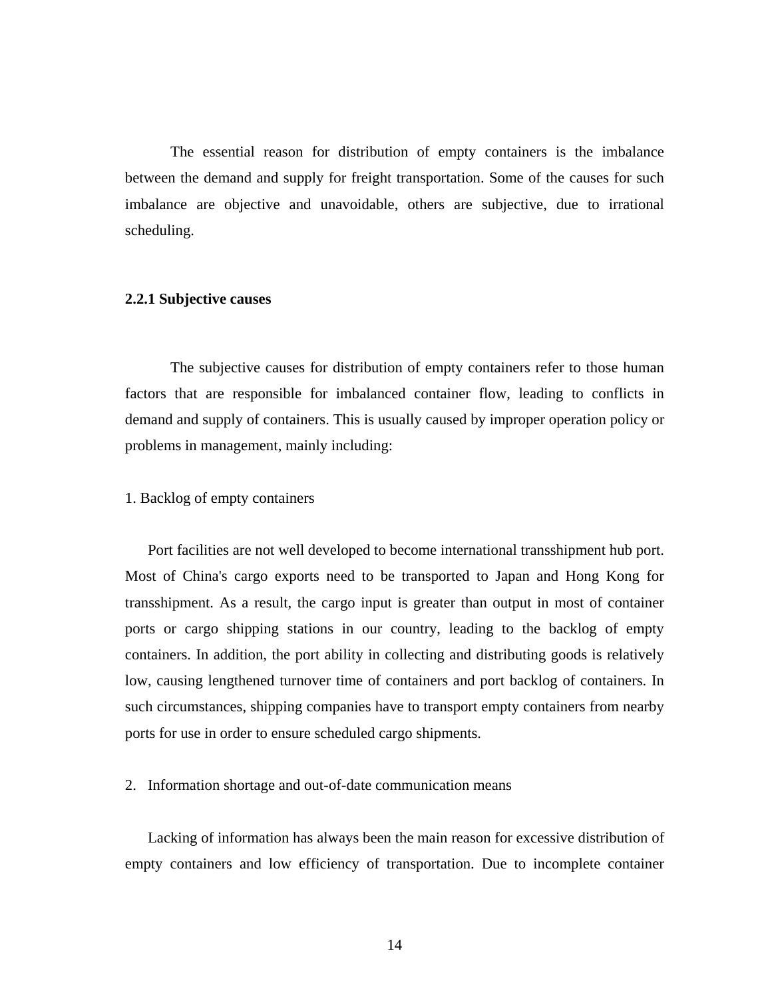<span id="page-22-0"></span>The essential reason for distribution of empty containers is the imbalance between the demand and supply for freight transportation. Some of the causes for such imbalance are objective and unavoidable, others are subjective, due to irrational scheduling.

#### **2.2.1 Subjective causes**

The subjective causes for distribution of empty containers refer to those human factors that are responsible for imbalanced container flow, leading to conflicts in demand and supply of containers. This is usually caused by improper operation policy or problems in management, mainly including:

#### 1. Backlog of empty containers

Port facilities are not well developed to become international transshipment hub port. Most of China's cargo exports need to be transported to Japan and Hong Kong for transshipment. As a result, the cargo input is greater than output in most of container ports or cargo shipping stations in our country, leading to the backlog of empty containers. In addition, the port ability in collecting and distributing goods is relatively low, causing lengthened turnover time of containers and port backlog of containers. In such circumstances, shipping companies have to transport empty containers from nearby ports for use in order to ensure scheduled cargo shipments.

#### 2. Information shortage and out-of-date communication means

Lacking of information has always been the main reason for excessive distribution of empty containers and low efficiency of transportation. Due to incomplete container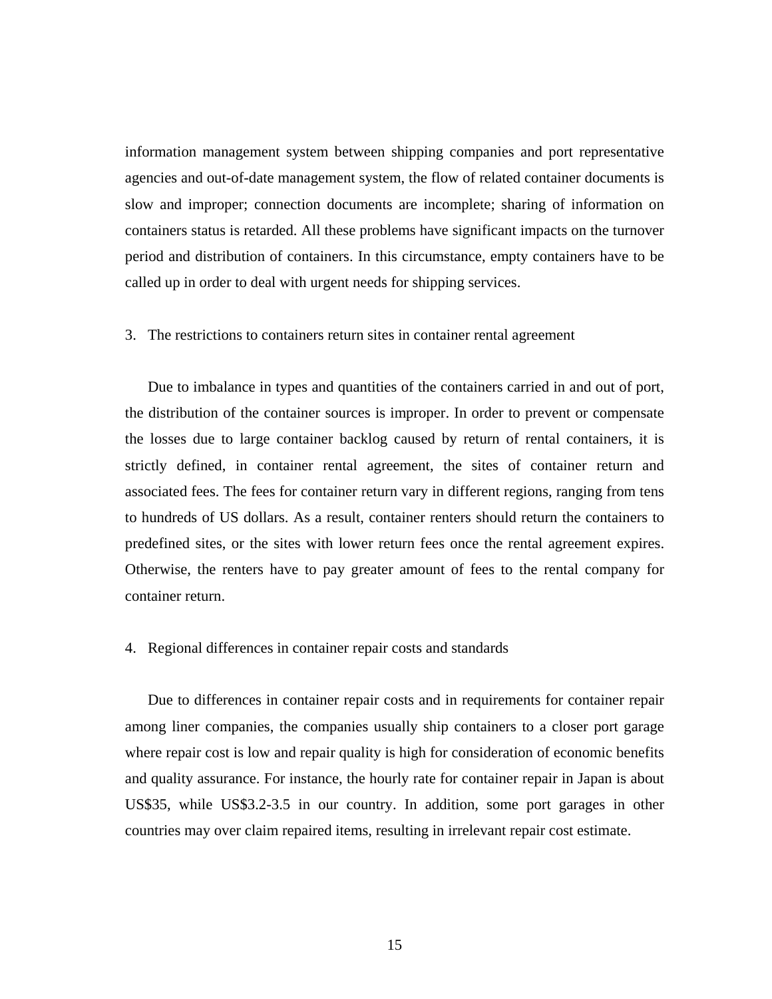information management system between shipping companies and port representative agencies and out-of-date management system, the flow of related container documents is slow and improper; connection documents are incomplete; sharing of information on containers status is retarded. All these problems have significant impacts on the turnover period and distribution of containers. In this circumstance, empty containers have to be called up in order to deal with urgent needs for shipping services.

#### 3. The restrictions to containers return sites in container rental agreement

Due to imbalance in types and quantities of the containers carried in and out of port, the distribution of the container sources is improper. In order to prevent or compensate the losses due to large container backlog caused by return of rental containers, it is strictly defined, in container rental agreement, the sites of container return and associated fees. The fees for container return vary in different regions, ranging from tens to hundreds of US dollars. As a result, container renters should return the containers to predefined sites, or the sites with lower return fees once the rental agreement expires. Otherwise, the renters have to pay greater amount of fees to the rental company for container return.

#### 4. Regional differences in container repair costs and standards

Due to differences in container repair costs and in requirements for container repair among liner companies, the companies usually ship containers to a closer port garage where repair cost is low and repair quality is high for consideration of economic benefits and quality assurance. For instance, the hourly rate for container repair in Japan is about US\$35, while US\$3.2-3.5 in our country. In addition, some port garages in other countries may over claim repaired items, resulting in irrelevant repair cost estimate.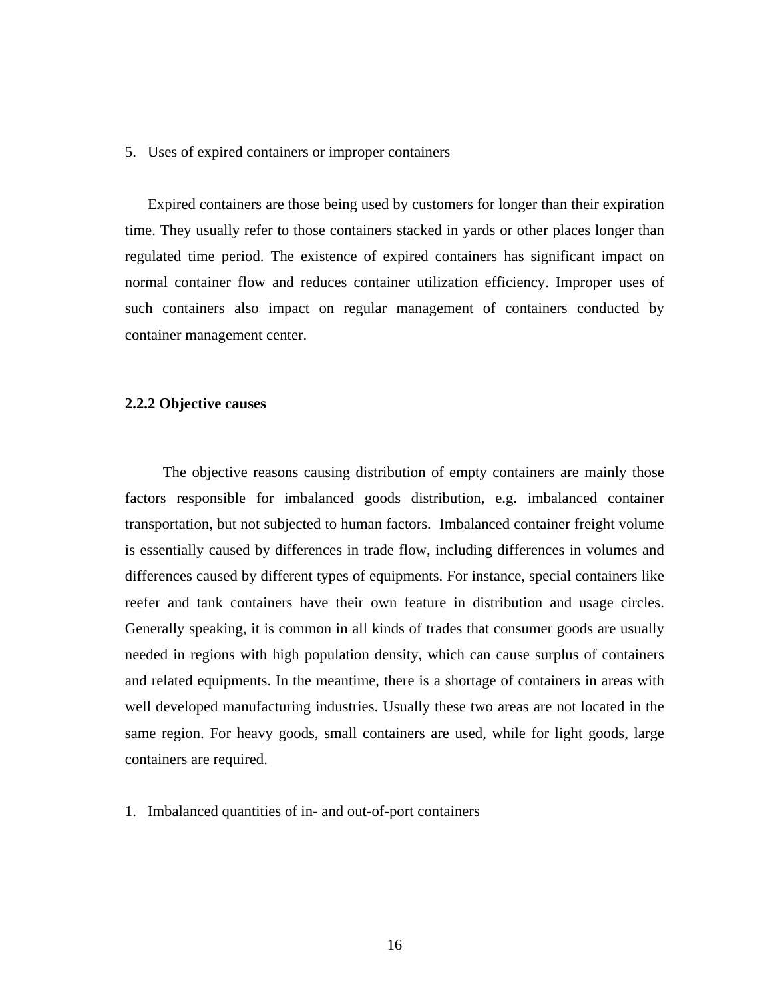#### <span id="page-24-0"></span>5. Uses of expired containers or improper containers

Expired containers are those being used by customers for longer than their expiration time. They usually refer to those containers stacked in yards or other places longer than regulated time period. The existence of expired containers has significant impact on normal container flow and reduces container utilization efficiency. Improper uses of such containers also impact on regular management of containers conducted by container management center.

#### **2.2.2 Objective causes**

The objective reasons causing distribution of empty containers are mainly those factors responsible for imbalanced goods distribution, e.g. imbalanced container transportation, but not subjected to human factors. Imbalanced container freight volume is essentially caused by differences in trade flow, including differences in volumes and differences caused by different types of equipments. For instance, special containers like reefer and tank containers have their own feature in distribution and usage circles. Generally speaking, it is common in all kinds of trades that consumer goods are usually needed in regions with high population density, which can cause surplus of containers and related equipments. In the meantime, there is a shortage of containers in areas with well developed manufacturing industries. Usually these two areas are not located in the same region. For heavy goods, small containers are used, while for light goods, large containers are required.

1. Imbalanced quantities of in- and out-of-port containers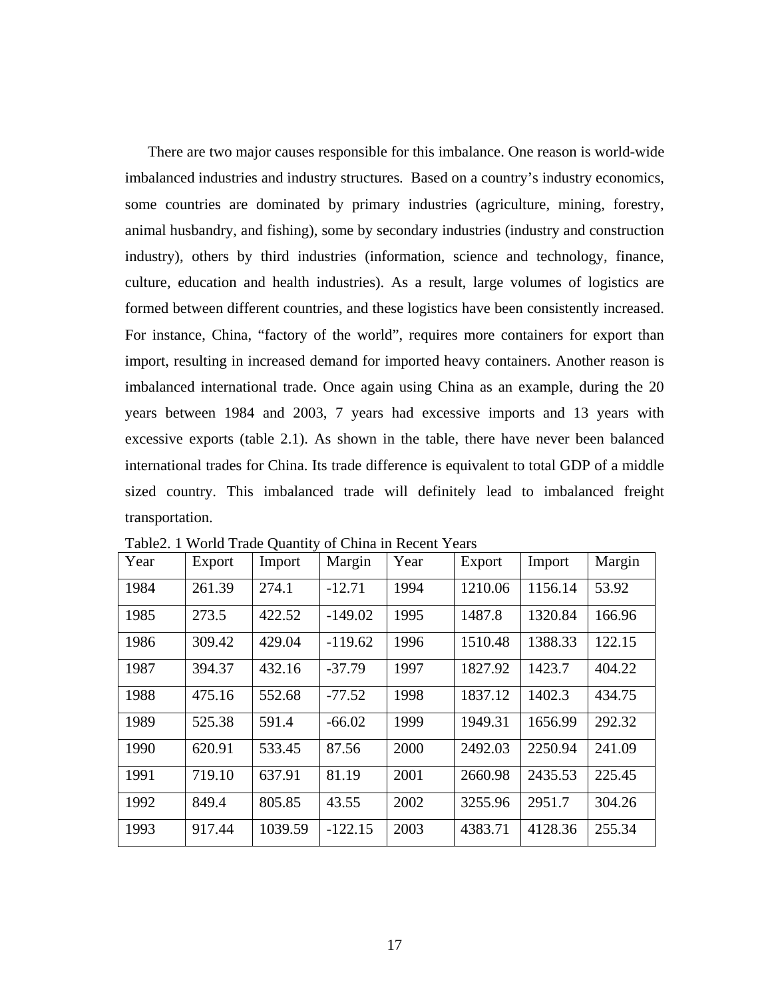<span id="page-25-0"></span>There are two major causes responsible for this imbalance. One reason is world-wide imbalanced industries and industry structures. Based on a country's industry economics, some countries are dominated by primary industries (agriculture, mining, forestry, animal husbandry, and fishing), some by secondary industries (industry and construction industry), others by third industries (information, science and technology, finance, culture, education and health industries). As a result, large volumes of logistics are formed between different countries, and these logistics have been consistently increased. For instance, China, "factory of the world", requires more containers for export than import, resulting in increased demand for imported heavy containers. Another reason is imbalanced international trade. Once again using China as an example, during the 20 years between 1984 and 2003, 7 years had excessive imports and 13 years with excessive exports (table 2.1). As shown in the table, there have never been balanced international trades for China. Its trade difference is equivalent to total GDP of a middle sized country. This imbalanced trade will definitely lead to imbalanced freight transportation.

| Year | Export | Import  | Margin    | Year | Export  | Import  | Margin |
|------|--------|---------|-----------|------|---------|---------|--------|
| 1984 | 261.39 | 274.1   | $-12.71$  | 1994 | 1210.06 | 1156.14 | 53.92  |
| 1985 | 273.5  | 422.52  | $-149.02$ | 1995 | 1487.8  | 1320.84 | 166.96 |
| 1986 | 309.42 | 429.04  | $-119.62$ | 1996 | 1510.48 | 1388.33 | 122.15 |
| 1987 | 394.37 | 432.16  | $-37.79$  | 1997 | 1827.92 | 1423.7  | 404.22 |
| 1988 | 475.16 | 552.68  | $-77.52$  | 1998 | 1837.12 | 1402.3  | 434.75 |
| 1989 | 525.38 | 591.4   | $-66.02$  | 1999 | 1949.31 | 1656.99 | 292.32 |
| 1990 | 620.91 | 533.45  | 87.56     | 2000 | 2492.03 | 2250.94 | 241.09 |
| 1991 | 719.10 | 637.91  | 81.19     | 2001 | 2660.98 | 2435.53 | 225.45 |
| 1992 | 849.4  | 805.85  | 43.55     | 2002 | 3255.96 | 2951.7  | 304.26 |
| 1993 | 917.44 | 1039.59 | $-122.15$ | 2003 | 4383.71 | 4128.36 | 255.34 |

Table2. 1 World Trade Quantity of China in Recent Years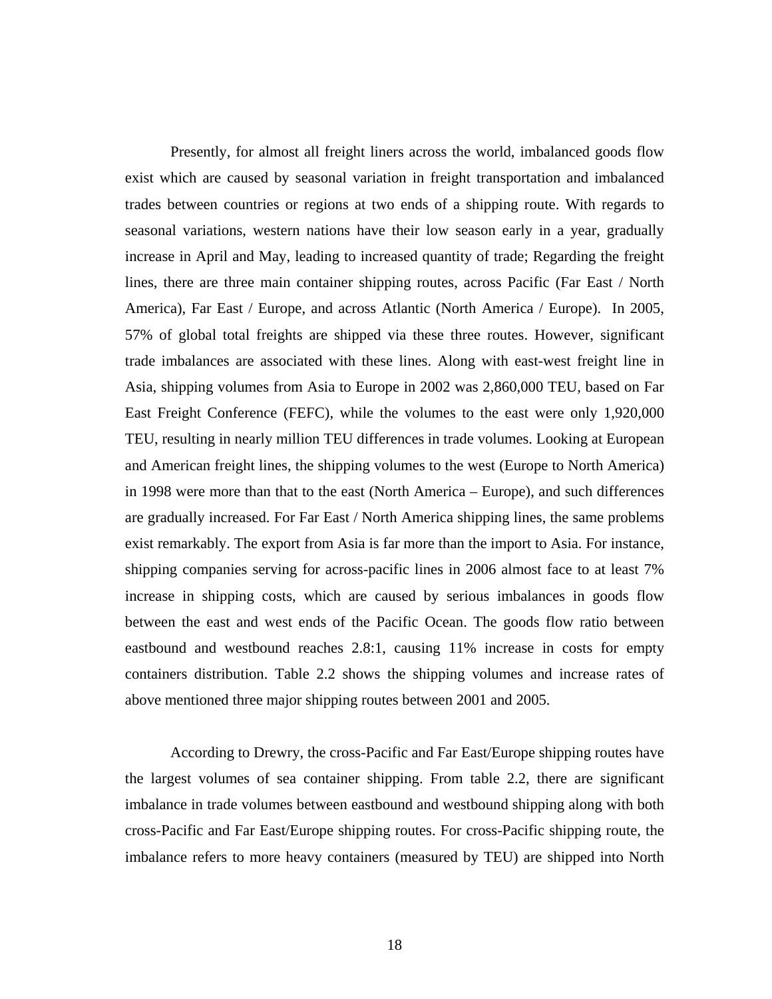Presently, for almost all freight liners across the world, imbalanced goods flow exist which are caused by seasonal variation in freight transportation and imbalanced trades between countries or regions at two ends of a shipping route. With regards to seasonal variations, western nations have their low season early in a year, gradually increase in April and May, leading to increased quantity of trade; Regarding the freight lines, there are three main container shipping routes, across Pacific (Far East / North America), Far East / Europe, and across Atlantic (North America / Europe). In 2005, 57% of global total freights are shipped via these three routes. However, significant trade imbalances are associated with these lines. Along with east-west freight line in Asia, shipping volumes from Asia to Europe in 2002 was 2,860,000 TEU, based on Far East Freight Conference (FEFC), while the volumes to the east were only 1,920,000 TEU, resulting in nearly million TEU differences in trade volumes. Looking at European and American freight lines, the shipping volumes to the west (Europe to North America) in 1998 were more than that to the east (North America – Europe), and such differences are gradually increased. For Far East / North America shipping lines, the same problems exist remarkably. The export from Asia is far more than the import to Asia. For instance, shipping companies serving for across-pacific lines in 2006 almost face to at least 7% increase in shipping costs, which are caused by serious imbalances in goods flow between the east and west ends of the Pacific Ocean. The goods flow ratio between eastbound and westbound reaches 2.8:1, causing 11% increase in costs for empty containers distribution. Table 2.2 shows the shipping volumes and increase rates of above mentioned three major shipping routes between 2001 and 2005.

According to Drewry, the cross-Pacific and Far East/Europe shipping routes have the largest volumes of sea container shipping. From table 2.2, there are significant imbalance in trade volumes between eastbound and westbound shipping along with both cross-Pacific and Far East/Europe shipping routes. For cross-Pacific shipping route, the imbalance refers to more heavy containers (measured by TEU) are shipped into North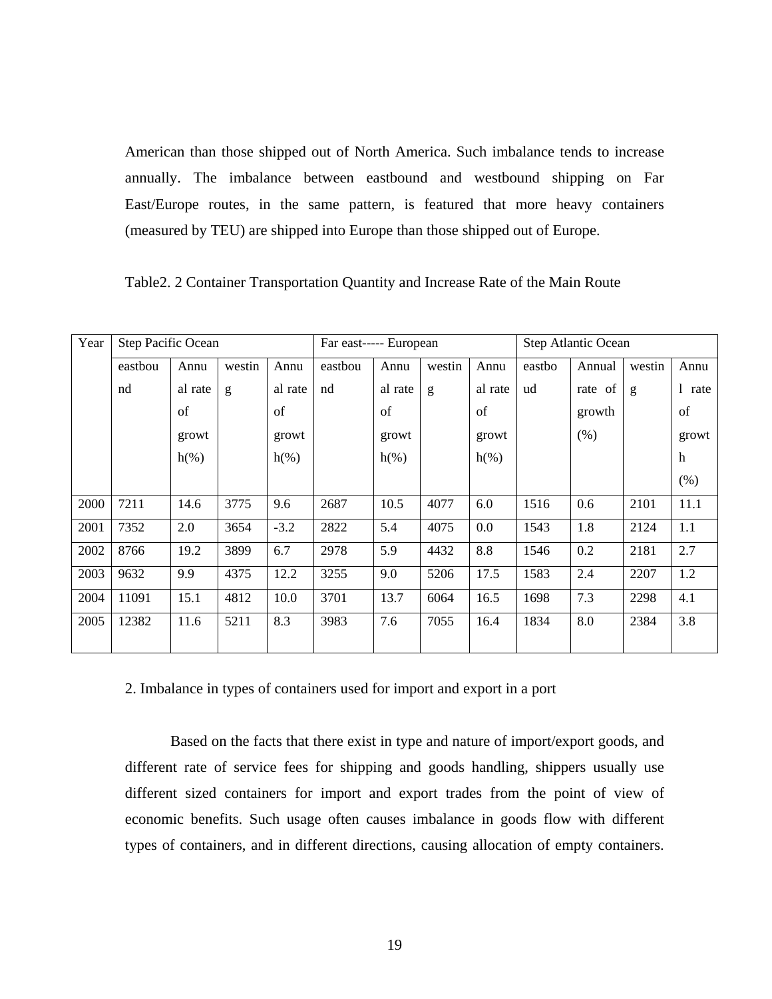<span id="page-27-0"></span>American than those shipped out of North America. Such imbalance tends to increase annually. The imbalance between eastbound and westbound shipping on Far East/Europe routes, in the same pattern, is featured that more heavy containers (measured by TEU) are shipped into Europe than those shipped out of Europe.

| Table2. 2 Container Transportation Quantity and Increase Rate of the Main Route |  |  |  |  |  |
|---------------------------------------------------------------------------------|--|--|--|--|--|
|---------------------------------------------------------------------------------|--|--|--|--|--|

| Year | Step Pacific Ocean |         |        |         | Far east----- European |         |        |         | Step Atlantic Ocean |         |              |                      |
|------|--------------------|---------|--------|---------|------------------------|---------|--------|---------|---------------------|---------|--------------|----------------------|
|      | eastbou            | Annu    | westin | Annu    | eastbou                | Annu    | westin | Annu    | eastbo              | Annual  | westin       | Annu                 |
|      | nd                 | al rate | g      | al rate | nd                     | al rate | g      | al rate | ud                  | rate of | $\mathbf{g}$ | $\mathbf{1}$<br>rate |
|      |                    | of      |        | of      |                        | of      |        | of      |                     | growth  |              | of                   |
|      |                    | growt   |        | growt   |                        | growt   |        | growt   |                     | (% )    |              | growt                |
|      |                    | $h(\%)$ |        | $h(\%)$ |                        | $h(\%)$ |        | $h(\%)$ |                     |         |              | h                    |
|      |                    |         |        |         |                        |         |        |         |                     |         |              | (% )                 |
| 2000 | 7211               | 14.6    | 3775   | 9.6     | 2687                   | 10.5    | 4077   | 6.0     | 1516                | 0.6     | 2101         | 11.1                 |
| 2001 | 7352               | 2.0     | 3654   | $-3.2$  | 2822                   | 5.4     | 4075   | 0.0     | 1543                | 1.8     | 2124         | 1.1                  |
| 2002 | 8766               | 19.2    | 3899   | 6.7     | 2978                   | 5.9     | 4432   | 8.8     | 1546                | 0.2     | 2181         | 2.7                  |
| 2003 | 9632               | 9.9     | 4375   | 12.2    | 3255                   | 9.0     | 5206   | 17.5    | 1583                | 2.4     | 2207         | 1.2                  |
| 2004 | 11091              | 15.1    | 4812   | 10.0    | 3701                   | 13.7    | 6064   | 16.5    | 1698                | 7.3     | 2298         | 4.1                  |
| 2005 | 12382              | 11.6    | 5211   | 8.3     | 3983                   | 7.6     | 7055   | 16.4    | 1834                | 8.0     | 2384         | 3.8                  |
|      |                    |         |        |         |                        |         |        |         |                     |         |              |                      |

2. Imbalance in types of containers used for import and export in a port

Based on the facts that there exist in type and nature of import/export goods, and different rate of service fees for shipping and goods handling, shippers usually use different sized containers for import and export trades from the point of view of economic benefits. Such usage often causes imbalance in goods flow with different types of containers, and in different directions, causing allocation of empty containers.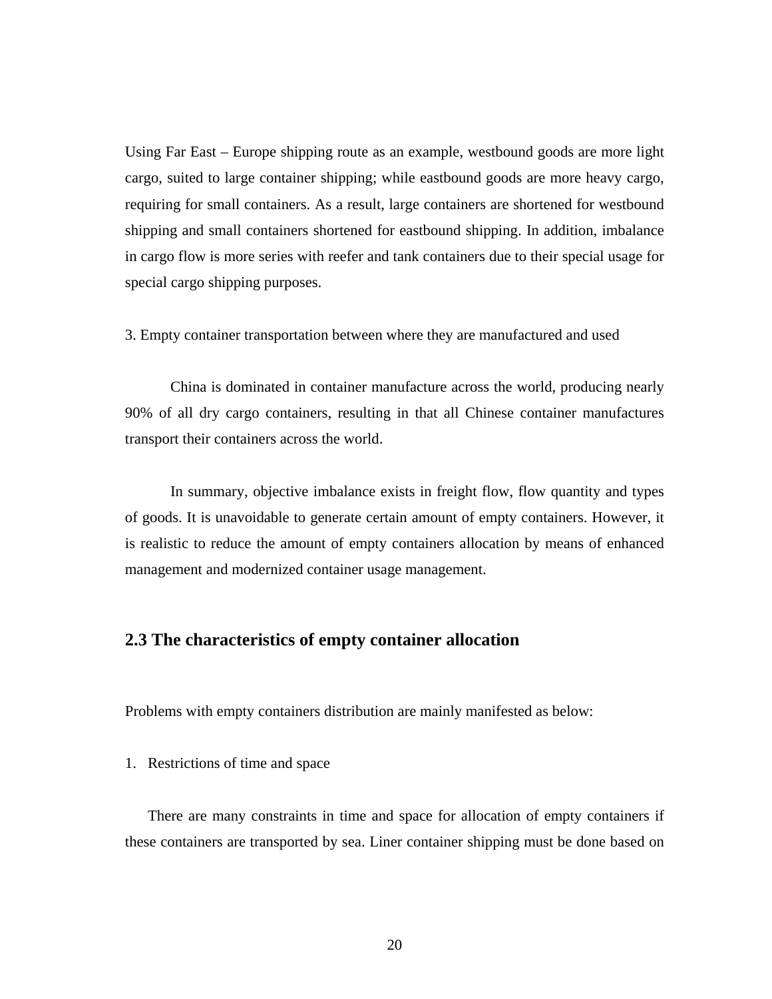<span id="page-28-0"></span>Using Far East – Europe shipping route as an example, westbound goods are more light cargo, suited to large container shipping; while eastbound goods are more heavy cargo, requiring for small containers. As a result, large containers are shortened for westbound shipping and small containers shortened for eastbound shipping. In addition, imbalance in cargo flow is more series with reefer and tank containers due to their special usage for special cargo shipping purposes.

3. Empty container transportation between where they are manufactured and used

China is dominated in container manufacture across the world, producing nearly 90% of all dry cargo containers, resulting in that all Chinese container manufactures transport their containers across the world.

In summary, objective imbalance exists in freight flow, flow quantity and types of goods. It is unavoidable to generate certain amount of empty containers. However, it is realistic to reduce the amount of empty containers allocation by means of enhanced management and modernized container usage management.

### **2.3 The characteristics of empty container allocation**

Problems with empty containers distribution are mainly manifested as below:

1. Restrictions of time and space

There are many constraints in time and space for allocation of empty containers if these containers are transported by sea. Liner container shipping must be done based on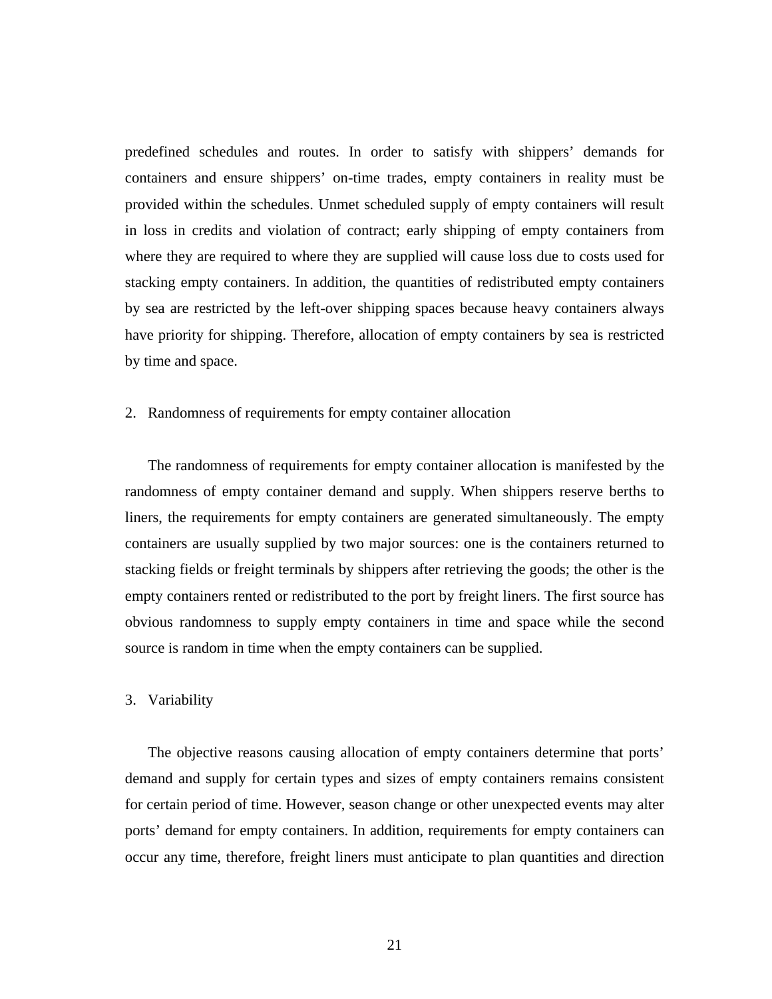predefined schedules and routes. In order to satisfy with shippers' demands for containers and ensure shippers' on-time trades, empty containers in reality must be provided within the schedules. Unmet scheduled supply of empty containers will result in loss in credits and violation of contract; early shipping of empty containers from where they are required to where they are supplied will cause loss due to costs used for stacking empty containers. In addition, the quantities of redistributed empty containers by sea are restricted by the left-over shipping spaces because heavy containers always have priority for shipping. Therefore, allocation of empty containers by sea is restricted by time and space.

#### 2. Randomness of requirements for empty container allocation

The randomness of requirements for empty container allocation is manifested by the randomness of empty container demand and supply. When shippers reserve berths to liners, the requirements for empty containers are generated simultaneously. The empty containers are usually supplied by two major sources: one is the containers returned to stacking fields or freight terminals by shippers after retrieving the goods; the other is the empty containers rented or redistributed to the port by freight liners. The first source has obvious randomness to supply empty containers in time and space while the second source is random in time when the empty containers can be supplied.

#### 3. Variability

The objective reasons causing allocation of empty containers determine that ports' demand and supply for certain types and sizes of empty containers remains consistent for certain period of time. However, season change or other unexpected events may alter ports' demand for empty containers. In addition, requirements for empty containers can occur any time, therefore, freight liners must anticipate to plan quantities and direction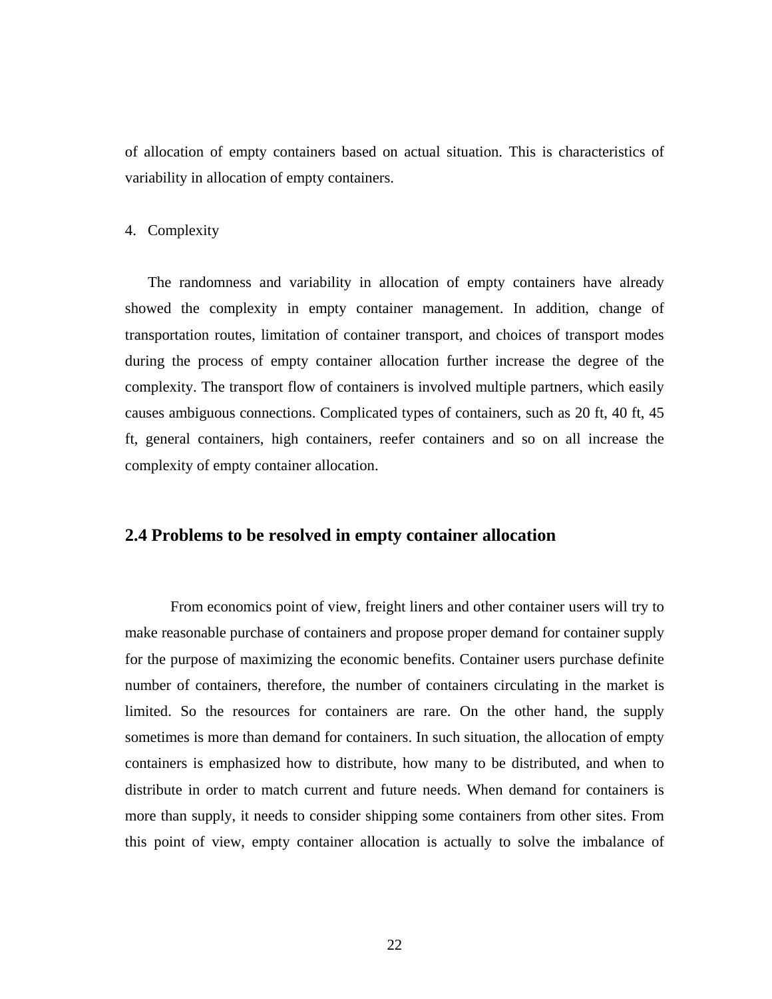<span id="page-30-0"></span>of allocation of empty containers based on actual situation. This is characteristics of variability in allocation of empty containers.

#### 4. Complexity

The randomness and variability in allocation of empty containers have already showed the complexity in empty container management. In addition, change of transportation routes, limitation of container transport, and choices of transport modes during the process of empty container allocation further increase the degree of the complexity. The transport flow of containers is involved multiple partners, which easily causes ambiguous connections. Complicated types of containers, such as 20 ft, 40 ft, 45 ft, general containers, high containers, reefer containers and so on all increase the complexity of empty container allocation.

### **2.4 Problems to be resolved in empty container allocation**

From economics point of view, freight liners and other container users will try to make reasonable purchase of containers and propose proper demand for container supply for the purpose of maximizing the economic benefits. Container users purchase definite number of containers, therefore, the number of containers circulating in the market is limited. So the resources for containers are rare. On the other hand, the supply sometimes is more than demand for containers. In such situation, the allocation of empty containers is emphasized how to distribute, how many to be distributed, and when to distribute in order to match current and future needs. When demand for containers is more than supply, it needs to consider shipping some containers from other sites. From this point of view, empty container allocation is actually to solve the imbalance of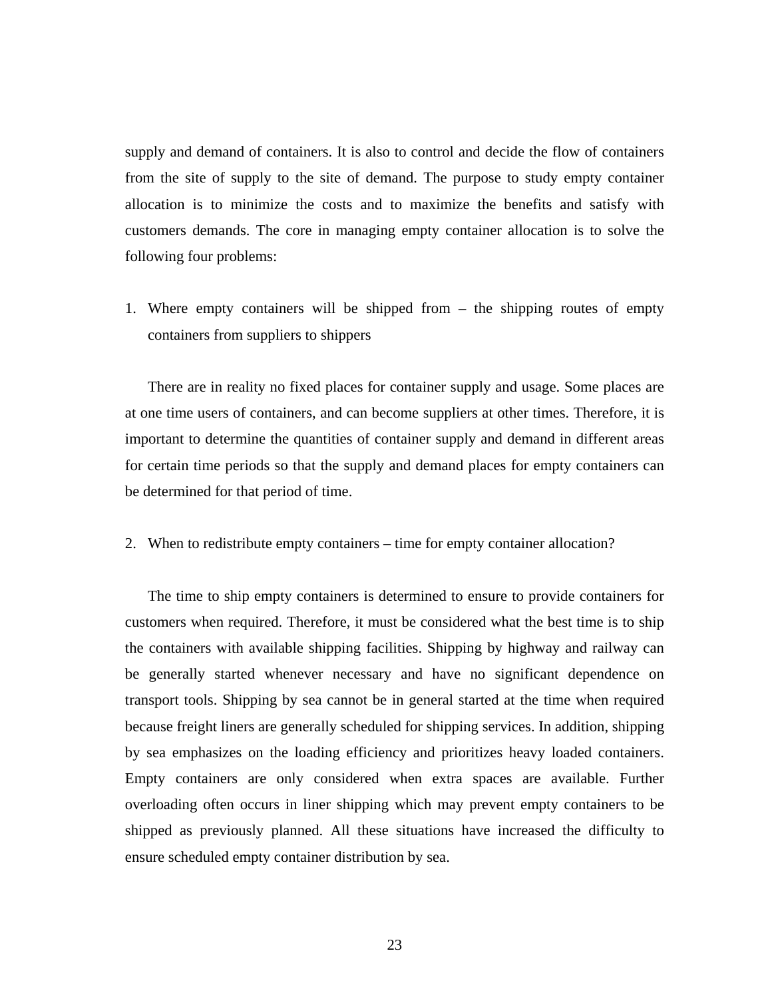supply and demand of containers. It is also to control and decide the flow of containers from the site of supply to the site of demand. The purpose to study empty container allocation is to minimize the costs and to maximize the benefits and satisfy with customers demands. The core in managing empty container allocation is to solve the following four problems:

1. Where empty containers will be shipped from – the shipping routes of empty containers from suppliers to shippers

There are in reality no fixed places for container supply and usage. Some places are at one time users of containers, and can become suppliers at other times. Therefore, it is important to determine the quantities of container supply and demand in different areas for certain time periods so that the supply and demand places for empty containers can be determined for that period of time.

2. When to redistribute empty containers – time for empty container allocation?

The time to ship empty containers is determined to ensure to provide containers for customers when required. Therefore, it must be considered what the best time is to ship the containers with available shipping facilities. Shipping by highway and railway can be generally started whenever necessary and have no significant dependence on transport tools. Shipping by sea cannot be in general started at the time when required because freight liners are generally scheduled for shipping services. In addition, shipping by sea emphasizes on the loading efficiency and prioritizes heavy loaded containers. Empty containers are only considered when extra spaces are available. Further overloading often occurs in liner shipping which may prevent empty containers to be shipped as previously planned. All these situations have increased the difficulty to ensure scheduled empty container distribution by sea.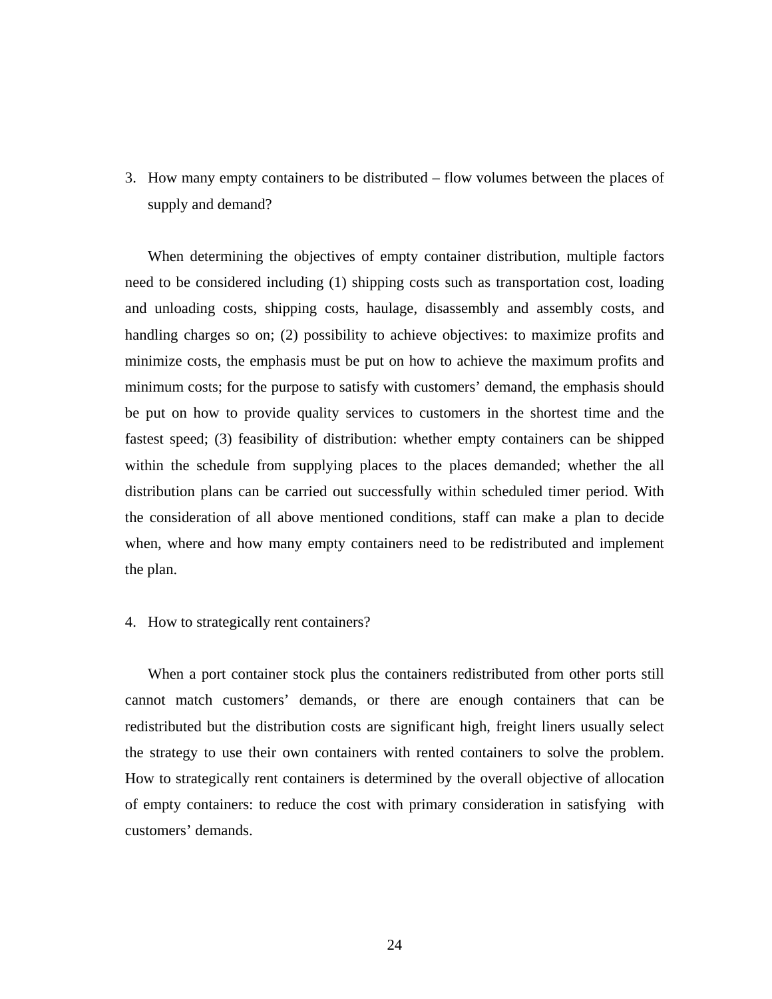3. How many empty containers to be distributed – flow volumes between the places of supply and demand?

When determining the objectives of empty container distribution, multiple factors need to be considered including (1) shipping costs such as transportation cost, loading and unloading costs, shipping costs, haulage, disassembly and assembly costs, and handling charges so on; (2) possibility to achieve objectives: to maximize profits and minimize costs, the emphasis must be put on how to achieve the maximum profits and minimum costs; for the purpose to satisfy with customers' demand, the emphasis should be put on how to provide quality services to customers in the shortest time and the fastest speed; (3) feasibility of distribution: whether empty containers can be shipped within the schedule from supplying places to the places demanded; whether the all distribution plans can be carried out successfully within scheduled timer period. With the consideration of all above mentioned conditions, staff can make a plan to decide when, where and how many empty containers need to be redistributed and implement the plan.

#### 4. How to strategically rent containers?

When a port container stock plus the containers redistributed from other ports still cannot match customers' demands, or there are enough containers that can be redistributed but the distribution costs are significant high, freight liners usually select the strategy to use their own containers with rented containers to solve the problem. How to strategically rent containers is determined by the overall objective of allocation of empty containers: to reduce the cost with primary consideration in satisfying with customers' demands.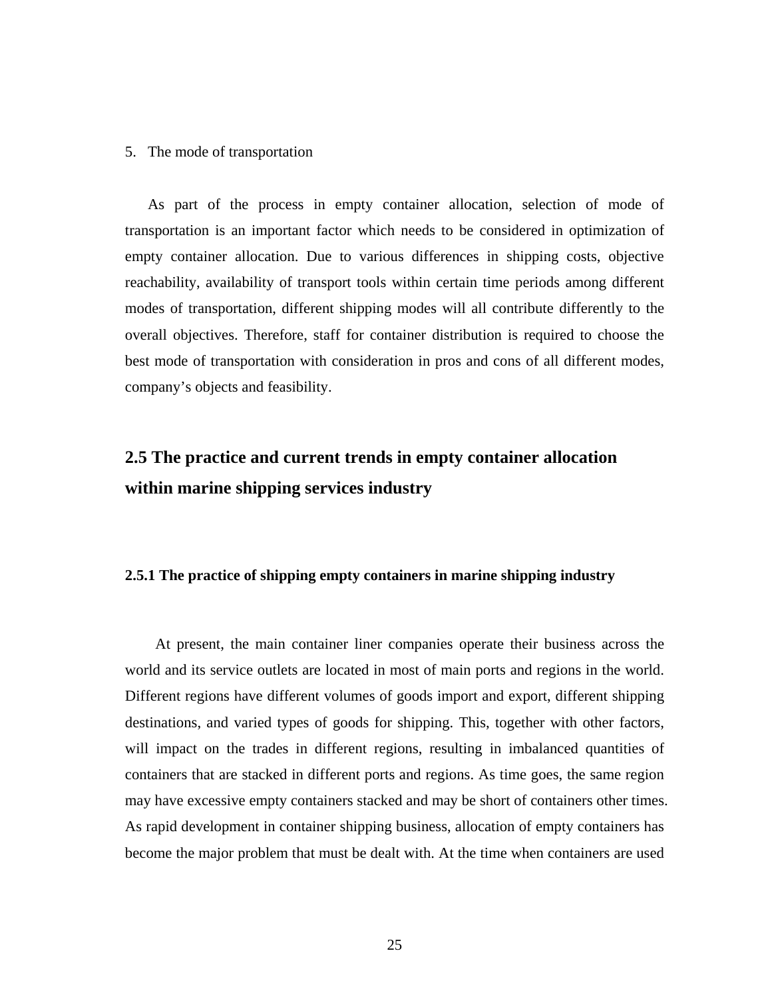#### <span id="page-33-0"></span>5. The mode of transportation

As part of the process in empty container allocation, selection of mode of transportation is an important factor which needs to be considered in optimization of empty container allocation. Due to various differences in shipping costs, objective reachability, availability of transport tools within certain time periods among different modes of transportation, different shipping modes will all contribute differently to the overall objectives. Therefore, staff for container distribution is required to choose the best mode of transportation with consideration in pros and cons of all different modes, company's objects and feasibility.

## **2.5 The practice and current trends in empty container allocation within marine shipping services industry**

#### **2.5.1 The practice of shipping empty containers in marine shipping industry**

At present, the main container liner companies operate their business across the world and its service outlets are located in most of main ports and regions in the world. Different regions have different volumes of goods import and export, different shipping destinations, and varied types of goods for shipping. This, together with other factors, will impact on the trades in different regions, resulting in imbalanced quantities of containers that are stacked in different ports and regions. As time goes, the same region may have excessive empty containers stacked and may be short of containers other times. As rapid development in container shipping business, allocation of empty containers has become the major problem that must be dealt with. At the time when containers are used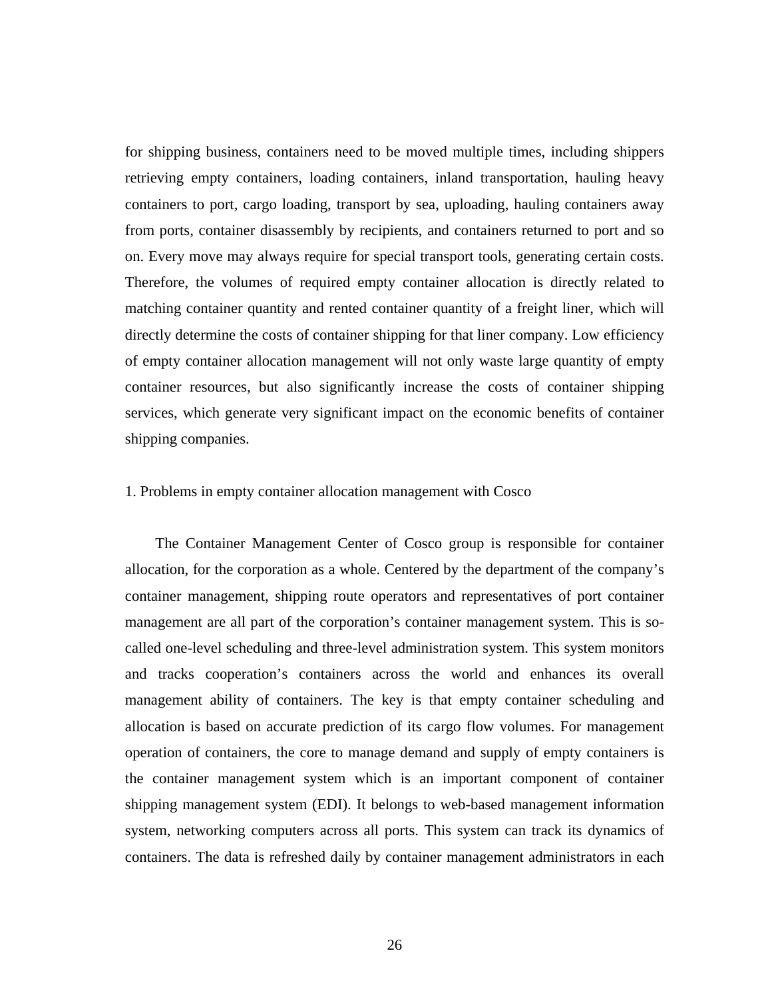for shipping business, containers need to be moved multiple times, including shippers retrieving empty containers, loading containers, inland transportation, hauling heavy containers to port, cargo loading, transport by sea, uploading, hauling containers away from ports, container disassembly by recipients, and containers returned to port and so on. Every move may always require for special transport tools, generating certain costs. Therefore, the volumes of required empty container allocation is directly related to matching container quantity and rented container quantity of a freight liner, which will directly determine the costs of container shipping for that liner company. Low efficiency of empty container allocation management will not only waste large quantity of empty container resources, but also significantly increase the costs of container shipping services, which generate very significant impact on the economic benefits of container shipping companies.

#### 1. Problems in empty container allocation management with Cosco

The Container Management Center of Cosco group is responsible for container allocation, for the corporation as a whole. Centered by the department of the company's container management, shipping route operators and representatives of port container management are all part of the corporation's container management system. This is socalled one-level scheduling and three-level administration system. This system monitors and tracks cooperation's containers across the world and enhances its overall management ability of containers. The key is that empty container scheduling and allocation is based on accurate prediction of its cargo flow volumes. For management operation of containers, the core to manage demand and supply of empty containers is the container management system which is an important component of container shipping management system (EDI). It belongs to web-based management information system, networking computers across all ports. This system can track its dynamics of containers. The data is refreshed daily by container management administrators in each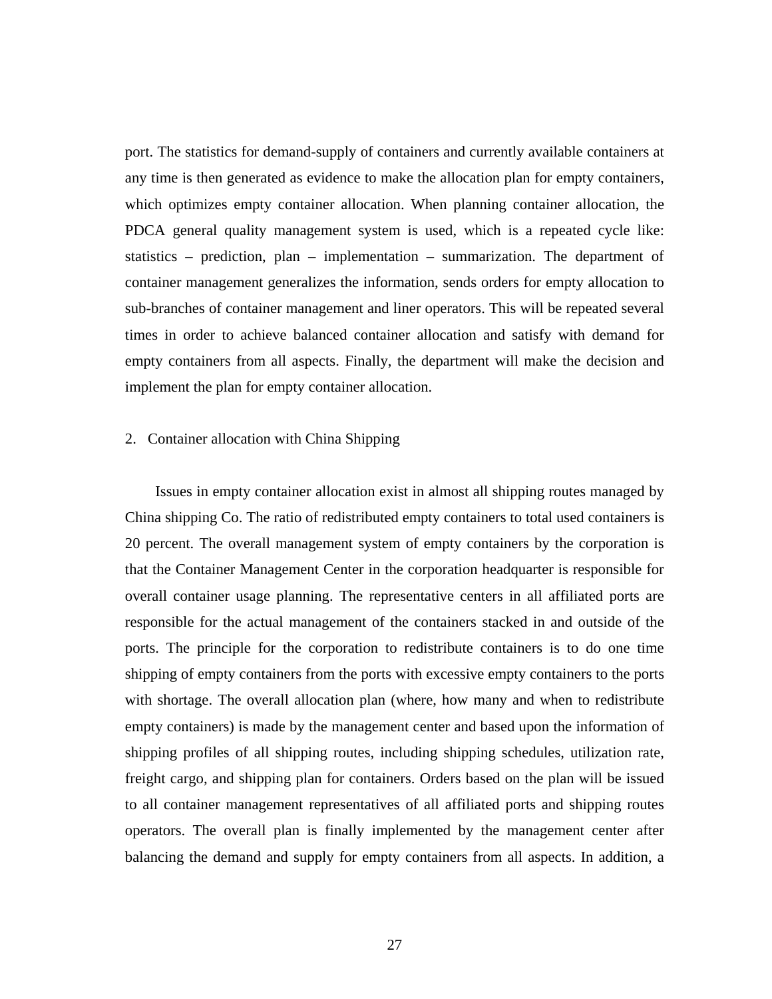port. The statistics for demand-supply of containers and currently available containers at any time is then generated as evidence to make the allocation plan for empty containers, which optimizes empty container allocation. When planning container allocation, the PDCA general quality management system is used, which is a repeated cycle like: statistics – prediction, plan – implementation – summarization. The department of container management generalizes the information, sends orders for empty allocation to sub-branches of container management and liner operators. This will be repeated several times in order to achieve balanced container allocation and satisfy with demand for empty containers from all aspects. Finally, the department will make the decision and implement the plan for empty container allocation.

#### 2. Container allocation with China Shipping

Issues in empty container allocation exist in almost all shipping routes managed by China shipping Co. The ratio of redistributed empty containers to total used containers is 20 percent. The overall management system of empty containers by the corporation is that the Container Management Center in the corporation headquarter is responsible for overall container usage planning. The representative centers in all affiliated ports are responsible for the actual management of the containers stacked in and outside of the ports. The principle for the corporation to redistribute containers is to do one time shipping of empty containers from the ports with excessive empty containers to the ports with shortage. The overall allocation plan (where, how many and when to redistribute empty containers) is made by the management center and based upon the information of shipping profiles of all shipping routes, including shipping schedules, utilization rate, freight cargo, and shipping plan for containers. Orders based on the plan will be issued to all container management representatives of all affiliated ports and shipping routes operators. The overall plan is finally implemented by the management center after balancing the demand and supply for empty containers from all aspects. In addition, a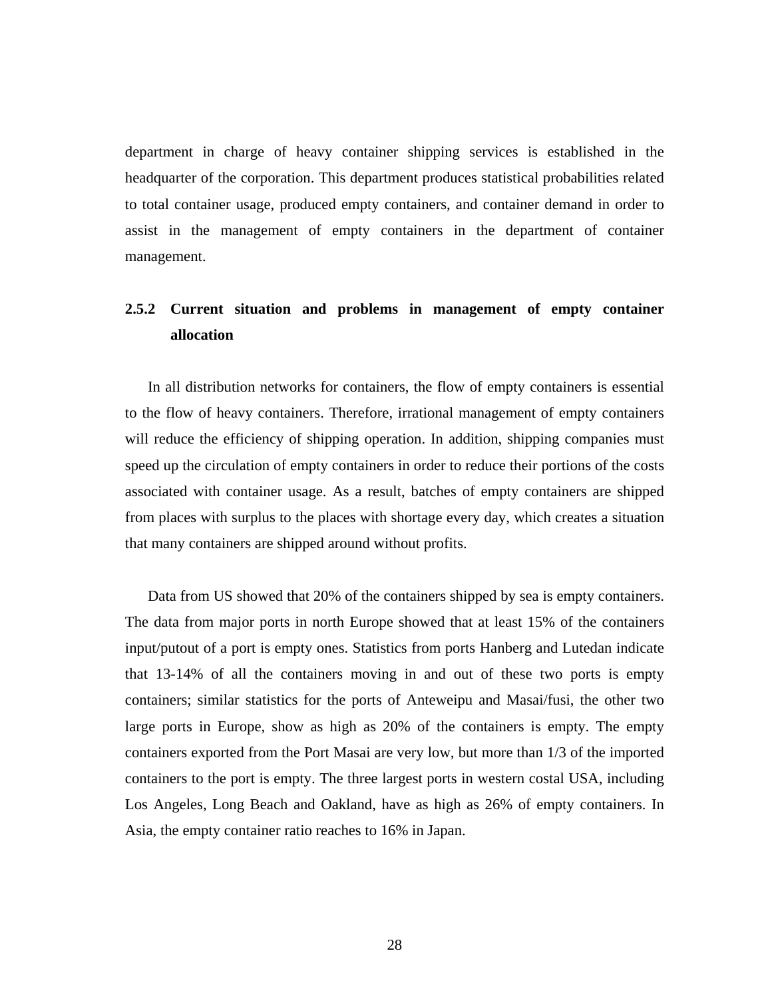department in charge of heavy container shipping services is established in the headquarter of the corporation. This department produces statistical probabilities related to total container usage, produced empty containers, and container demand in order to assist in the management of empty containers in the department of container management.

## **2.5.2 Current situation and problems in management of empty container allocation**

In all distribution networks for containers, the flow of empty containers is essential to the flow of heavy containers. Therefore, irrational management of empty containers will reduce the efficiency of shipping operation. In addition, shipping companies must speed up the circulation of empty containers in order to reduce their portions of the costs associated with container usage. As a result, batches of empty containers are shipped from places with surplus to the places with shortage every day, which creates a situation that many containers are shipped around without profits.

Data from US showed that 20% of the containers shipped by sea is empty containers. The data from major ports in north Europe showed that at least 15% of the containers input/putout of a port is empty ones. Statistics from ports Hanberg and Lutedan indicate that 13-14% of all the containers moving in and out of these two ports is empty containers; similar statistics for the ports of Anteweipu and Masai/fusi, the other two large ports in Europe, show as high as 20% of the containers is empty. The empty containers exported from the Port Masai are very low, but more than 1/3 of the imported containers to the port is empty. The three largest ports in western costal USA, including Los Angeles, Long Beach and Oakland, have as high as 26% of empty containers. In Asia, the empty container ratio reaches to 16% in Japan.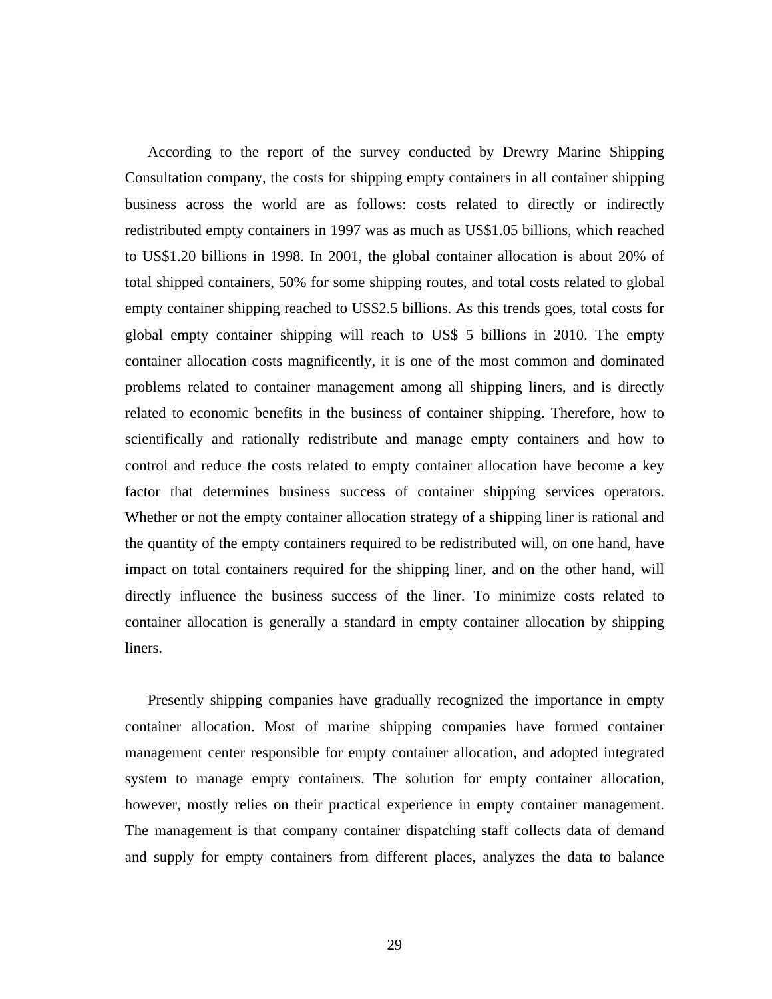According to the report of the survey conducted by Drewry Marine Shipping Consultation company, the costs for shipping empty containers in all container shipping business across the world are as follows: costs related to directly or indirectly redistributed empty containers in 1997 was as much as US\$1.05 billions, which reached to US\$1.20 billions in 1998. In 2001, the global container allocation is about 20% of total shipped containers, 50% for some shipping routes, and total costs related to global empty container shipping reached to US\$2.5 billions. As this trends goes, total costs for global empty container shipping will reach to US\$ 5 billions in 2010. The empty container allocation costs magnificently, it is one of the most common and dominated problems related to container management among all shipping liners, and is directly related to economic benefits in the business of container shipping. Therefore, how to scientifically and rationally redistribute and manage empty containers and how to control and reduce the costs related to empty container allocation have become a key factor that determines business success of container shipping services operators. Whether or not the empty container allocation strategy of a shipping liner is rational and the quantity of the empty containers required to be redistributed will, on one hand, have impact on total containers required for the shipping liner, and on the other hand, will directly influence the business success of the liner. To minimize costs related to container allocation is generally a standard in empty container allocation by shipping liners.

Presently shipping companies have gradually recognized the importance in empty container allocation. Most of marine shipping companies have formed container management center responsible for empty container allocation, and adopted integrated system to manage empty containers. The solution for empty container allocation, however, mostly relies on their practical experience in empty container management. The management is that company container dispatching staff collects data of demand and supply for empty containers from different places, analyzes the data to balance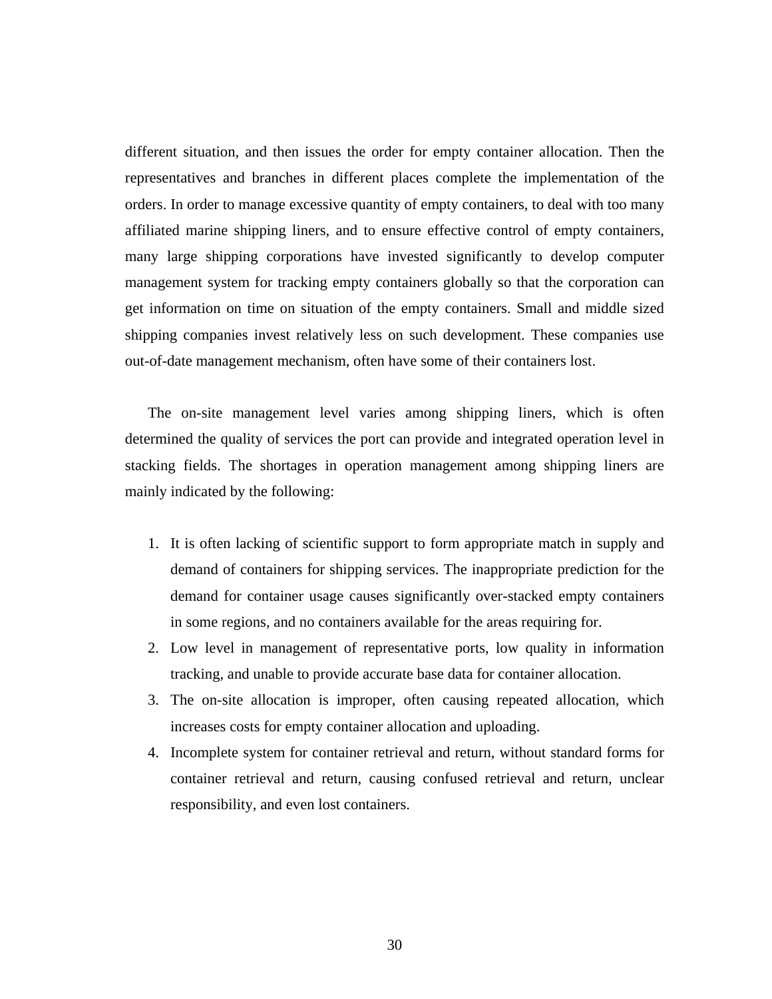different situation, and then issues the order for empty container allocation. Then the representatives and branches in different places complete the implementation of the orders. In order to manage excessive quantity of empty containers, to deal with too many affiliated marine shipping liners, and to ensure effective control of empty containers, many large shipping corporations have invested significantly to develop computer management system for tracking empty containers globally so that the corporation can get information on time on situation of the empty containers. Small and middle sized shipping companies invest relatively less on such development. These companies use out-of-date management mechanism, often have some of their containers lost.

The on-site management level varies among shipping liners, which is often determined the quality of services the port can provide and integrated operation level in stacking fields. The shortages in operation management among shipping liners are mainly indicated by the following:

- 1. It is often lacking of scientific support to form appropriate match in supply and demand of containers for shipping services. The inappropriate prediction for the demand for container usage causes significantly over-stacked empty containers in some regions, and no containers available for the areas requiring for.
- 2. Low level in management of representative ports, low quality in information tracking, and unable to provide accurate base data for container allocation.
- 3. The on-site allocation is improper, often causing repeated allocation, which increases costs for empty container allocation and uploading.
- 4. Incomplete system for container retrieval and return, without standard forms for container retrieval and return, causing confused retrieval and return, unclear responsibility, and even lost containers.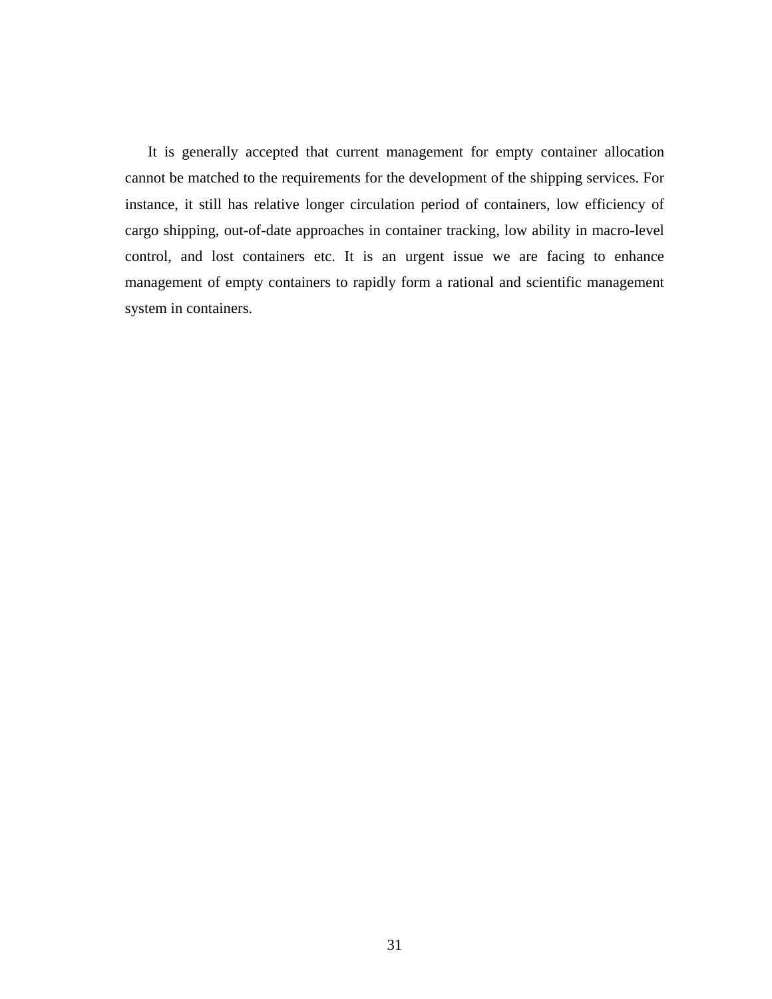It is generally accepted that current management for empty container allocation cannot be matched to the requirements for the development of the shipping services. For instance, it still has relative longer circulation period of containers, low efficiency of cargo shipping, out-of-date approaches in container tracking, low ability in macro-level control, and lost containers etc. It is an urgent issue we are facing to enhance management of empty containers to rapidly form a rational and scientific management system in containers.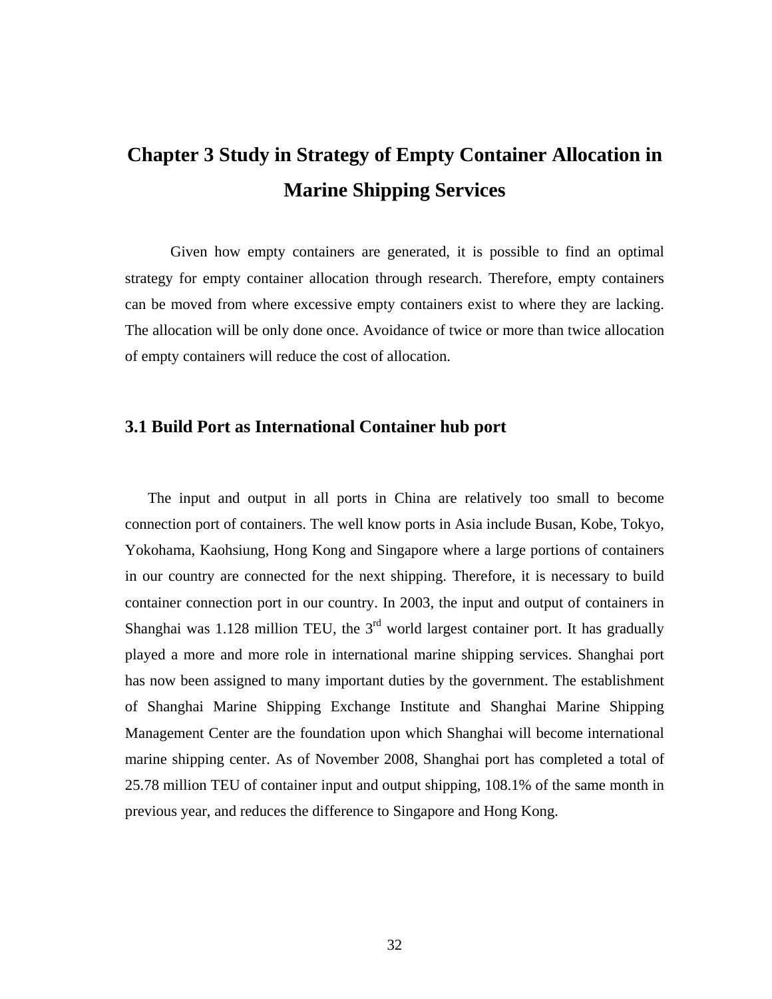# **Chapter 3 Study in Strategy of Empty Container Allocation in Marine Shipping Services**

Given how empty containers are generated, it is possible to find an optimal strategy for empty container allocation through research. Therefore, empty containers can be moved from where excessive empty containers exist to where they are lacking. The allocation will be only done once. Avoidance of twice or more than twice allocation of empty containers will reduce the cost of allocation.

## **3.1 Build Port as International Container hub port**

The input and output in all ports in China are relatively too small to become connection port of containers. The well know ports in Asia include Busan, Kobe, Tokyo, Yokohama, Kaohsiung, Hong Kong and Singapore where a large portions of containers in our country are connected for the next shipping. Therefore, it is necessary to build container connection port in our country. In 2003, the input and output of containers in Shanghai was 1.128 million TEU, the  $3<sup>rd</sup>$  world largest container port. It has gradually played a more and more role in international marine shipping services. Shanghai port has now been assigned to many important duties by the government. The establishment of Shanghai Marine Shipping Exchange Institute and Shanghai Marine Shipping Management Center are the foundation upon which Shanghai will become international marine shipping center. As of November 2008, Shanghai port has completed a total of 25.78 million TEU of container input and output shipping, 108.1% of the same month in previous year, and reduces the difference to Singapore and Hong Kong.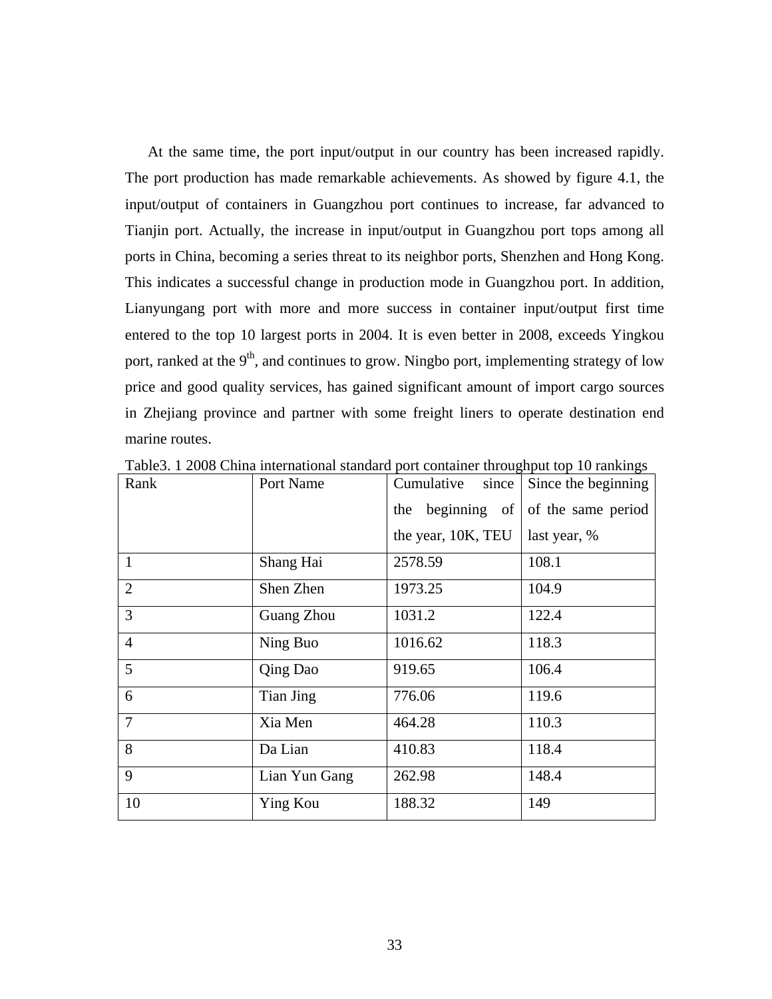At the same time, the port input/output in our country has been increased rapidly. The port production has made remarkable achievements. As showed by figure 4.1, the input/output of containers in Guangzhou port continues to increase, far advanced to Tianjin port. Actually, the increase in input/output in Guangzhou port tops among all ports in China, becoming a series threat to its neighbor ports, Shenzhen and Hong Kong. This indicates a successful change in production mode in Guangzhou port. In addition, Lianyungang port with more and more success in container input/output first time entered to the top 10 largest ports in 2004. It is even better in 2008, exceeds Yingkou port, ranked at the  $9<sup>th</sup>$ , and continues to grow. Ningbo port, implementing strategy of low price and good quality services, has gained significant amount of import cargo sources in Zhejiang province and partner with some freight liners to operate destination end marine routes.

| Rank           | Port Name     | Cumulative<br>since | Since the beginning |
|----------------|---------------|---------------------|---------------------|
|                |               | beginning of<br>the | of the same period  |
|                |               | the year, 10K, TEU  | last year, %        |
| $\mathbf{1}$   | Shang Hai     | 2578.59             | 108.1               |
| $\overline{2}$ | Shen Zhen     | 1973.25             | 104.9               |
| $\overline{3}$ | Guang Zhou    | 1031.2              | 122.4               |
| $\overline{4}$ | Ning Buo      | 1016.62             | 118.3               |
| 5              | Qing Dao      | 919.65              | 106.4               |
| 6              | Tian Jing     | 776.06              | 119.6               |
| $\overline{7}$ | Xia Men       | 464.28              | 110.3               |
| 8              | Da Lian       | 410.83              | 118.4               |
| 9              | Lian Yun Gang | 262.98              | 148.4               |
| 10             | Ying Kou      | 188.32              | 149                 |

Table3. 1 2008 China international standard port container throughput top 10 rankings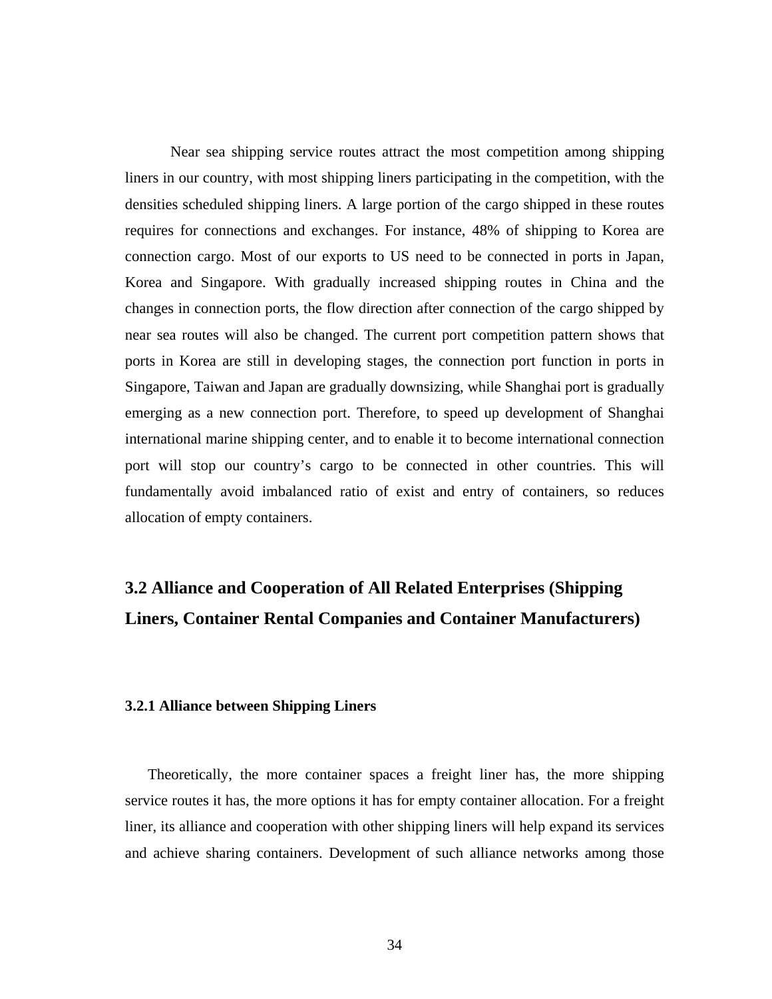Near sea shipping service routes attract the most competition among shipping liners in our country, with most shipping liners participating in the competition, with the densities scheduled shipping liners. A large portion of the cargo shipped in these routes requires for connections and exchanges. For instance, 48% of shipping to Korea are connection cargo. Most of our exports to US need to be connected in ports in Japan, Korea and Singapore. With gradually increased shipping routes in China and the changes in connection ports, the flow direction after connection of the cargo shipped by near sea routes will also be changed. The current port competition pattern shows that ports in Korea are still in developing stages, the connection port function in ports in Singapore, Taiwan and Japan are gradually downsizing, while Shanghai port is gradually emerging as a new connection port. Therefore, to speed up development of Shanghai international marine shipping center, and to enable it to become international connection port will stop our country's cargo to be connected in other countries. This will fundamentally avoid imbalanced ratio of exist and entry of containers, so reduces allocation of empty containers.

# **3.2 Alliance and Cooperation of All Related Enterprises (Shipping Liners, Container Rental Companies and Container Manufacturers)**

## **3.2.1 Alliance between Shipping Liners**

Theoretically, the more container spaces a freight liner has, the more shipping service routes it has, the more options it has for empty container allocation. For a freight liner, its alliance and cooperation with other shipping liners will help expand its services and achieve sharing containers. Development of such alliance networks among those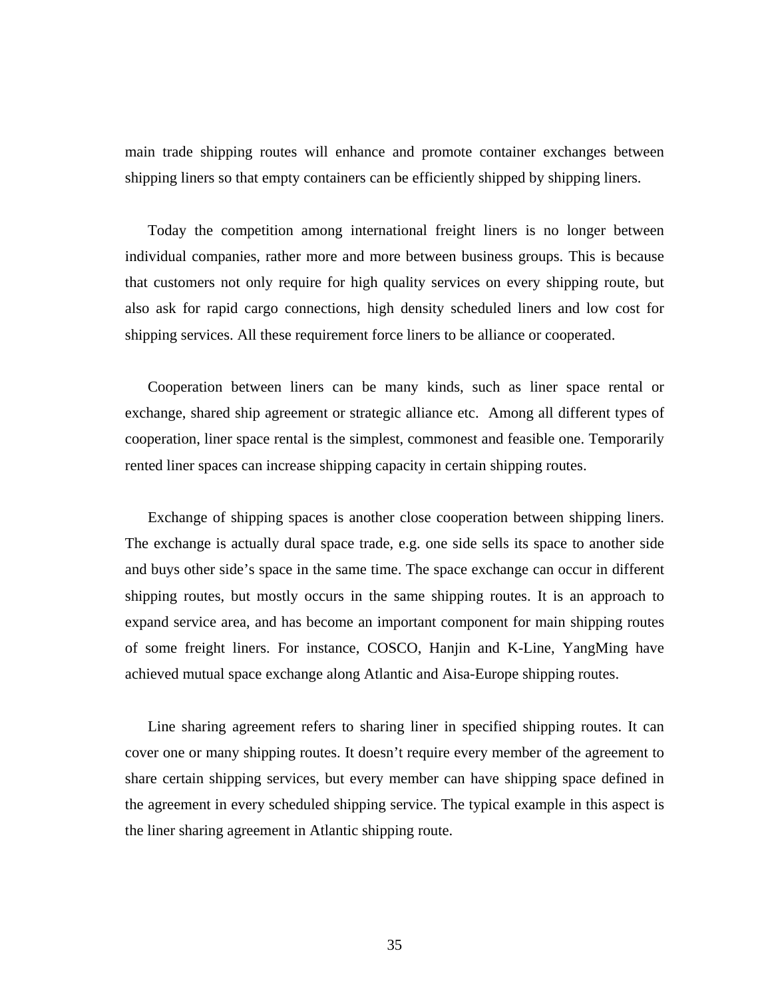main trade shipping routes will enhance and promote container exchanges between shipping liners so that empty containers can be efficiently shipped by shipping liners.

Today the competition among international freight liners is no longer between individual companies, rather more and more between business groups. This is because that customers not only require for high quality services on every shipping route, but also ask for rapid cargo connections, high density scheduled liners and low cost for shipping services. All these requirement force liners to be alliance or cooperated.

Cooperation between liners can be many kinds, such as liner space rental or exchange, shared ship agreement or strategic alliance etc. Among all different types of cooperation, liner space rental is the simplest, commonest and feasible one. Temporarily rented liner spaces can increase shipping capacity in certain shipping routes.

Exchange of shipping spaces is another close cooperation between shipping liners. The exchange is actually dural space trade, e.g. one side sells its space to another side and buys other side's space in the same time. The space exchange can occur in different shipping routes, but mostly occurs in the same shipping routes. It is an approach to expand service area, and has become an important component for main shipping routes of some freight liners. For instance, COSCO, Hanjin and K-Line, YangMing have achieved mutual space exchange along Atlantic and Aisa-Europe shipping routes.

Line sharing agreement refers to sharing liner in specified shipping routes. It can cover one or many shipping routes. It doesn't require every member of the agreement to share certain shipping services, but every member can have shipping space defined in the agreement in every scheduled shipping service. The typical example in this aspect is the liner sharing agreement in Atlantic shipping route.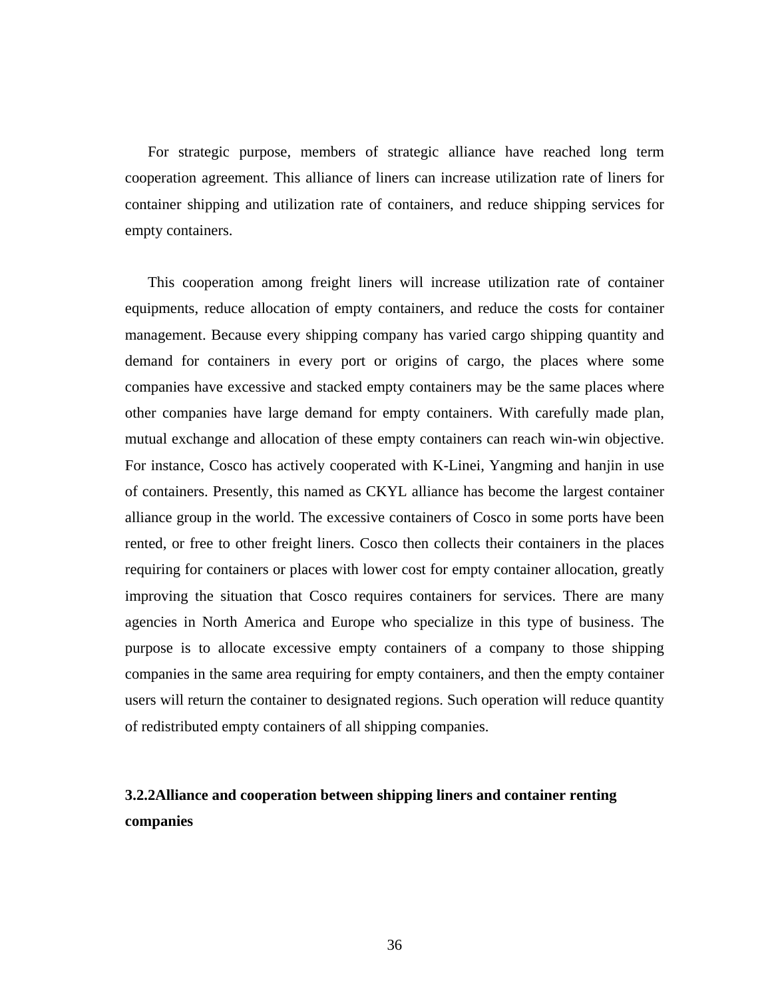For strategic purpose, members of strategic alliance have reached long term cooperation agreement. This alliance of liners can increase utilization rate of liners for container shipping and utilization rate of containers, and reduce shipping services for empty containers.

This cooperation among freight liners will increase utilization rate of container equipments, reduce allocation of empty containers, and reduce the costs for container management. Because every shipping company has varied cargo shipping quantity and demand for containers in every port or origins of cargo, the places where some companies have excessive and stacked empty containers may be the same places where other companies have large demand for empty containers. With carefully made plan, mutual exchange and allocation of these empty containers can reach win-win objective. For instance, Cosco has actively cooperated with K-Linei, Yangming and hanjin in use of containers. Presently, this named as CKYL alliance has become the largest container alliance group in the world. The excessive containers of Cosco in some ports have been rented, or free to other freight liners. Cosco then collects their containers in the places requiring for containers or places with lower cost for empty container allocation, greatly improving the situation that Cosco requires containers for services. There are many agencies in North America and Europe who specialize in this type of business. The purpose is to allocate excessive empty containers of a company to those shipping companies in the same area requiring for empty containers, and then the empty container users will return the container to designated regions. Such operation will reduce quantity of redistributed empty containers of all shipping companies.

## **3.2.2Alliance and cooperation between shipping liners and container renting companies**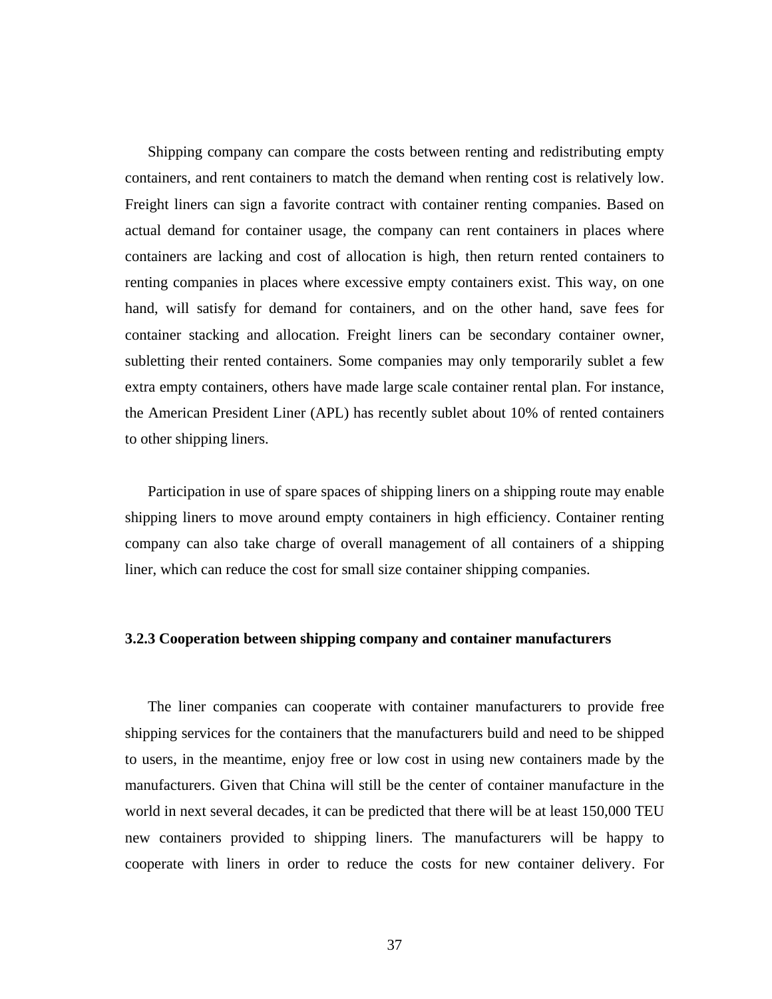Shipping company can compare the costs between renting and redistributing empty containers, and rent containers to match the demand when renting cost is relatively low. Freight liners can sign a favorite contract with container renting companies. Based on actual demand for container usage, the company can rent containers in places where containers are lacking and cost of allocation is high, then return rented containers to renting companies in places where excessive empty containers exist. This way, on one hand, will satisfy for demand for containers, and on the other hand, save fees for container stacking and allocation. Freight liners can be secondary container owner, subletting their rented containers. Some companies may only temporarily sublet a few extra empty containers, others have made large scale container rental plan. For instance, the American President Liner (APL) has recently sublet about 10% of rented containers to other shipping liners.

Participation in use of spare spaces of shipping liners on a shipping route may enable shipping liners to move around empty containers in high efficiency. Container renting company can also take charge of overall management of all containers of a shipping liner, which can reduce the cost for small size container shipping companies.

## **3.2.3 Cooperation between shipping company and container manufacturers**

The liner companies can cooperate with container manufacturers to provide free shipping services for the containers that the manufacturers build and need to be shipped to users, in the meantime, enjoy free or low cost in using new containers made by the manufacturers. Given that China will still be the center of container manufacture in the world in next several decades, it can be predicted that there will be at least 150,000 TEU new containers provided to shipping liners. The manufacturers will be happy to cooperate with liners in order to reduce the costs for new container delivery. For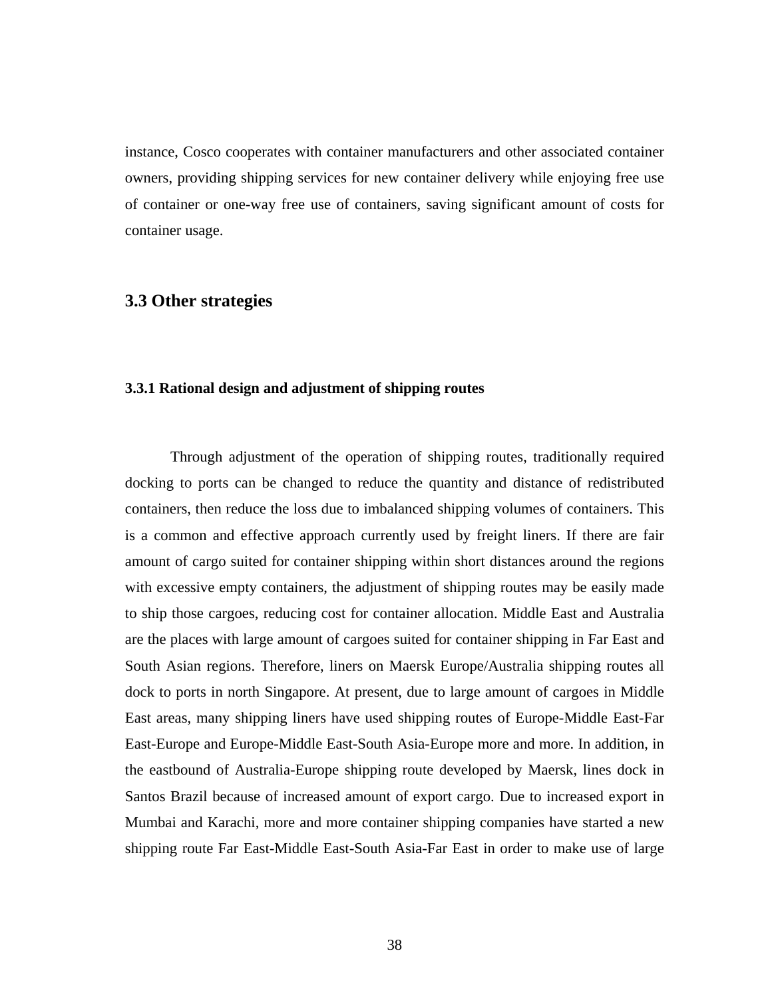instance, Cosco cooperates with container manufacturers and other associated container owners, providing shipping services for new container delivery while enjoying free use of container or one-way free use of containers, saving significant amount of costs for container usage.

## **3.3 Other strategies**

#### **3.3.1 Rational design and adjustment of shipping routes**

Through adjustment of the operation of shipping routes, traditionally required docking to ports can be changed to reduce the quantity and distance of redistributed containers, then reduce the loss due to imbalanced shipping volumes of containers. This is a common and effective approach currently used by freight liners. If there are fair amount of cargo suited for container shipping within short distances around the regions with excessive empty containers, the adjustment of shipping routes may be easily made to ship those cargoes, reducing cost for container allocation. Middle East and Australia are the places with large amount of cargoes suited for container shipping in Far East and South Asian regions. Therefore, liners on Maersk Europe/Australia shipping routes all dock to ports in north Singapore. At present, due to large amount of cargoes in Middle East areas, many shipping liners have used shipping routes of Europe-Middle East-Far East-Europe and Europe-Middle East-South Asia-Europe more and more. In addition, in the eastbound of Australia-Europe shipping route developed by Maersk, lines dock in Santos Brazil because of increased amount of export cargo. Due to increased export in Mumbai and Karachi, more and more container shipping companies have started a new shipping route Far East-Middle East-South Asia-Far East in order to make use of large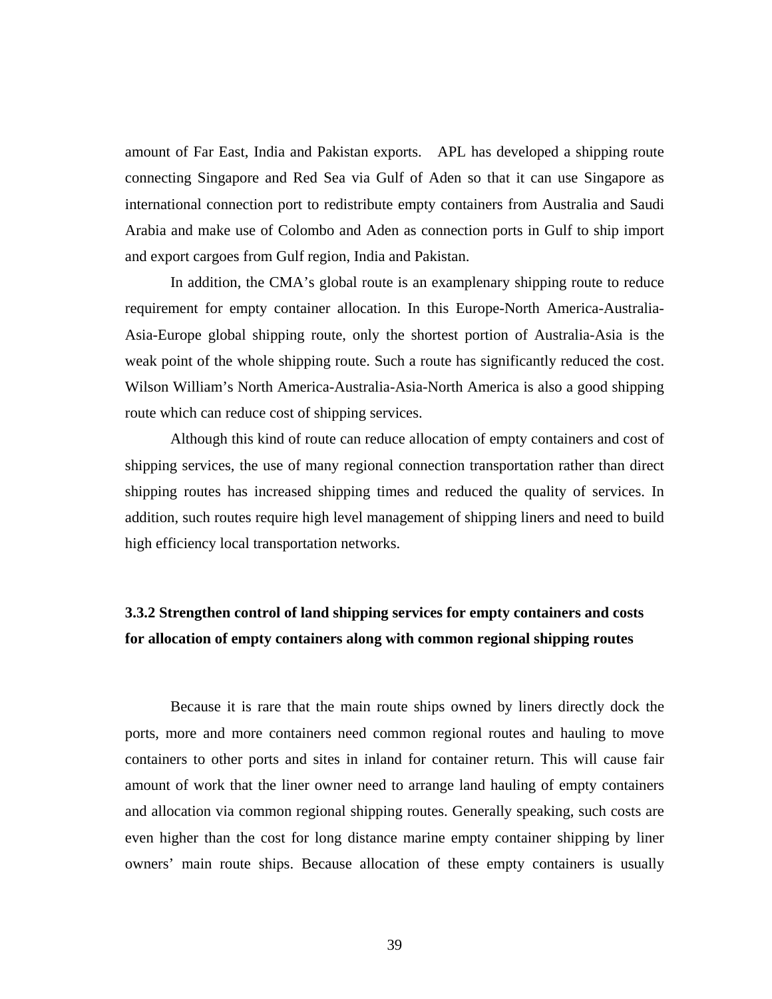amount of Far East, India and Pakistan exports. APL has developed a shipping route connecting Singapore and Red Sea via Gulf of Aden so that it can use Singapore as international connection port to redistribute empty containers from Australia and Saudi Arabia and make use of Colombo and Aden as connection ports in Gulf to ship import and export cargoes from Gulf region, India and Pakistan.

In addition, the CMA's global route is an examplenary shipping route to reduce requirement for empty container allocation. In this Europe-North America-Australia-Asia-Europe global shipping route, only the shortest portion of Australia-Asia is the weak point of the whole shipping route. Such a route has significantly reduced the cost. Wilson William's North America-Australia-Asia-North America is also a good shipping route which can reduce cost of shipping services.

Although this kind of route can reduce allocation of empty containers and cost of shipping services, the use of many regional connection transportation rather than direct shipping routes has increased shipping times and reduced the quality of services. In addition, such routes require high level management of shipping liners and need to build high efficiency local transportation networks.

## **3.3.2 Strengthen control of land shipping services for empty containers and costs for allocation of empty containers along with common regional shipping routes**

Because it is rare that the main route ships owned by liners directly dock the ports, more and more containers need common regional routes and hauling to move containers to other ports and sites in inland for container return. This will cause fair amount of work that the liner owner need to arrange land hauling of empty containers and allocation via common regional shipping routes. Generally speaking, such costs are even higher than the cost for long distance marine empty container shipping by liner owners' main route ships. Because allocation of these empty containers is usually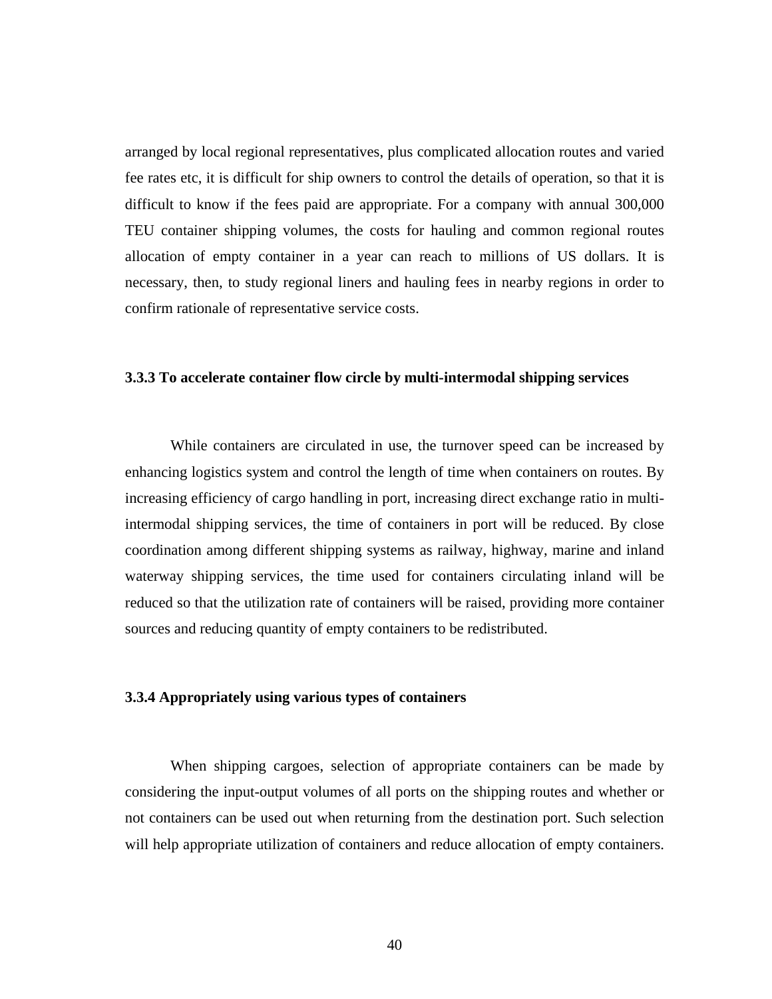arranged by local regional representatives, plus complicated allocation routes and varied fee rates etc, it is difficult for ship owners to control the details of operation, so that it is difficult to know if the fees paid are appropriate. For a company with annual 300,000 TEU container shipping volumes, the costs for hauling and common regional routes allocation of empty container in a year can reach to millions of US dollars. It is necessary, then, to study regional liners and hauling fees in nearby regions in order to confirm rationale of representative service costs.

## **3.3.3 To accelerate container flow circle by multi-intermodal shipping services**

While containers are circulated in use, the turnover speed can be increased by enhancing logistics system and control the length of time when containers on routes. By increasing efficiency of cargo handling in port, increasing direct exchange ratio in multiintermodal shipping services, the time of containers in port will be reduced. By close coordination among different shipping systems as railway, highway, marine and inland waterway shipping services, the time used for containers circulating inland will be reduced so that the utilization rate of containers will be raised, providing more container sources and reducing quantity of empty containers to be redistributed.

## **3.3.4 Appropriately using various types of containers**

When shipping cargoes, selection of appropriate containers can be made by considering the input-output volumes of all ports on the shipping routes and whether or not containers can be used out when returning from the destination port. Such selection will help appropriate utilization of containers and reduce allocation of empty containers.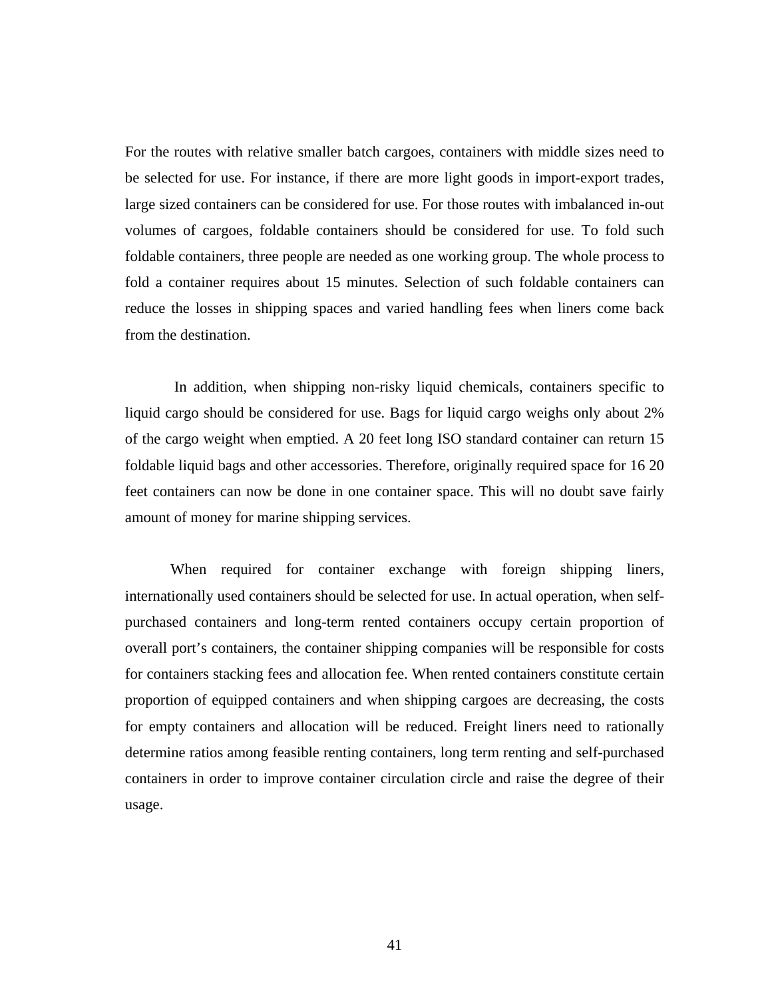For the routes with relative smaller batch cargoes, containers with middle sizes need to be selected for use. For instance, if there are more light goods in import-export trades, large sized containers can be considered for use. For those routes with imbalanced in-out volumes of cargoes, foldable containers should be considered for use. To fold such foldable containers, three people are needed as one working group. The whole process to fold a container requires about 15 minutes. Selection of such foldable containers can reduce the losses in shipping spaces and varied handling fees when liners come back from the destination.

 In addition, when shipping non-risky liquid chemicals, containers specific to liquid cargo should be considered for use. Bags for liquid cargo weighs only about 2% of the cargo weight when emptied. A 20 feet long ISO standard container can return 15 foldable liquid bags and other accessories. Therefore, originally required space for 16 20 feet containers can now be done in one container space. This will no doubt save fairly amount of money for marine shipping services.

When required for container exchange with foreign shipping liners, internationally used containers should be selected for use. In actual operation, when selfpurchased containers and long-term rented containers occupy certain proportion of overall port's containers, the container shipping companies will be responsible for costs for containers stacking fees and allocation fee. When rented containers constitute certain proportion of equipped containers and when shipping cargoes are decreasing, the costs for empty containers and allocation will be reduced. Freight liners need to rationally determine ratios among feasible renting containers, long term renting and self-purchased containers in order to improve container circulation circle and raise the degree of their usage.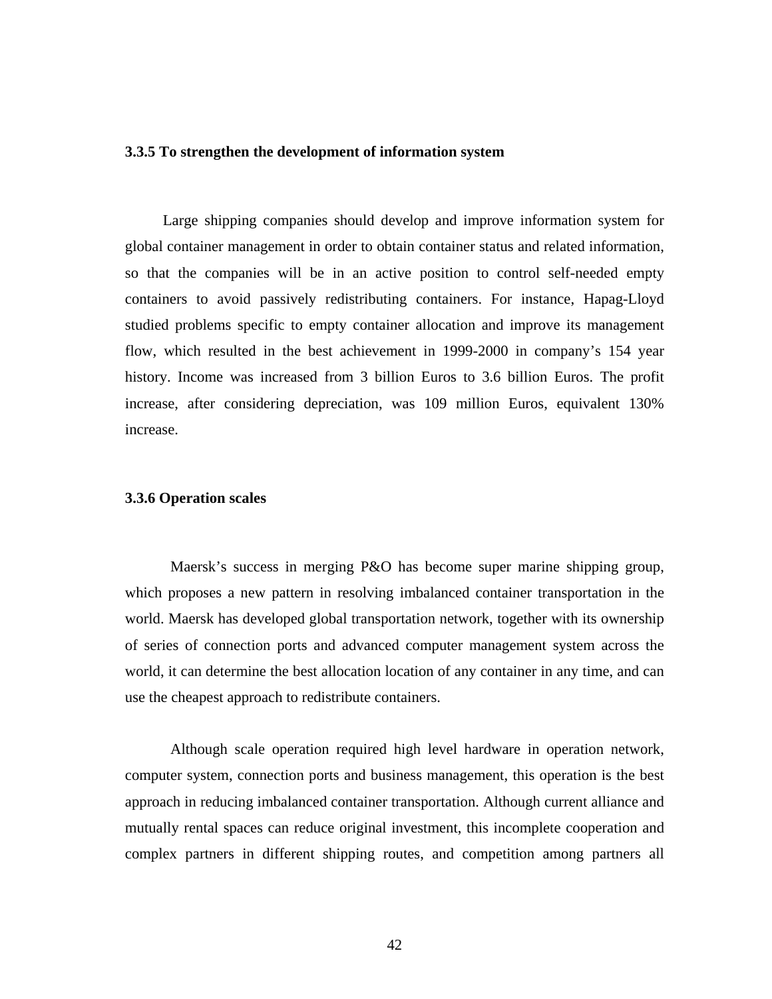## **3.3.5 To strengthen the development of information system**

Large shipping companies should develop and improve information system for global container management in order to obtain container status and related information, so that the companies will be in an active position to control self-needed empty containers to avoid passively redistributing containers. For instance, Hapag-Lloyd studied problems specific to empty container allocation and improve its management flow, which resulted in the best achievement in 1999-2000 in company's 154 year history. Income was increased from 3 billion Euros to 3.6 billion Euros. The profit increase, after considering depreciation, was 109 million Euros, equivalent 130% increase.

## **3.3.6 Operation scales**

Maersk's success in merging P&O has become super marine shipping group, which proposes a new pattern in resolving imbalanced container transportation in the world. Maersk has developed global transportation network, together with its ownership of series of connection ports and advanced computer management system across the world, it can determine the best allocation location of any container in any time, and can use the cheapest approach to redistribute containers.

Although scale operation required high level hardware in operation network, computer system, connection ports and business management, this operation is the best approach in reducing imbalanced container transportation. Although current alliance and mutually rental spaces can reduce original investment, this incomplete cooperation and complex partners in different shipping routes, and competition among partners all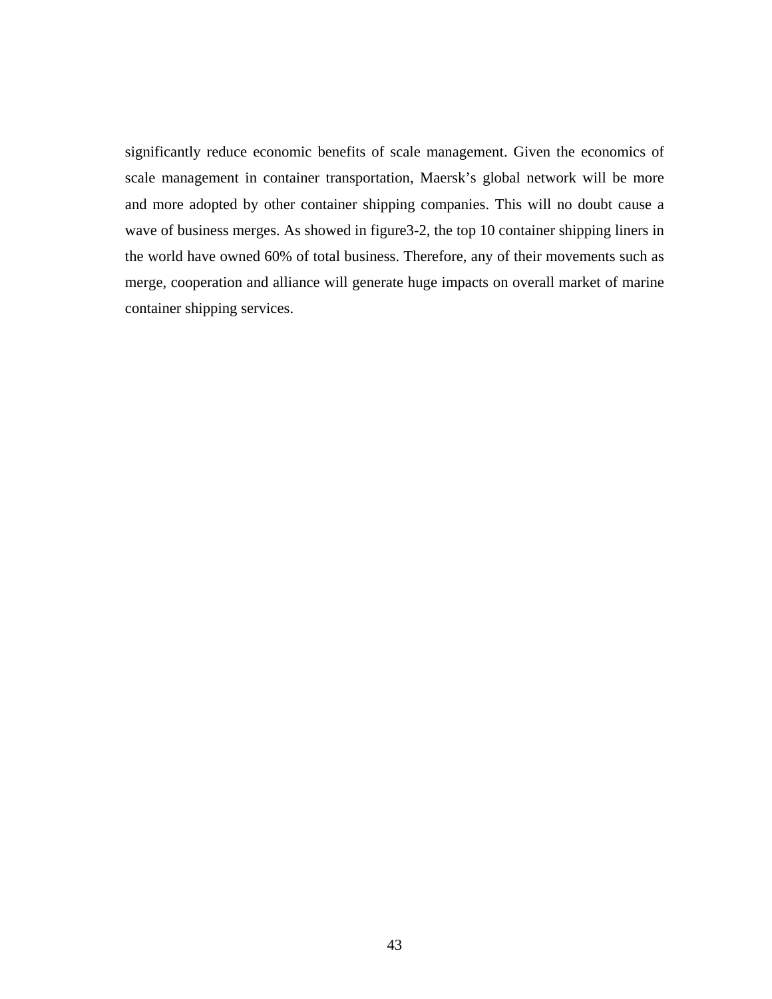significantly reduce economic benefits of scale management. Given the economics of scale management in container transportation, Maersk's global network will be more and more adopted by other container shipping companies. This will no doubt cause a wave of business merges. As showed in figure 3-2, the top 10 container shipping liners in the world have owned 60% of total business. Therefore, any of their movements such as merge, cooperation and alliance will generate huge impacts on overall market of marine container shipping services.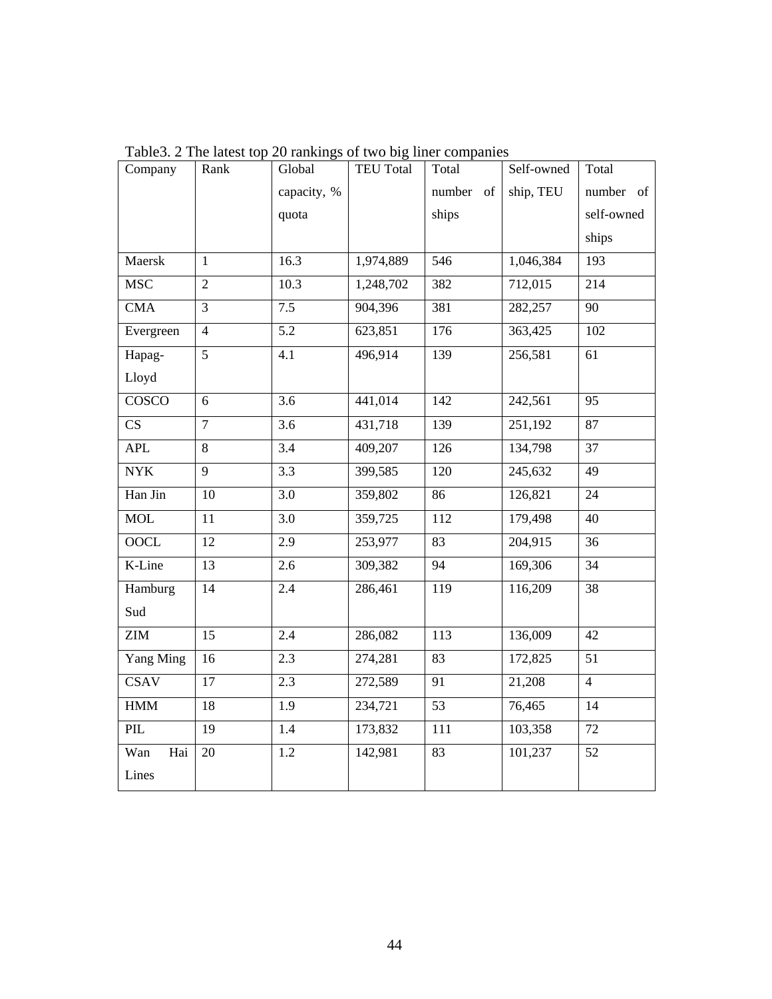| Company      | Rank           | Global           | <b>TEU Total</b> | Total                   | Self-owned | Total          |
|--------------|----------------|------------------|------------------|-------------------------|------------|----------------|
|              |                | capacity, %      |                  | number<br><sub>of</sub> | ship, TEU  | number<br>of   |
|              |                | quota            |                  | ships                   |            | self-owned     |
|              |                |                  |                  |                         |            | ships          |
| Maersk       | 1              | 16.3             | 1,974,889        | 546                     | 1,046,384  | 193            |
| <b>MSC</b>   | $\overline{2}$ | 10.3             | 1,248,702        | 382                     | 712,015    | 214            |
| <b>CMA</b>   | 3              | 7.5              | 904,396          | 381                     | 282,257    | 90             |
| Evergreen    | $\overline{4}$ | 5.2              | 623,851          | 176                     | 363,425    | 102            |
| Hapag-       | $\overline{5}$ | 4.1              | 496,914          | 139                     | 256,581    | 61             |
| Lloyd        |                |                  |                  |                         |            |                |
| <b>COSCO</b> | 6              | 3.6              | 441,014          | 142                     | 242,561    | 95             |
| CS           | $\overline{7}$ | 3.6              | 431,718          | 139                     | 251,192    | 87             |
| <b>APL</b>   | 8              | 3.4              | 409,207          | 126                     | 134,798    | 37             |
| <b>NYK</b>   | 9              | $\overline{3.3}$ | 399,585          | 120                     | 245,632    | 49             |
| Han Jin      | 10             | 3.0              | 359,802          | 86                      | 126,821    | 24             |
| <b>MOL</b>   | 11             | 3.0              | 359,725          | 112                     | 179,498    | 40             |
| <b>OOCL</b>  | 12             | 2.9              | 253,977          | 83                      | 204,915    | 36             |
| K-Line       | 13             | 2.6              | 309,382          | 94                      | 169,306    | 34             |
| Hamburg      | 14             | 2.4              | 286,461          | 119                     | 116,209    | 38             |
| Sud          |                |                  |                  |                         |            |                |
| <b>ZIM</b>   | 15             | 2.4              | 286,082          | 113                     | 136,009    | 42             |
| Yang Ming    | 16             | 2.3              | 274,281          | 83                      | 172,825    | 51             |
| <b>CSAV</b>  | 17             | 2.3              | 272,589          | 91                      | 21,208     | $\overline{4}$ |
| <b>HMM</b>   | 18             | 1.9              | 234,721          | 53                      | 76,465     | 14             |
| PIL          | 19             | 1.4              | 173,832          | 111                     | 103,358    | 72             |
| Wan<br>Hai   | 20             | 1.2              | 142,981          | 83                      | 101,237    | 52             |
| Lines        |                |                  |                  |                         |            |                |

Table3. 2 The latest top 20 rankings of two big liner companies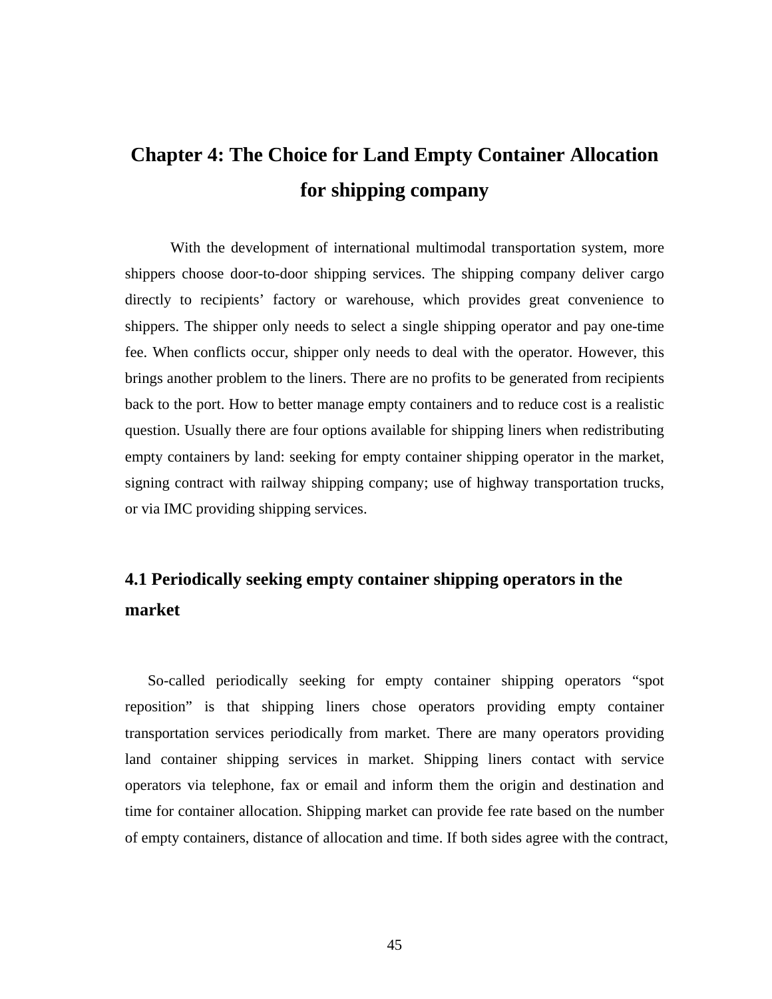# **Chapter 4: The Choice for Land Empty Container Allocation for shipping company**

With the development of international multimodal transportation system, more shippers choose door-to-door shipping services. The shipping company deliver cargo directly to recipients' factory or warehouse, which provides great convenience to shippers. The shipper only needs to select a single shipping operator and pay one-time fee. When conflicts occur, shipper only needs to deal with the operator. However, this brings another problem to the liners. There are no profits to be generated from recipients back to the port. How to better manage empty containers and to reduce cost is a realistic question. Usually there are four options available for shipping liners when redistributing empty containers by land: seeking for empty container shipping operator in the market, signing contract with railway shipping company; use of highway transportation trucks, or via IMC providing shipping services.

# **4.1 Periodically seeking empty container shipping operators in the market**

So-called periodically seeking for empty container shipping operators "spot reposition" is that shipping liners chose operators providing empty container transportation services periodically from market. There are many operators providing land container shipping services in market. Shipping liners contact with service operators via telephone, fax or email and inform them the origin and destination and time for container allocation. Shipping market can provide fee rate based on the number of empty containers, distance of allocation and time. If both sides agree with the contract,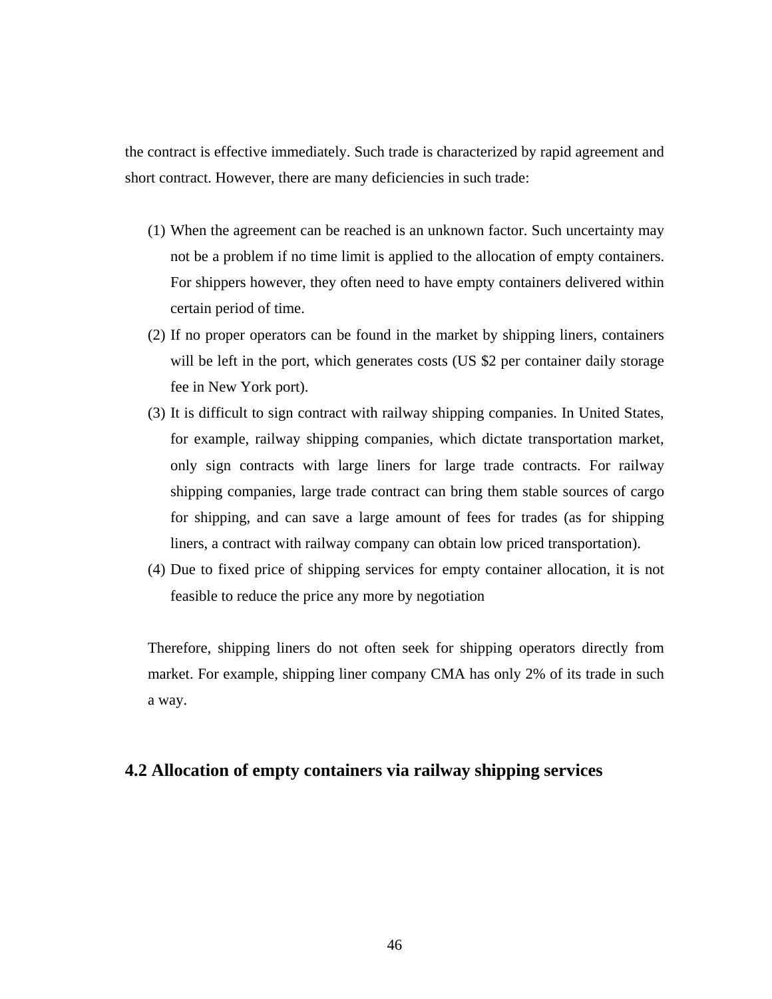the contract is effective immediately. Such trade is characterized by rapid agreement and short contract. However, there are many deficiencies in such trade:

- (1) When the agreement can be reached is an unknown factor. Such uncertainty may not be a problem if no time limit is applied to the allocation of empty containers. For shippers however, they often need to have empty containers delivered within certain period of time.
- (2) If no proper operators can be found in the market by shipping liners, containers will be left in the port, which generates costs (US \$2 per container daily storage fee in New York port).
- (3) It is difficult to sign contract with railway shipping companies. In United States, for example, railway shipping companies, which dictate transportation market, only sign contracts with large liners for large trade contracts. For railway shipping companies, large trade contract can bring them stable sources of cargo for shipping, and can save a large amount of fees for trades (as for shipping liners, a contract with railway company can obtain low priced transportation).
- (4) Due to fixed price of shipping services for empty container allocation, it is not feasible to reduce the price any more by negotiation

Therefore, shipping liners do not often seek for shipping operators directly from market. For example, shipping liner company CMA has only 2% of its trade in such a way.

## **4.2 Allocation of empty containers via railway shipping services**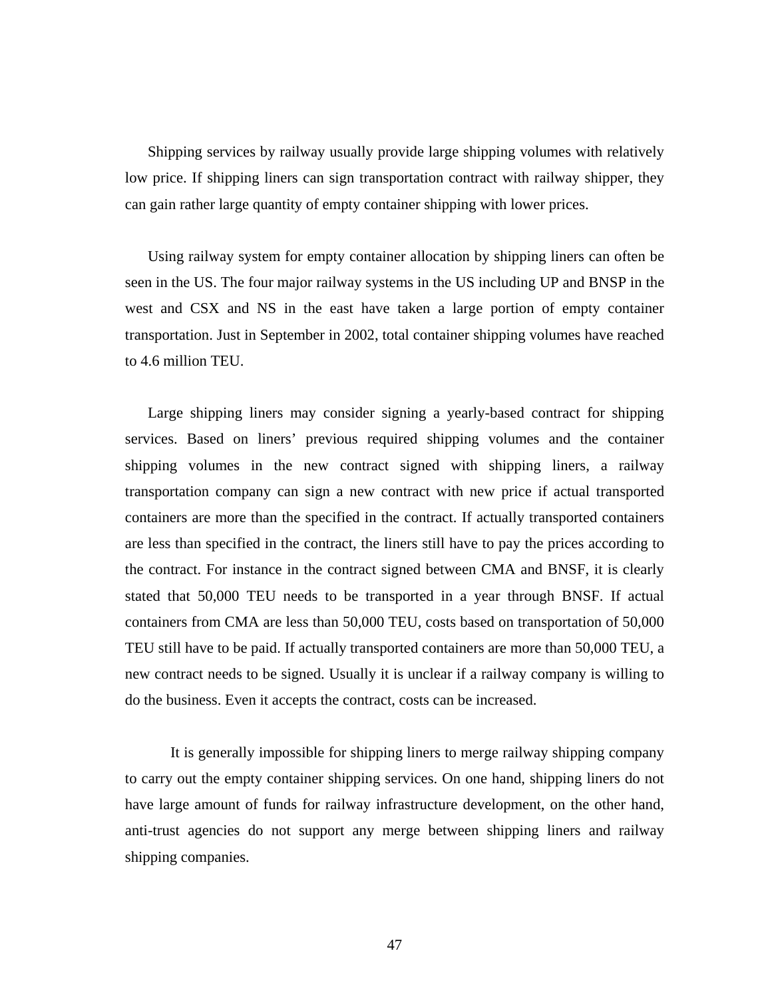Shipping services by railway usually provide large shipping volumes with relatively low price. If shipping liners can sign transportation contract with railway shipper, they can gain rather large quantity of empty container shipping with lower prices.

Using railway system for empty container allocation by shipping liners can often be seen in the US. The four major railway systems in the US including UP and BNSP in the west and CSX and NS in the east have taken a large portion of empty container transportation. Just in September in 2002, total container shipping volumes have reached to 4.6 million TEU.

Large shipping liners may consider signing a yearly-based contract for shipping services. Based on liners' previous required shipping volumes and the container shipping volumes in the new contract signed with shipping liners, a railway transportation company can sign a new contract with new price if actual transported containers are more than the specified in the contract. If actually transported containers are less than specified in the contract, the liners still have to pay the prices according to the contract. For instance in the contract signed between CMA and BNSF, it is clearly stated that 50,000 TEU needs to be transported in a year through BNSF. If actual containers from CMA are less than 50,000 TEU, costs based on transportation of 50,000 TEU still have to be paid. If actually transported containers are more than 50,000 TEU, a new contract needs to be signed. Usually it is unclear if a railway company is willing to do the business. Even it accepts the contract, costs can be increased.

 It is generally impossible for shipping liners to merge railway shipping company to carry out the empty container shipping services. On one hand, shipping liners do not have large amount of funds for railway infrastructure development, on the other hand, anti-trust agencies do not support any merge between shipping liners and railway shipping companies.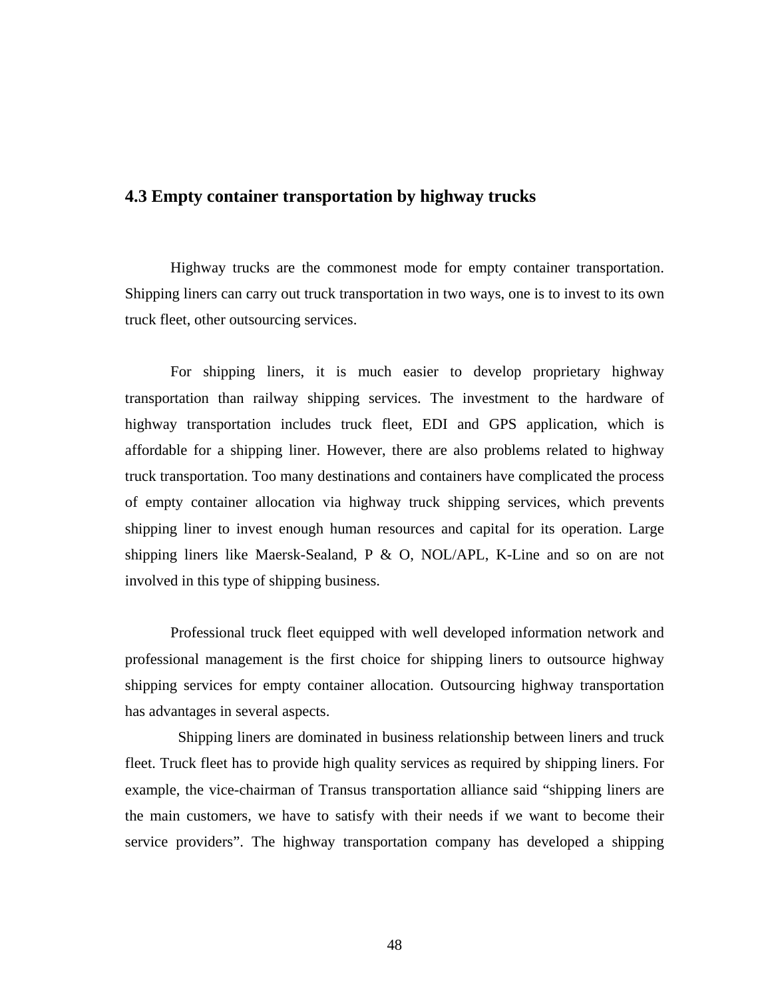## **4.3 Empty container transportation by highway trucks**

Highway trucks are the commonest mode for empty container transportation. Shipping liners can carry out truck transportation in two ways, one is to invest to its own truck fleet, other outsourcing services.

For shipping liners, it is much easier to develop proprietary highway transportation than railway shipping services. The investment to the hardware of highway transportation includes truck fleet, EDI and GPS application, which is affordable for a shipping liner. However, there are also problems related to highway truck transportation. Too many destinations and containers have complicated the process of empty container allocation via highway truck shipping services, which prevents shipping liner to invest enough human resources and capital for its operation. Large shipping liners like Maersk-Sealand, P & O, NOL/APL, K-Line and so on are not involved in this type of shipping business.

Professional truck fleet equipped with well developed information network and professional management is the first choice for shipping liners to outsource highway shipping services for empty container allocation. Outsourcing highway transportation has advantages in several aspects.

Shipping liners are dominated in business relationship between liners and truck fleet. Truck fleet has to provide high quality services as required by shipping liners. For example, the vice-chairman of Transus transportation alliance said "shipping liners are the main customers, we have to satisfy with their needs if we want to become their service providers". The highway transportation company has developed a shipping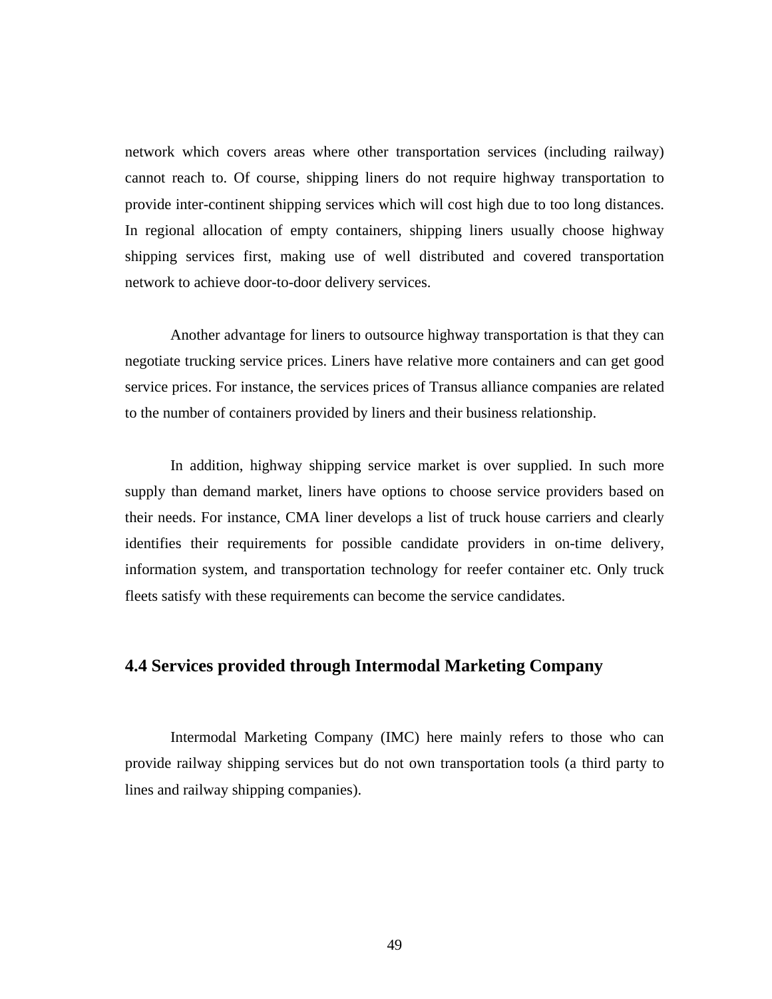network which covers areas where other transportation services (including railway) cannot reach to. Of course, shipping liners do not require highway transportation to provide inter-continent shipping services which will cost high due to too long distances. In regional allocation of empty containers, shipping liners usually choose highway shipping services first, making use of well distributed and covered transportation network to achieve door-to-door delivery services.

 Another advantage for liners to outsource highway transportation is that they can negotiate trucking service prices. Liners have relative more containers and can get good service prices. For instance, the services prices of Transus alliance companies are related to the number of containers provided by liners and their business relationship.

 In addition, highway shipping service market is over supplied. In such more supply than demand market, liners have options to choose service providers based on their needs. For instance, CMA liner develops a list of truck house carriers and clearly identifies their requirements for possible candidate providers in on-time delivery, information system, and transportation technology for reefer container etc. Only truck fleets satisfy with these requirements can become the service candidates.

## **4.4 Services provided through Intermodal Marketing Company**

Intermodal Marketing Company (IMC) here mainly refers to those who can provide railway shipping services but do not own transportation tools (a third party to lines and railway shipping companies).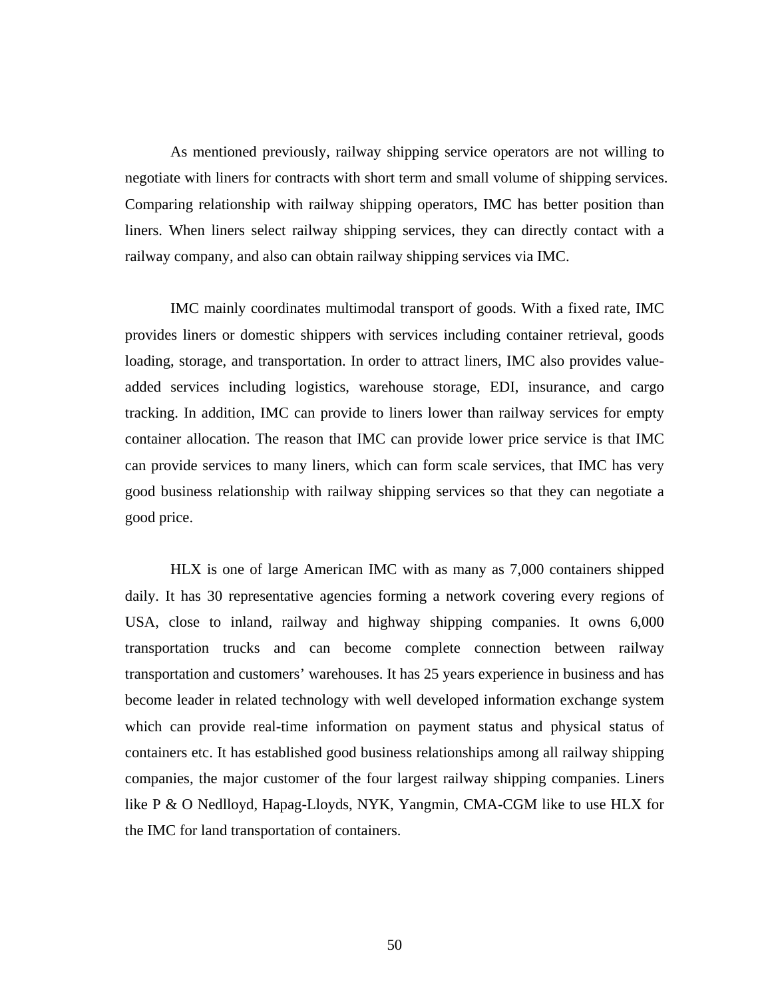As mentioned previously, railway shipping service operators are not willing to negotiate with liners for contracts with short term and small volume of shipping services. Comparing relationship with railway shipping operators, IMC has better position than liners. When liners select railway shipping services, they can directly contact with a railway company, and also can obtain railway shipping services via IMC.

IMC mainly coordinates multimodal transport of goods. With a fixed rate, IMC provides liners or domestic shippers with services including container retrieval, goods loading, storage, and transportation. In order to attract liners, IMC also provides valueadded services including logistics, warehouse storage, EDI, insurance, and cargo tracking. In addition, IMC can provide to liners lower than railway services for empty container allocation. The reason that IMC can provide lower price service is that IMC can provide services to many liners, which can form scale services, that IMC has very good business relationship with railway shipping services so that they can negotiate a good price.

 HLX is one of large American IMC with as many as 7,000 containers shipped daily. It has 30 representative agencies forming a network covering every regions of USA, close to inland, railway and highway shipping companies. It owns 6,000 transportation trucks and can become complete connection between railway transportation and customers' warehouses. It has 25 years experience in business and has become leader in related technology with well developed information exchange system which can provide real-time information on payment status and physical status of containers etc. It has established good business relationships among all railway shipping companies, the major customer of the four largest railway shipping companies. Liners like P & O Nedlloyd, Hapag-Lloyds, NYK, Yangmin, CMA-CGM like to use HLX for the IMC for land transportation of containers.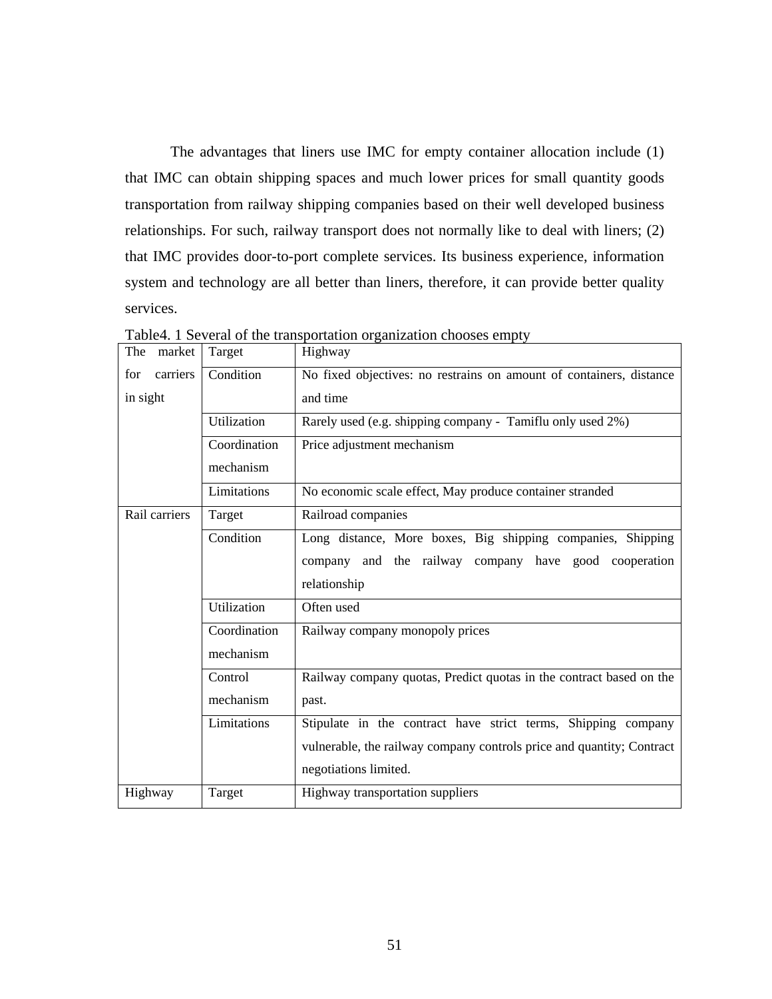The advantages that liners use IMC for empty container allocation include (1) that IMC can obtain shipping spaces and much lower prices for small quantity goods transportation from railway shipping companies based on their well developed business relationships. For such, railway transport does not normally like to deal with liners; (2) that IMC provides door-to-port complete services. Its business experience, information system and technology are all better than liners, therefore, it can provide better quality services.

| The<br>market   | Target       | Highway                                                               |
|-----------------|--------------|-----------------------------------------------------------------------|
| carriers<br>for | Condition    | No fixed objectives: no restrains on amount of containers, distance   |
| in sight        |              | and time                                                              |
|                 | Utilization  | Rarely used (e.g. shipping company - Tamiflu only used 2%)            |
|                 | Coordination | Price adjustment mechanism                                            |
|                 | mechanism    |                                                                       |
|                 | Limitations  | No economic scale effect, May produce container stranded              |
| Rail carriers   | Target       | Railroad companies                                                    |
|                 | Condition    | Long distance, More boxes, Big shipping companies, Shipping           |
|                 |              | company and the railway company have good cooperation                 |
|                 |              | relationship                                                          |
|                 | Utilization  | Often used                                                            |
|                 | Coordination | Railway company monopoly prices                                       |
|                 | mechanism    |                                                                       |
|                 | Control      | Railway company quotas, Predict quotas in the contract based on the   |
|                 | mechanism    | past.                                                                 |
|                 | Limitations  | Stipulate in the contract have strict terms, Shipping company         |
|                 |              | vulnerable, the railway company controls price and quantity; Contract |
|                 |              | negotiations limited.                                                 |
| Highway         | Target       | Highway transportation suppliers                                      |

Table4. 1 Several of the transportation organization chooses empty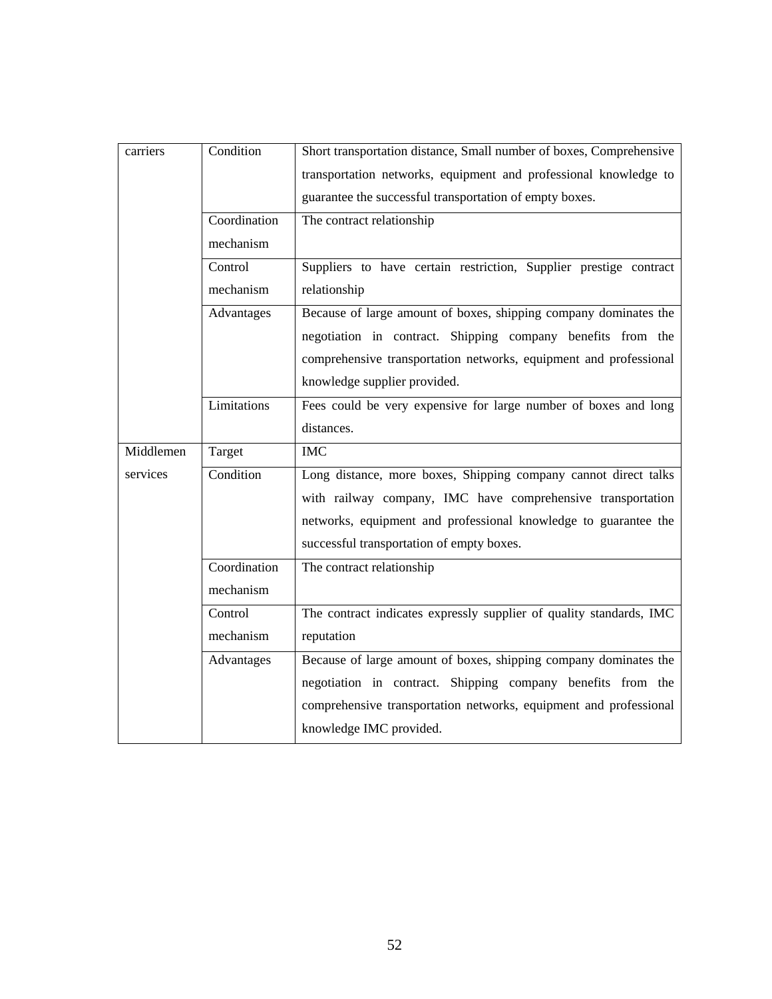| carriers  | Condition    | Short transportation distance, Small number of boxes, Comprehensive |  |  |
|-----------|--------------|---------------------------------------------------------------------|--|--|
|           |              | transportation networks, equipment and professional knowledge to    |  |  |
|           |              | guarantee the successful transportation of empty boxes.             |  |  |
|           | Coordination | The contract relationship                                           |  |  |
|           | mechanism    |                                                                     |  |  |
|           | Control      | Suppliers to have certain restriction, Supplier prestige contract   |  |  |
|           | mechanism    | relationship                                                        |  |  |
|           | Advantages   | Because of large amount of boxes, shipping company dominates the    |  |  |
|           |              | negotiation in contract. Shipping company benefits from the         |  |  |
|           |              | comprehensive transportation networks, equipment and professional   |  |  |
|           |              | knowledge supplier provided.                                        |  |  |
|           | Limitations  | Fees could be very expensive for large number of boxes and long     |  |  |
|           |              | distances.                                                          |  |  |
|           |              |                                                                     |  |  |
| Middlemen | Target       | <b>IMC</b>                                                          |  |  |
| services  | Condition    | Long distance, more boxes, Shipping company cannot direct talks     |  |  |
|           |              | with railway company, IMC have comprehensive transportation         |  |  |
|           |              | networks, equipment and professional knowledge to guarantee the     |  |  |
|           |              | successful transportation of empty boxes.                           |  |  |
|           | Coordination | The contract relationship                                           |  |  |
|           | mechanism    |                                                                     |  |  |
|           | Control      | The contract indicates expressly supplier of quality standards, IMC |  |  |
|           | mechanism    | reputation                                                          |  |  |
|           | Advantages   | Because of large amount of boxes, shipping company dominates the    |  |  |
|           |              | negotiation in contract. Shipping company benefits from the         |  |  |
|           |              | comprehensive transportation networks, equipment and professional   |  |  |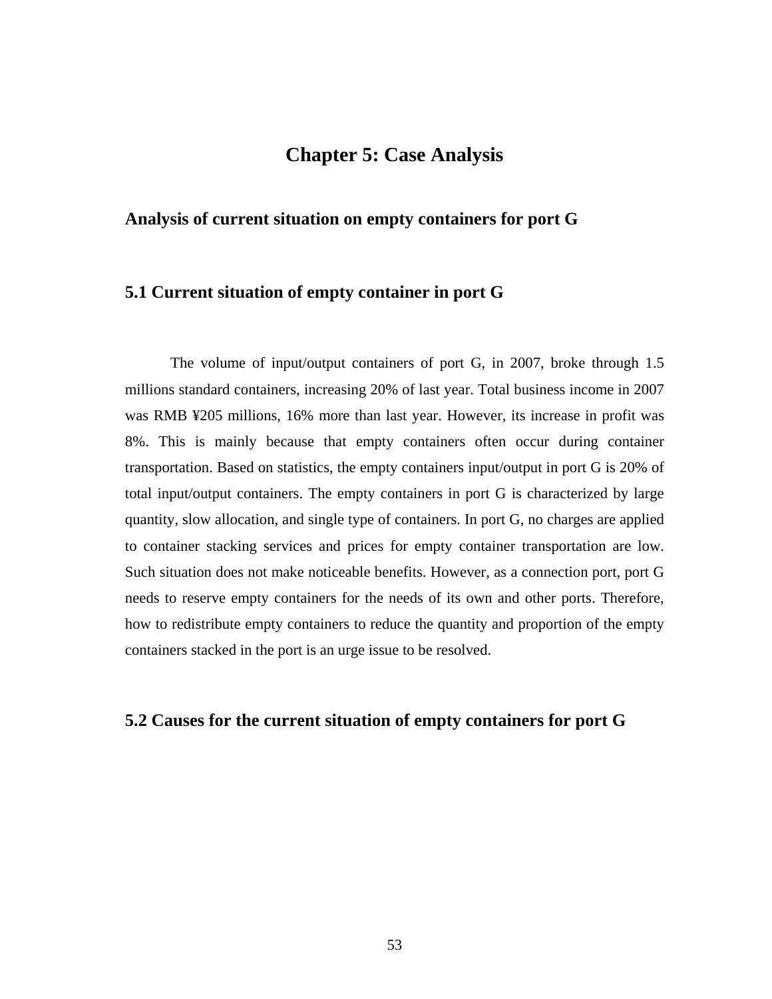## **Chapter 5: Case Analysis**

## **Analysis of current situation on empty containers for port G**

## **5.1 Current situation of empty container in port G**

The volume of input/output containers of port G, in 2007, broke through 1.5 millions standard containers, increasing 20% of last year. Total business income in 2007 was RMB ¥205 millions, 16% more than last year. However, its increase in profit was 8%. This is mainly because that empty containers often occur during container transportation. Based on statistics, the empty containers input/output in port G is 20% of total input/output containers. The empty containers in port G is characterized by large quantity, slow allocation, and single type of containers. In port G, no charges are applied to container stacking services and prices for empty container transportation are low. Such situation does not make noticeable benefits. However, as a connection port, port G needs to reserve empty containers for the needs of its own and other ports. Therefore, how to redistribute empty containers to reduce the quantity and proportion of the empty containers stacked in the port is an urge issue to be resolved.

## **5.2 Causes for the current situation of empty containers for port G**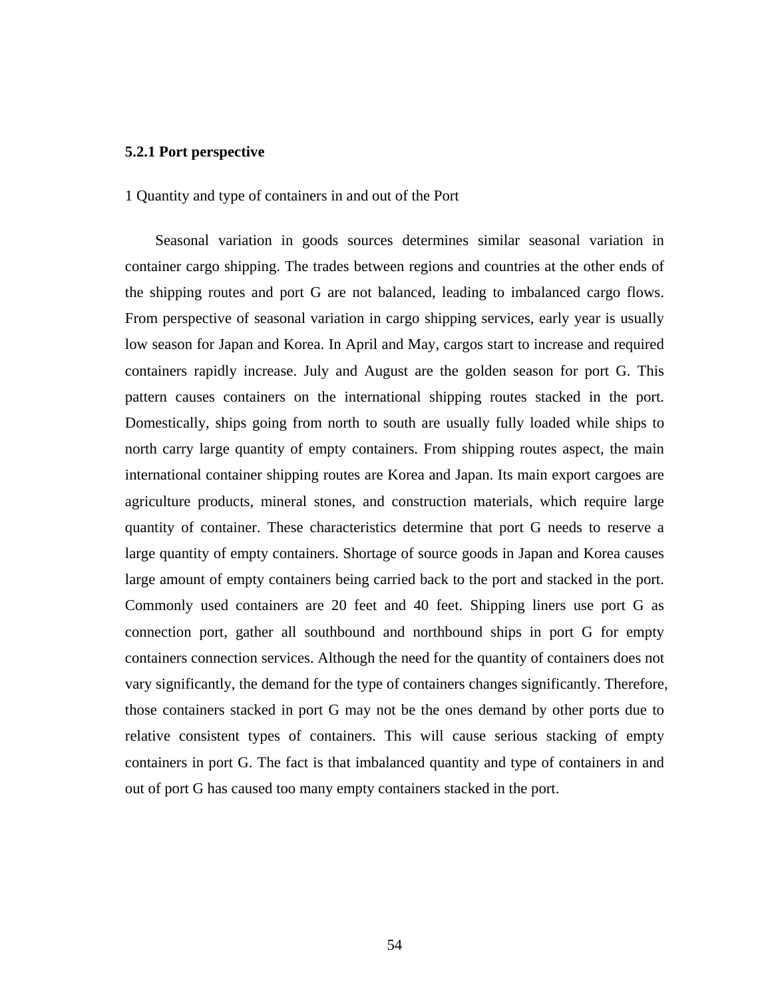## **5.2.1 Port perspective**

#### 1 Quantity and type of containers in and out of the Port

Seasonal variation in goods sources determines similar seasonal variation in container cargo shipping. The trades between regions and countries at the other ends of the shipping routes and port G are not balanced, leading to imbalanced cargo flows. From perspective of seasonal variation in cargo shipping services, early year is usually low season for Japan and Korea. In April and May, cargos start to increase and required containers rapidly increase. July and August are the golden season for port G. This pattern causes containers on the international shipping routes stacked in the port. Domestically, ships going from north to south are usually fully loaded while ships to north carry large quantity of empty containers. From shipping routes aspect, the main international container shipping routes are Korea and Japan. Its main export cargoes are agriculture products, mineral stones, and construction materials, which require large quantity of container. These characteristics determine that port G needs to reserve a large quantity of empty containers. Shortage of source goods in Japan and Korea causes large amount of empty containers being carried back to the port and stacked in the port. Commonly used containers are 20 feet and 40 feet. Shipping liners use port G as connection port, gather all southbound and northbound ships in port G for empty containers connection services. Although the need for the quantity of containers does not vary significantly, the demand for the type of containers changes significantly. Therefore, those containers stacked in port G may not be the ones demand by other ports due to relative consistent types of containers. This will cause serious stacking of empty containers in port G. The fact is that imbalanced quantity and type of containers in and out of port G has caused too many empty containers stacked in the port.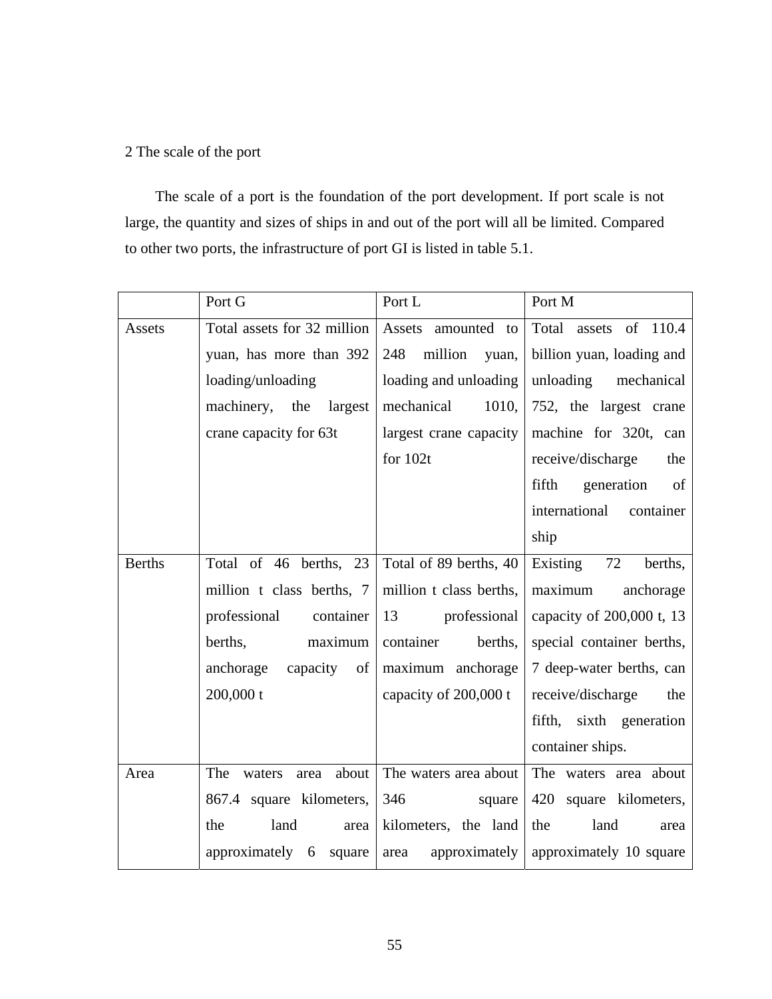## 2 The scale of the port

The scale of a port is the foundation of the port development. If port scale is not large, the quantity and sizes of ships in and out of the port will all be limited. Compared to other two ports, the infrastructure of port GI is listed in table 5.1.

|               | Port G                         | Port L                  | Port M                     |
|---------------|--------------------------------|-------------------------|----------------------------|
| Assets        | Total assets for 32 million    | Assets amounted<br>to   | Total<br>assets of 110.4   |
|               | yuan, has more than 392        | 248<br>million<br>yuan, | billion yuan, loading and  |
|               | loading/unloading              | loading and unloading   | unloading mechanical       |
|               | machinery, the<br>largest      | mechanical<br>1010,     | 752, the largest crane     |
|               | crane capacity for 63t         | largest crane capacity  | machine for 320t, can      |
|               |                                | for $102t$              | receive/discharge<br>the   |
|               |                                |                         | fifth<br>generation<br>of  |
|               |                                |                         | international<br>container |
|               |                                |                         | ship                       |
| <b>Berths</b> | Total of 46 berths, 23         | Total of 89 berths, 40  | Existing<br>72<br>berths,  |
|               | million t class berths, 7      | million t class berths, | maximum<br>anchorage       |
|               | professional<br>container      | 13<br>professional      | capacity of 200,000 t, 13  |
|               | maximum<br>berths.             | container<br>berths,    | special container berths,  |
|               | capacity of<br>anchorage       | maximum anchorage       | 7 deep-water berths, can   |
|               | 200,000 t                      | capacity of 200,000 t   | receive/discharge<br>the   |
|               |                                |                         | fifth, sixth generation    |
|               |                                |                         | container ships.           |
| Area          | The<br>about<br>waters<br>area | The waters area about   | The waters area about      |
|               | 867.4 square kilometers,       | 346<br>square           | 420 square kilometers,     |
|               | land<br>the<br>area            | kilometers, the land    | the<br>land<br>area        |
|               | approximately<br>square<br>6   | approximately<br>area   | approximately 10 square    |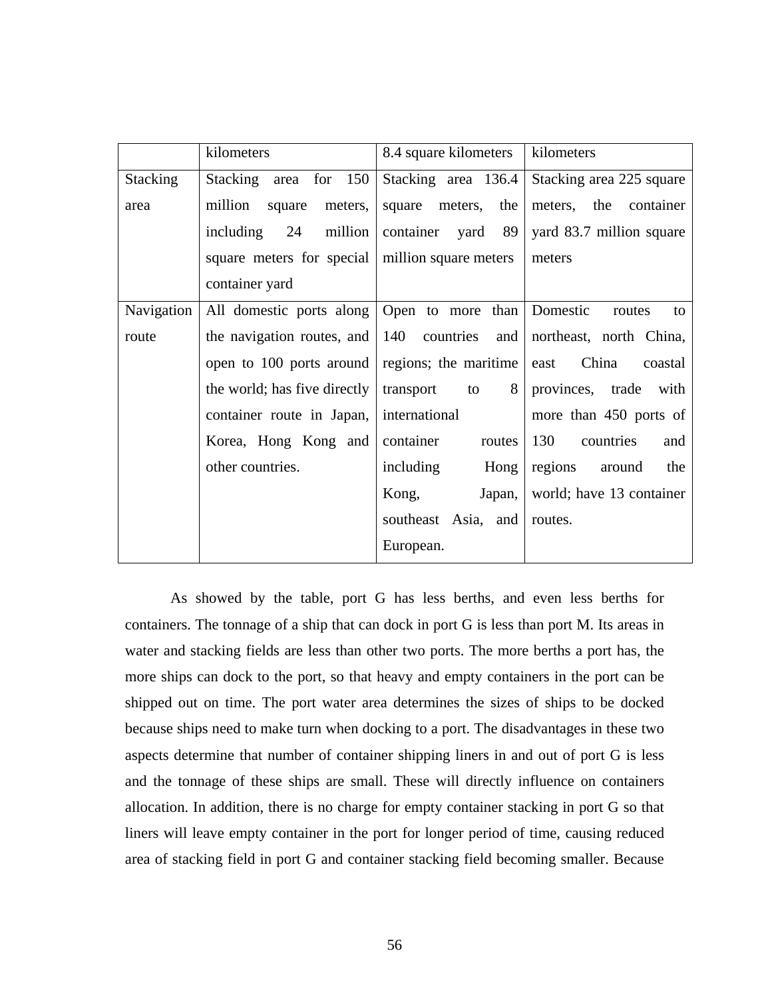|                 | kilometers                                 | 8.4 square kilometers | kilometers               |
|-----------------|--------------------------------------------|-----------------------|--------------------------|
| <b>Stacking</b> | Stacking<br>area for 150                   | Stacking area 136.4   | Stacking area 225 square |
| area            | million<br>meters,<br>square               | square meters,<br>the | meters, the<br>container |
|                 | million<br>including<br>24                 | container<br>yard 89  | yard 83.7 million square |
|                 | square meters for special                  | million square meters | meters                   |
|                 | container yard                             |                       |                          |
| Navigation      | All domestic ports along Open to more than |                       | Domestic<br>routes<br>to |
| route           | the navigation routes, and                 | 140 countries<br>and  | northeast, north China,  |
|                 | open to 100 ports around                   | regions; the maritime | China<br>east<br>coastal |
|                 | the world; has five directly               | transport<br>8<br>to  | provinces, trade<br>with |
|                 | container route in Japan,                  | international         | more than 450 ports of   |
|                 | Korea, Hong Kong and                       | container<br>routes   | 130<br>countries<br>and  |
|                 | other countries.                           | including<br>Hong     | regions<br>around<br>the |
|                 |                                            | Kong,<br>Japan,       | world; have 13 container |
|                 |                                            | southeast Asia, and   | routes.                  |
|                 |                                            | European.             |                          |

 As showed by the table, port G has less berths, and even less berths for containers. The tonnage of a ship that can dock in port G is less than port M. Its areas in water and stacking fields are less than other two ports. The more berths a port has, the more ships can dock to the port, so that heavy and empty containers in the port can be shipped out on time. The port water area determines the sizes of ships to be docked because ships need to make turn when docking to a port. The disadvantages in these two aspects determine that number of container shipping liners in and out of port G is less and the tonnage of these ships are small. These will directly influence on containers allocation. In addition, there is no charge for empty container stacking in port G so that liners will leave empty container in the port for longer period of time, causing reduced area of stacking field in port G and container stacking field becoming smaller. Because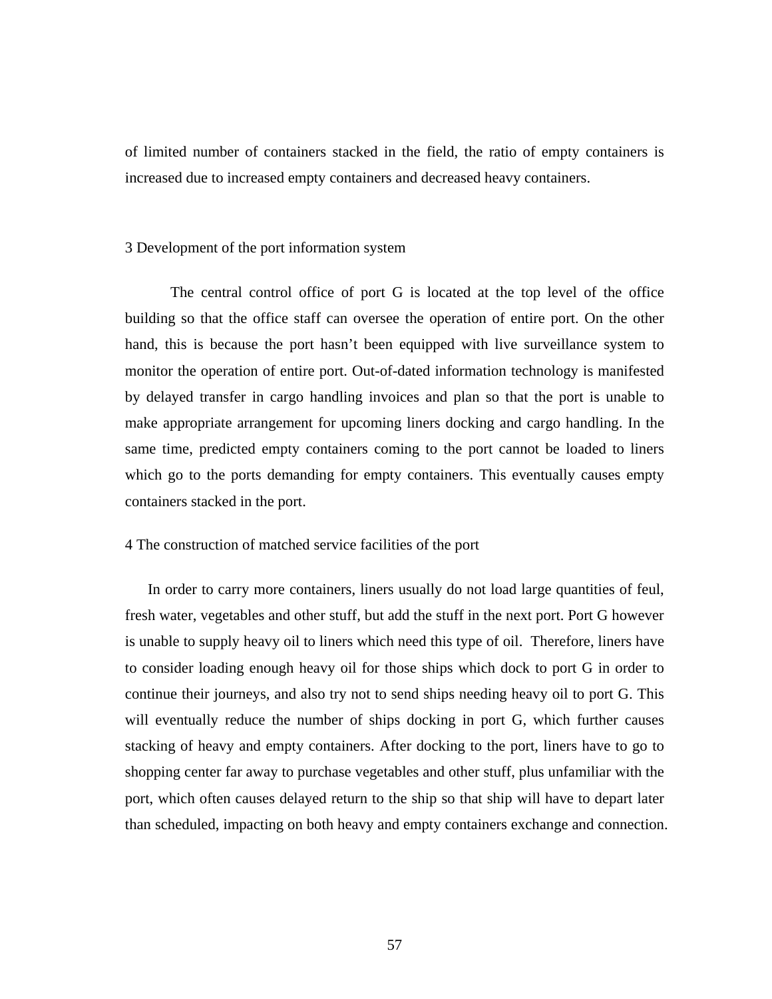of limited number of containers stacked in the field, the ratio of empty containers is increased due to increased empty containers and decreased heavy containers.

#### 3 Development of the port information system

 The central control office of port G is located at the top level of the office building so that the office staff can oversee the operation of entire port. On the other hand, this is because the port hasn't been equipped with live surveillance system to monitor the operation of entire port. Out-of-dated information technology is manifested by delayed transfer in cargo handling invoices and plan so that the port is unable to make appropriate arrangement for upcoming liners docking and cargo handling. In the same time, predicted empty containers coming to the port cannot be loaded to liners which go to the ports demanding for empty containers. This eventually causes empty containers stacked in the port.

## 4 The construction of matched service facilities of the port

In order to carry more containers, liners usually do not load large quantities of feul, fresh water, vegetables and other stuff, but add the stuff in the next port. Port G however is unable to supply heavy oil to liners which need this type of oil. Therefore, liners have to consider loading enough heavy oil for those ships which dock to port G in order to continue their journeys, and also try not to send ships needing heavy oil to port G. This will eventually reduce the number of ships docking in port G, which further causes stacking of heavy and empty containers. After docking to the port, liners have to go to shopping center far away to purchase vegetables and other stuff, plus unfamiliar with the port, which often causes delayed return to the ship so that ship will have to depart later than scheduled, impacting on both heavy and empty containers exchange and connection.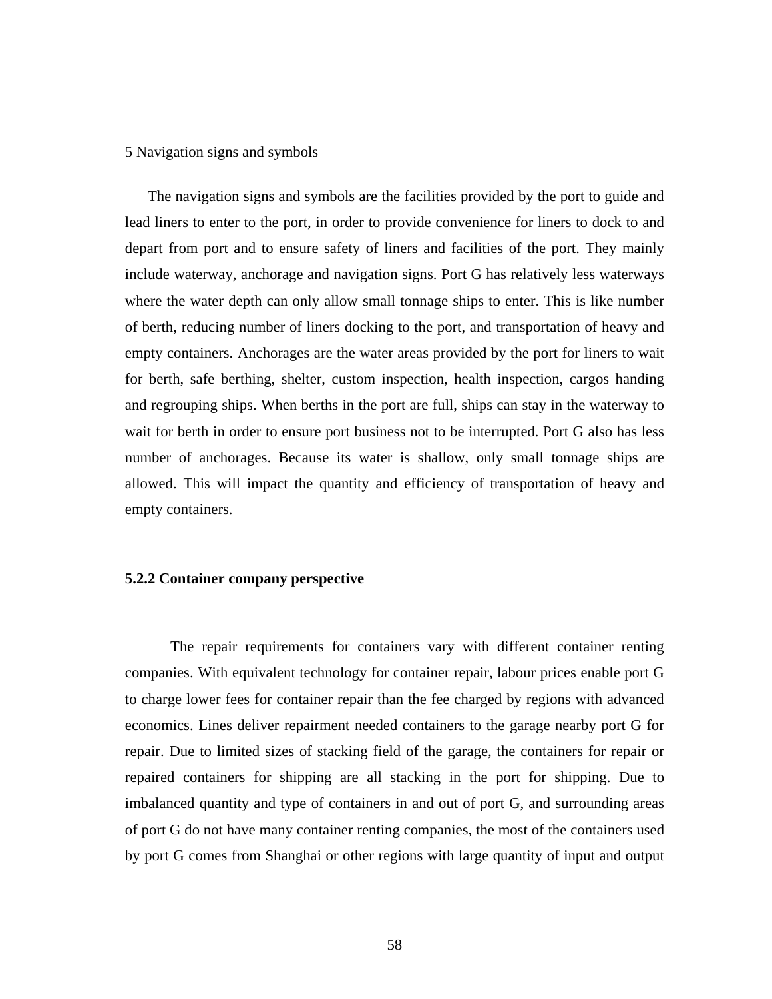### 5 Navigation signs and symbols

The navigation signs and symbols are the facilities provided by the port to guide and lead liners to enter to the port, in order to provide convenience for liners to dock to and depart from port and to ensure safety of liners and facilities of the port. They mainly include waterway, anchorage and navigation signs. Port G has relatively less waterways where the water depth can only allow small tonnage ships to enter. This is like number of berth, reducing number of liners docking to the port, and transportation of heavy and empty containers. Anchorages are the water areas provided by the port for liners to wait for berth, safe berthing, shelter, custom inspection, health inspection, cargos handing and regrouping ships. When berths in the port are full, ships can stay in the waterway to wait for berth in order to ensure port business not to be interrupted. Port G also has less number of anchorages. Because its water is shallow, only small tonnage ships are allowed. This will impact the quantity and efficiency of transportation of heavy and empty containers.

## **5.2.2 Container company perspective**

The repair requirements for containers vary with different container renting companies. With equivalent technology for container repair, labour prices enable port G to charge lower fees for container repair than the fee charged by regions with advanced economics. Lines deliver repairment needed containers to the garage nearby port G for repair. Due to limited sizes of stacking field of the garage, the containers for repair or repaired containers for shipping are all stacking in the port for shipping. Due to imbalanced quantity and type of containers in and out of port G, and surrounding areas of port G do not have many container renting companies, the most of the containers used by port G comes from Shanghai or other regions with large quantity of input and output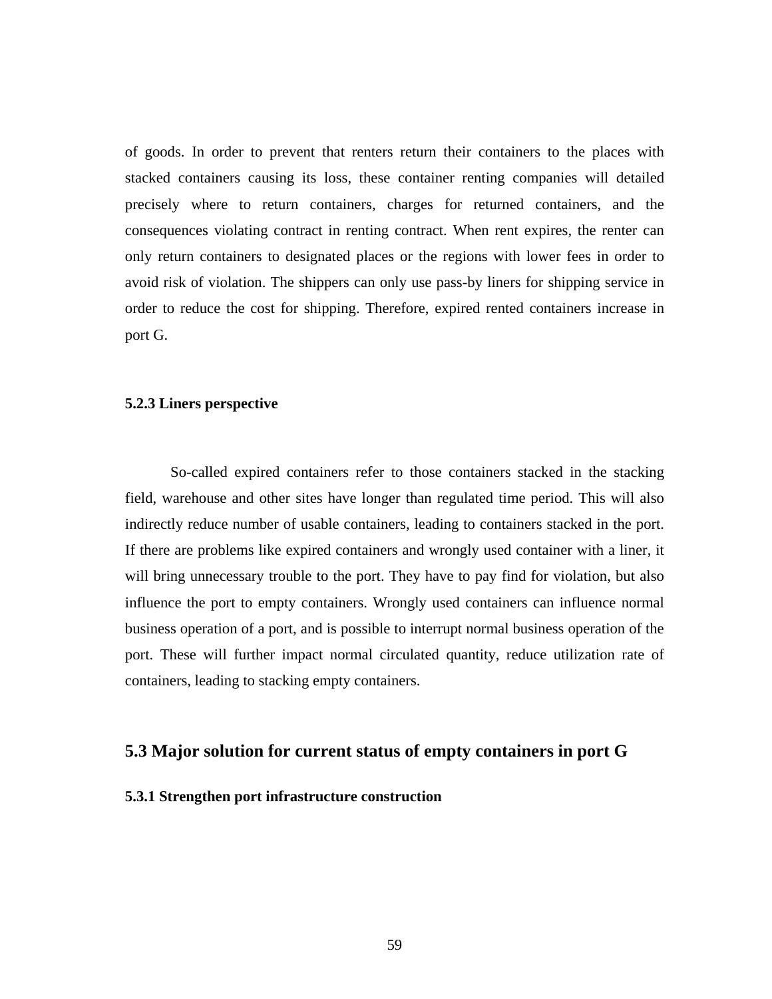of goods. In order to prevent that renters return their containers to the places with stacked containers causing its loss, these container renting companies will detailed precisely where to return containers, charges for returned containers, and the consequences violating contract in renting contract. When rent expires, the renter can only return containers to designated places or the regions with lower fees in order to avoid risk of violation. The shippers can only use pass-by liners for shipping service in order to reduce the cost for shipping. Therefore, expired rented containers increase in port G.

#### **5.2.3 Liners perspective**

So-called expired containers refer to those containers stacked in the stacking field, warehouse and other sites have longer than regulated time period. This will also indirectly reduce number of usable containers, leading to containers stacked in the port. If there are problems like expired containers and wrongly used container with a liner, it will bring unnecessary trouble to the port. They have to pay find for violation, but also influence the port to empty containers. Wrongly used containers can influence normal business operation of a port, and is possible to interrupt normal business operation of the port. These will further impact normal circulated quantity, reduce utilization rate of containers, leading to stacking empty containers.

## **5.3 Major solution for current status of empty containers in port G**

#### **5.3.1 Strengthen port infrastructure construction**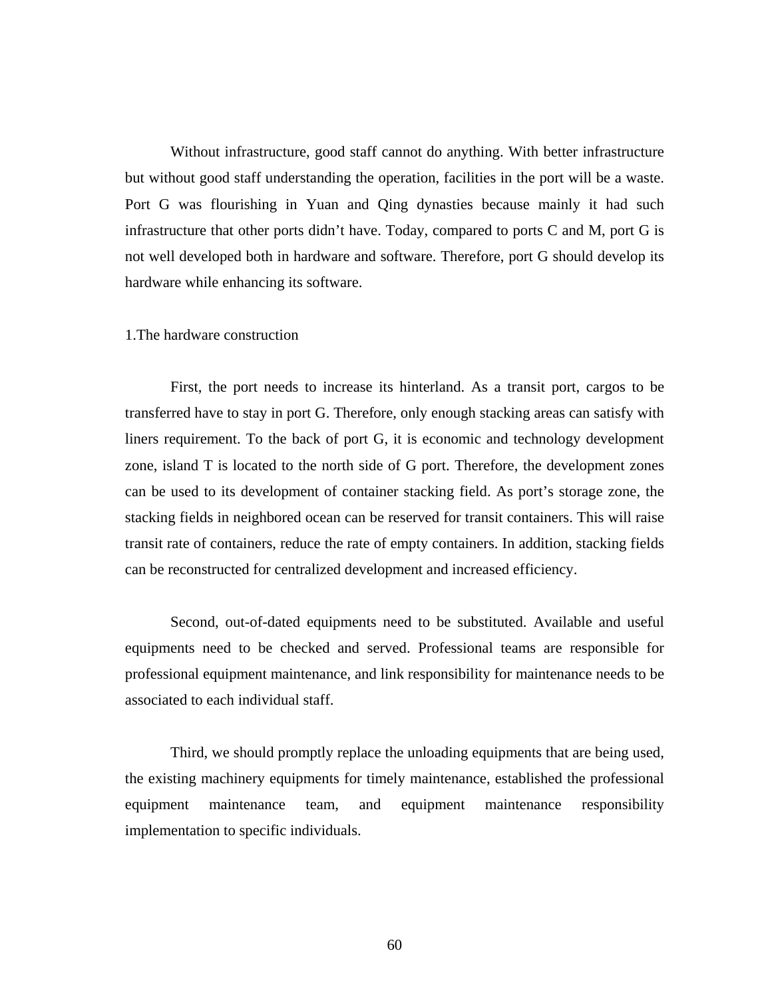Without infrastructure, good staff cannot do anything. With better infrastructure but without good staff understanding the operation, facilities in the port will be a waste. Port G was flourishing in Yuan and Qing dynasties because mainly it had such infrastructure that other ports didn't have. Today, compared to ports C and M, port G is not well developed both in hardware and software. Therefore, port G should develop its hardware while enhancing its software.

#### 1.The hardware construction

First, the port needs to increase its hinterland. As a transit port, cargos to be transferred have to stay in port G. Therefore, only enough stacking areas can satisfy with liners requirement. To the back of port G, it is economic and technology development zone, island T is located to the north side of G port. Therefore, the development zones can be used to its development of container stacking field. As port's storage zone, the stacking fields in neighbored ocean can be reserved for transit containers. This will raise transit rate of containers, reduce the rate of empty containers. In addition, stacking fields can be reconstructed for centralized development and increased efficiency.

Second, out-of-dated equipments need to be substituted. Available and useful equipments need to be checked and served. Professional teams are responsible for professional equipment maintenance, and link responsibility for maintenance needs to be associated to each individual staff.

Third, we should promptly replace the unloading equipments that are being used, the existing machinery equipments for timely maintenance, established the professional equipment maintenance team, and equipment maintenance responsibility implementation to specific individuals.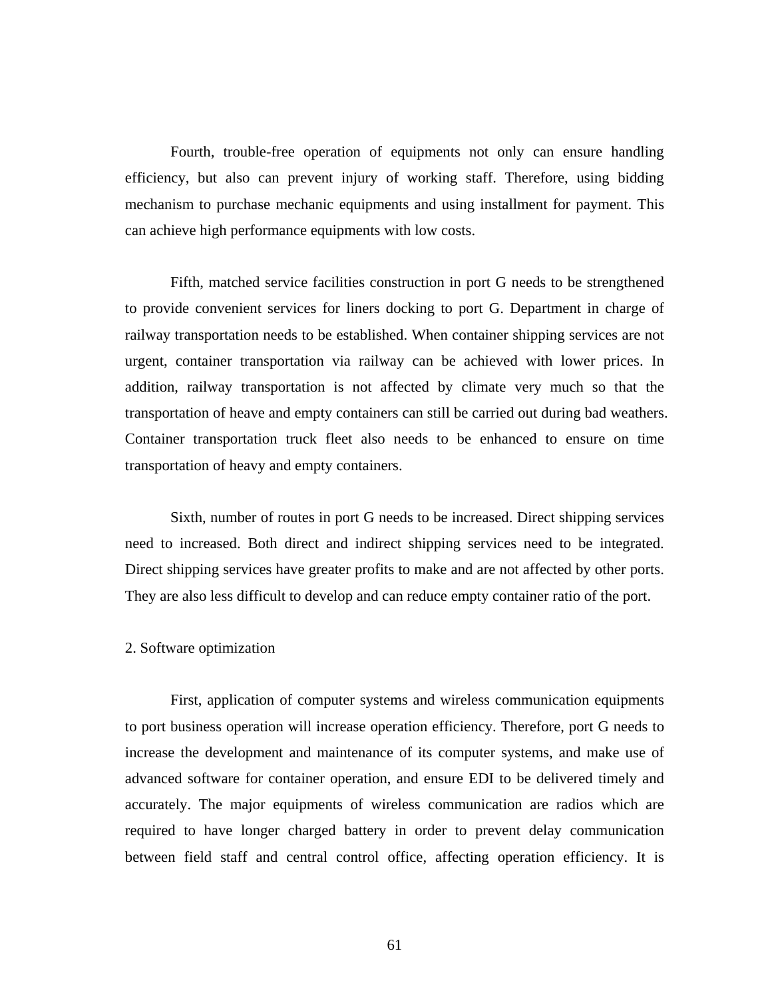Fourth, trouble-free operation of equipments not only can ensure handling efficiency, but also can prevent injury of working staff. Therefore, using bidding mechanism to purchase mechanic equipments and using installment for payment. This can achieve high performance equipments with low costs.

Fifth, matched service facilities construction in port G needs to be strengthened to provide convenient services for liners docking to port G. Department in charge of railway transportation needs to be established. When container shipping services are not urgent, container transportation via railway can be achieved with lower prices. In addition, railway transportation is not affected by climate very much so that the transportation of heave and empty containers can still be carried out during bad weathers. Container transportation truck fleet also needs to be enhanced to ensure on time transportation of heavy and empty containers.

Sixth, number of routes in port G needs to be increased. Direct shipping services need to increased. Both direct and indirect shipping services need to be integrated. Direct shipping services have greater profits to make and are not affected by other ports. They are also less difficult to develop and can reduce empty container ratio of the port.

## 2. Software optimization

First, application of computer systems and wireless communication equipments to port business operation will increase operation efficiency. Therefore, port G needs to increase the development and maintenance of its computer systems, and make use of advanced software for container operation, and ensure EDI to be delivered timely and accurately. The major equipments of wireless communication are radios which are required to have longer charged battery in order to prevent delay communication between field staff and central control office, affecting operation efficiency. It is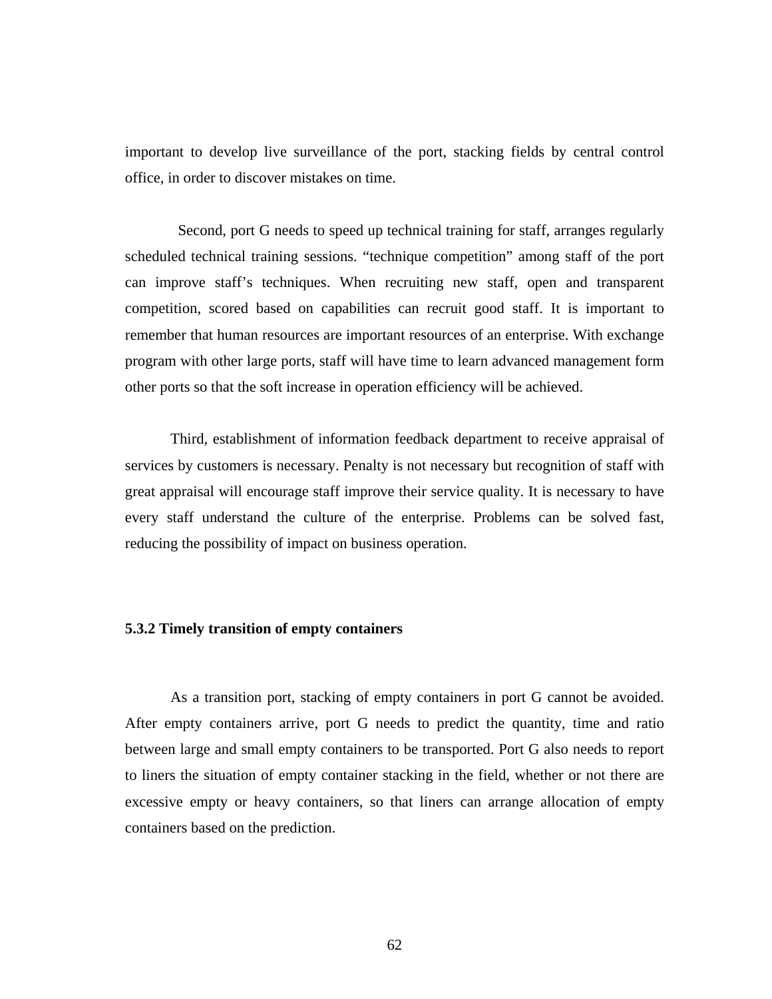important to develop live surveillance of the port, stacking fields by central control office, in order to discover mistakes on time.

 Second, port G needs to speed up technical training for staff, arranges regularly scheduled technical training sessions. "technique competition" among staff of the port can improve staff's techniques. When recruiting new staff, open and transparent competition, scored based on capabilities can recruit good staff. It is important to remember that human resources are important resources of an enterprise. With exchange program with other large ports, staff will have time to learn advanced management form other ports so that the soft increase in operation efficiency will be achieved.

Third, establishment of information feedback department to receive appraisal of services by customers is necessary. Penalty is not necessary but recognition of staff with great appraisal will encourage staff improve their service quality. It is necessary to have every staff understand the culture of the enterprise. Problems can be solved fast, reducing the possibility of impact on business operation.

#### **5.3.2 Timely transition of empty containers**

As a transition port, stacking of empty containers in port G cannot be avoided. After empty containers arrive, port G needs to predict the quantity, time and ratio between large and small empty containers to be transported. Port G also needs to report to liners the situation of empty container stacking in the field, whether or not there are excessive empty or heavy containers, so that liners can arrange allocation of empty containers based on the prediction.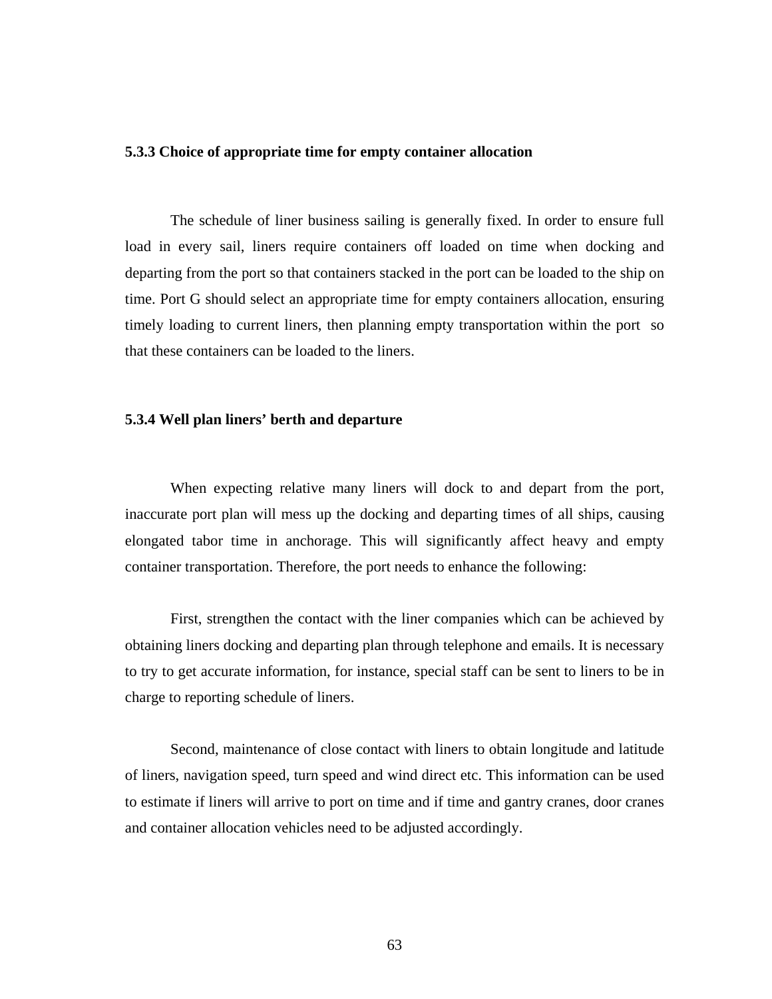## **5.3.3 Choice of appropriate time for empty container allocation**

The schedule of liner business sailing is generally fixed. In order to ensure full load in every sail, liners require containers off loaded on time when docking and departing from the port so that containers stacked in the port can be loaded to the ship on time. Port G should select an appropriate time for empty containers allocation, ensuring timely loading to current liners, then planning empty transportation within the port so that these containers can be loaded to the liners.

## **5.3.4 Well plan liners' berth and departure**

When expecting relative many liners will dock to and depart from the port, inaccurate port plan will mess up the docking and departing times of all ships, causing elongated tabor time in anchorage. This will significantly affect heavy and empty container transportation. Therefore, the port needs to enhance the following:

First, strengthen the contact with the liner companies which can be achieved by obtaining liners docking and departing plan through telephone and emails. It is necessary to try to get accurate information, for instance, special staff can be sent to liners to be in charge to reporting schedule of liners.

Second, maintenance of close contact with liners to obtain longitude and latitude of liners, navigation speed, turn speed and wind direct etc. This information can be used to estimate if liners will arrive to port on time and if time and gantry cranes, door cranes and container allocation vehicles need to be adjusted accordingly.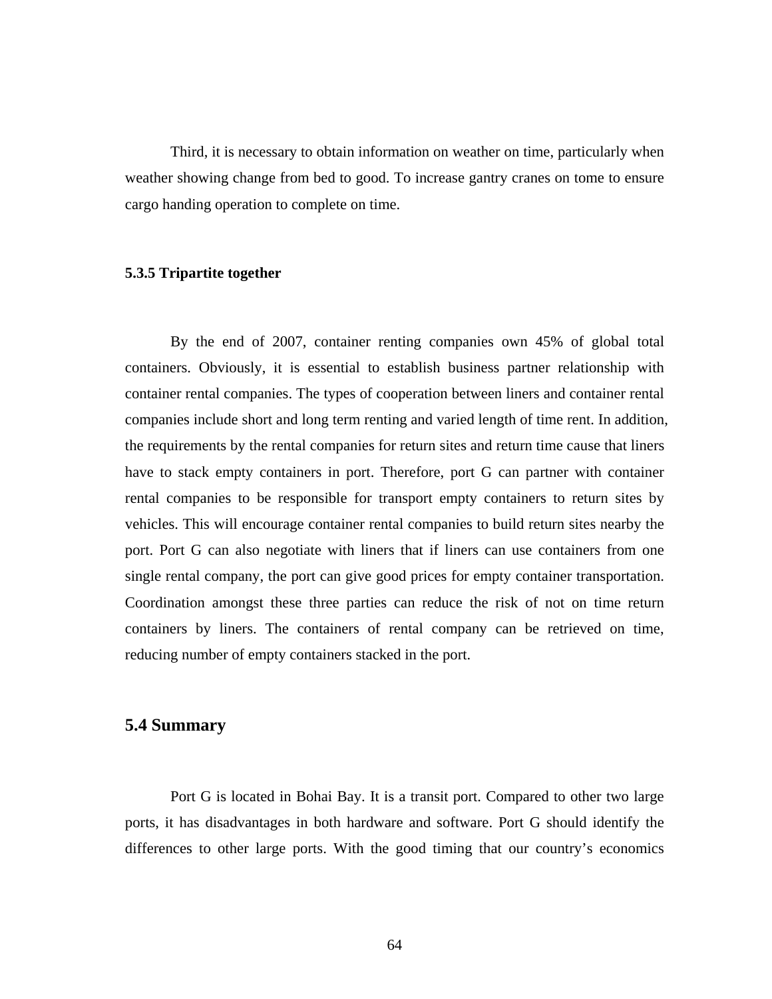Third, it is necessary to obtain information on weather on time, particularly when weather showing change from bed to good. To increase gantry cranes on tome to ensure cargo handing operation to complete on time.

## **5.3.5 Tripartite together**

By the end of 2007, container renting companies own 45% of global total containers. Obviously, it is essential to establish business partner relationship with container rental companies. The types of cooperation between liners and container rental companies include short and long term renting and varied length of time rent. In addition, the requirements by the rental companies for return sites and return time cause that liners have to stack empty containers in port. Therefore, port G can partner with container rental companies to be responsible for transport empty containers to return sites by vehicles. This will encourage container rental companies to build return sites nearby the port. Port G can also negotiate with liners that if liners can use containers from one single rental company, the port can give good prices for empty container transportation. Coordination amongst these three parties can reduce the risk of not on time return containers by liners. The containers of rental company can be retrieved on time, reducing number of empty containers stacked in the port.

## **5.4 Summary**

Port G is located in Bohai Bay. It is a transit port. Compared to other two large ports, it has disadvantages in both hardware and software. Port G should identify the differences to other large ports. With the good timing that our country's economics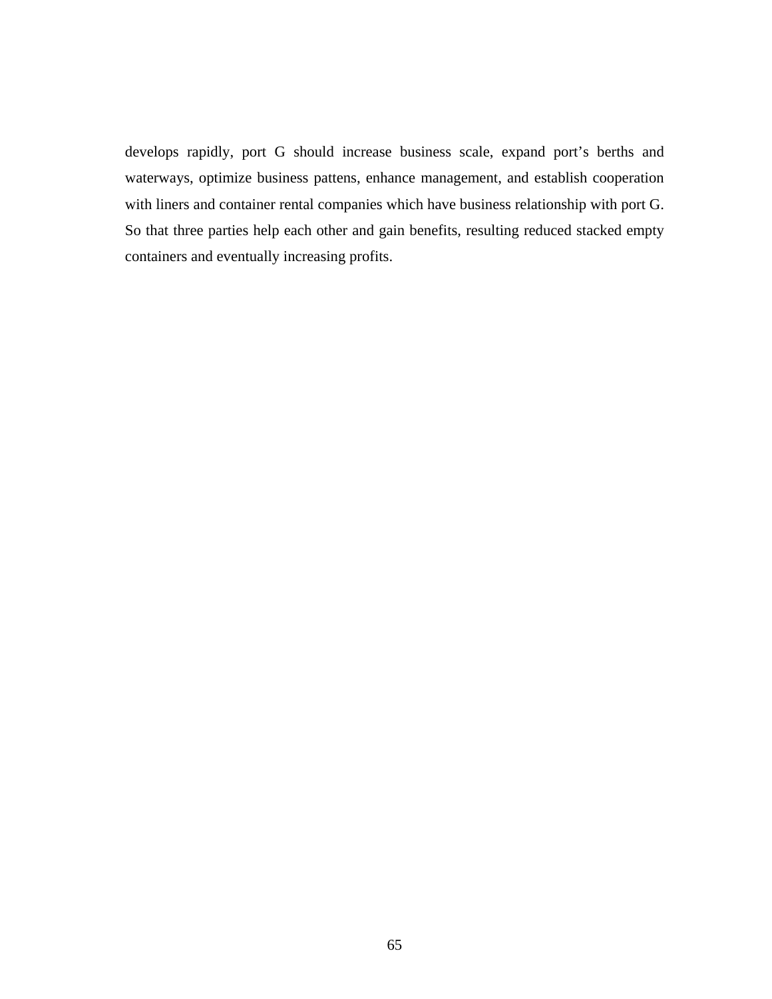develops rapidly, port G should increase business scale, expand port's berths and waterways, optimize business pattens, enhance management, and establish cooperation with liners and container rental companies which have business relationship with port G. So that three parties help each other and gain benefits, resulting reduced stacked empty containers and eventually increasing profits.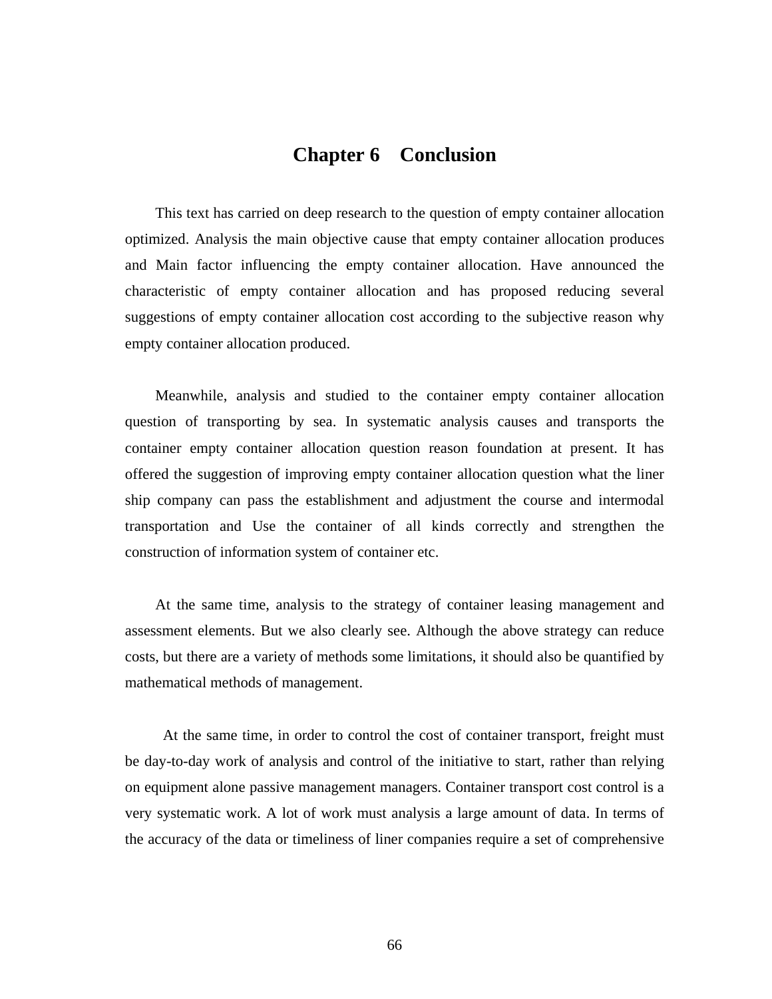## **Chapter 6 Conclusion**

This text has carried on deep research to the question of empty container allocation optimized. Analysis the main objective cause that empty container allocation produces and Main factor influencing the empty container allocation. Have announced the characteristic of empty container allocation and has proposed reducing several suggestions of empty container allocation cost according to the subjective reason why empty container allocation produced.

Meanwhile, analysis and studied to the container empty container allocation question of transporting by sea. In systematic analysis causes and transports the container empty container allocation question reason foundation at present. It has offered the suggestion of improving empty container allocation question what the liner ship company can pass the establishment and adjustment the course and intermodal transportation and Use the container of all kinds correctly and strengthen the construction of information system of container etc.

At the same time, analysis to the strategy of container leasing management and assessment elements. But we also clearly see. Although the above strategy can reduce costs, but there are a variety of methods some limitations, it should also be quantified by mathematical methods of management.

At the same time, in order to control the cost of container transport, freight must be day-to-day work of analysis and control of the initiative to start, rather than relying on equipment alone passive management managers. Container transport cost control is a very systematic work. A lot of work must analysis a large amount of data. In terms of the accuracy of the data or timeliness of liner companies require a set of comprehensive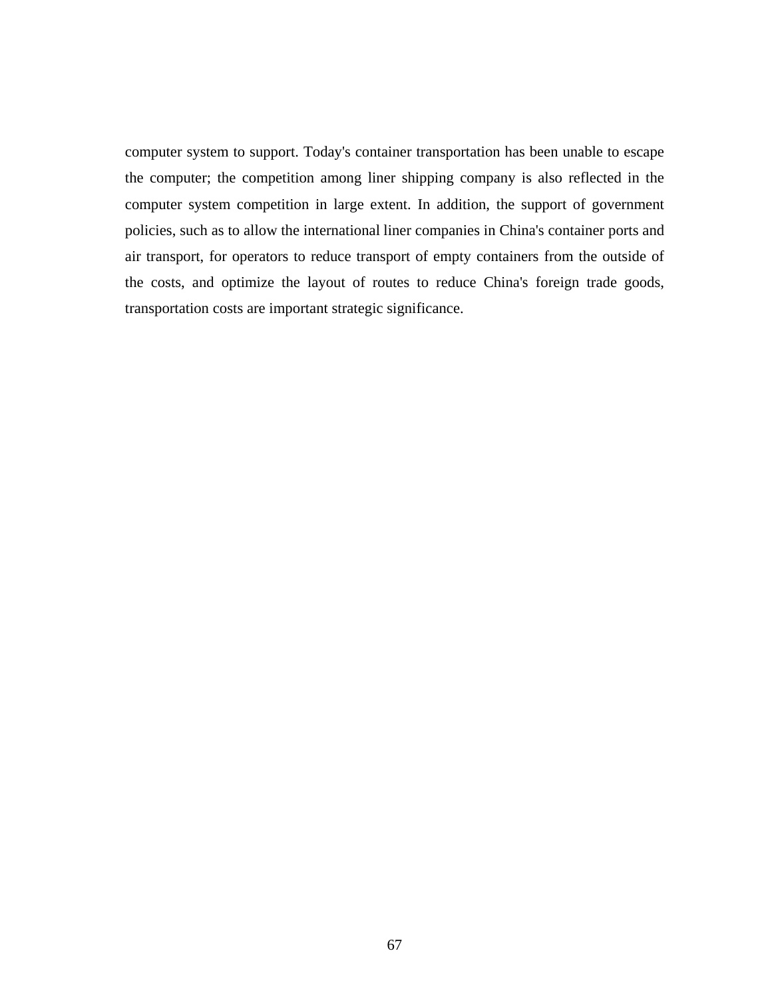computer system to support. Today's container transportation has been unable to escape the computer; the competition among liner shipping company is also reflected in the computer system competition in large extent. In addition, the support of government policies, such as to allow the international liner companies in China's container ports and air transport, for operators to reduce transport of empty containers from the outside of the costs, and optimize the layout of routes to reduce China's foreign trade goods, transportation costs are important strategic significance.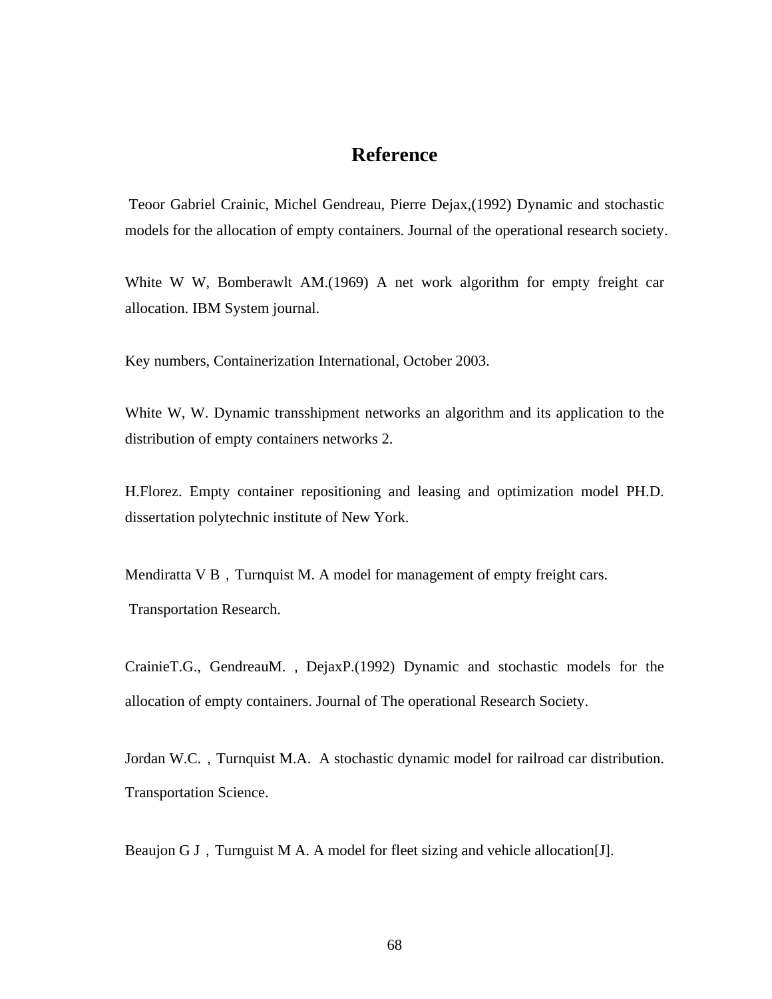## **Reference**

 Teoor Gabriel Crainic, Michel Gendreau, Pierre Dejax,(1992) Dynamic and stochastic models for the allocation of empty containers. Journal of the operational research society.

White W W, Bomberawlt AM.(1969) A net work algorithm for empty freight car allocation. IBM System journal.

Key numbers, Containerization International, October 2003.

White W, W. Dynamic transshipment networks an algorithm and its application to the distribution of empty containers networks 2.

H.Florez. Empty container repositioning and leasing and optimization model PH.D. dissertation polytechnic institute of New York.

Mendiratta  $V$  B, Turnquist M. A model for management of empty freight cars. Transportation Research.

CrainieT.G., GendreauM. , DejaxP.(1992) Dynamic and stochastic models for the allocation of empty containers. Journal of The operational Research Society.

Jordan W.C., Turnquist M.A. A stochastic dynamic model for railroad car distribution. Transportation Science.

Beaujon G J, Turnguist M A. A model for fleet sizing and vehicle allocation[J].